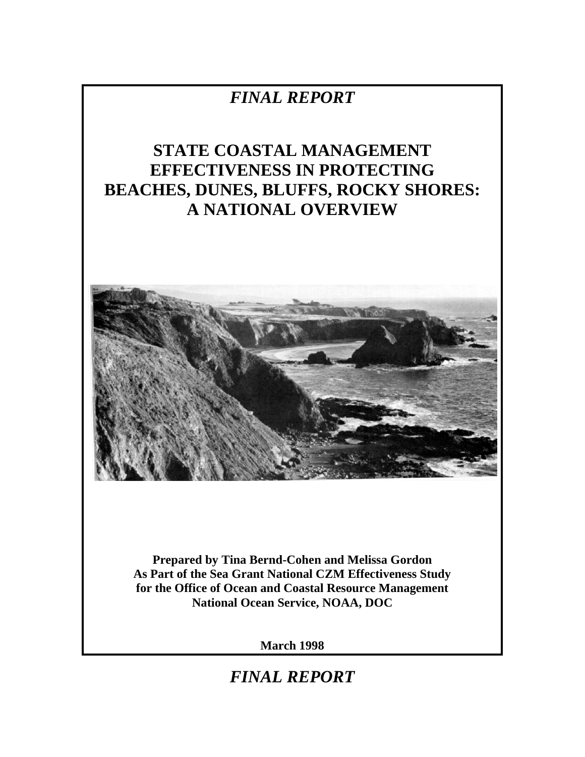# *FINAL REPORT*

# **STATE COASTAL MANAGEMENT EFFECTIVENESS IN PROTECTING BEACHES, DUNES, BLUFFS, ROCKY SHORES: A NATIONAL OVERVIEW**



**Prepared by Tina Bernd-Cohen and Melissa Gordon As Part of the Sea Grant National CZM Effectiveness Study for the Office of Ocean and Coastal Resource Management National Ocean Service, NOAA, DOC**

**March 1998**

# *FINAL REPORT*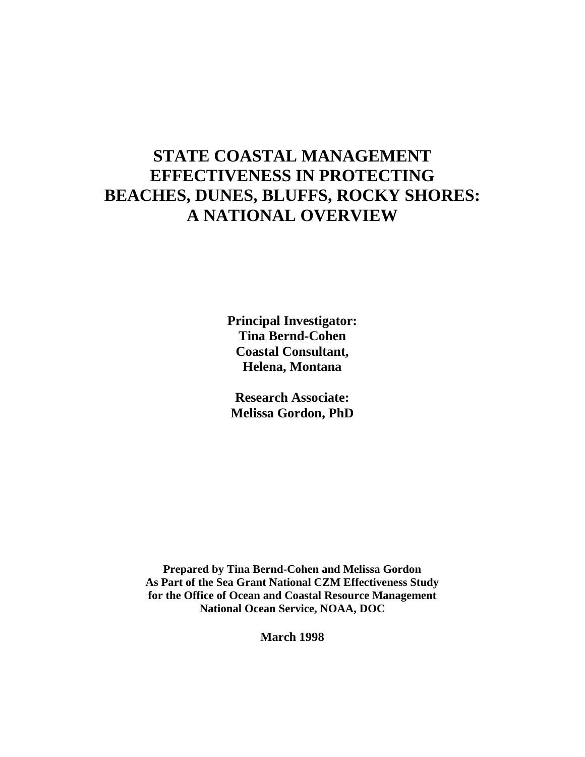## **STATE COASTAL MANAGEMENT EFFECTIVENESS IN PROTECTING BEACHES, DUNES, BLUFFS, ROCKY SHORES: A NATIONAL OVERVIEW**

**Principal Investigator: Tina Bernd-Cohen Coastal Consultant, Helena, Montana**

**Research Associate: Melissa Gordon, PhD**

**Prepared by Tina Bernd-Cohen and Melissa Gordon As Part of the Sea Grant National CZM Effectiveness Study for the Office of Ocean and Coastal Resource Management National Ocean Service, NOAA, DOC**

**March 1998**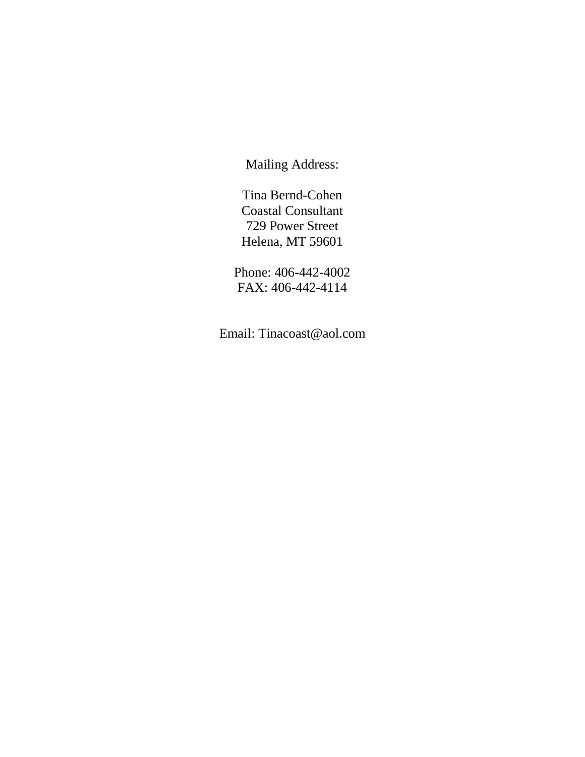Mailing Address:

Tina Bernd-Cohen Coastal Consultant 729 Power Street Helena, MT 59601

Phone: 406-442-4002 FAX: 406-442-4114

Email: Tinacoast@aol.com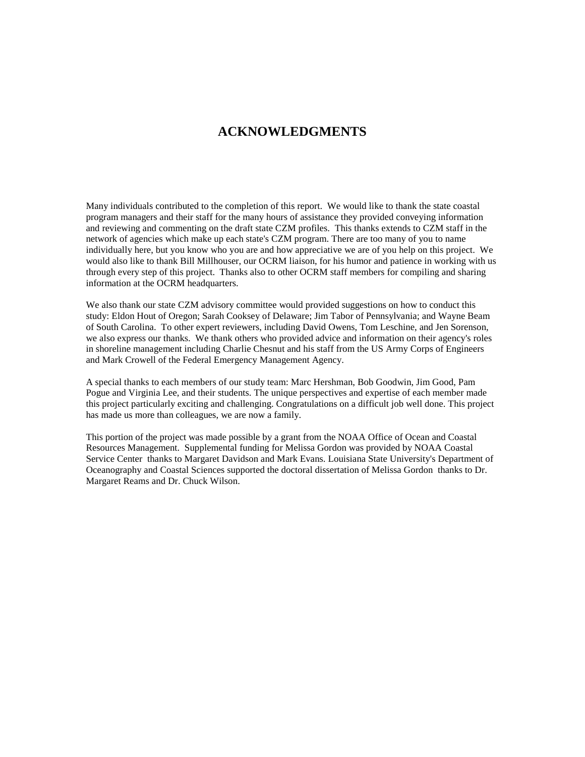#### **ACKNOWLEDGMENTS**

Many individuals contributed to the completion of this report. We would like to thank the state coastal program managers and their staff for the many hours of assistance they provided conveying information and reviewing and commenting on the draft state CZM profiles. This thanks extends to CZM staff in the network of agencies which make up each state's CZM program. There are too many of you to name individually here, but you know who you are and how appreciative we are of you help on this project. We would also like to thank Bill Millhouser, our OCRM liaison, for his humor and patience in working with us through every step of this project. Thanks also to other OCRM staff members for compiling and sharing information at the OCRM headquarters.

We also thank our state CZM advisory committee would provided suggestions on how to conduct this study: Eldon Hout of Oregon; Sarah Cooksey of Delaware; Jim Tabor of Pennsylvania; and Wayne Beam of South Carolina. To other expert reviewers, including David Owens, Tom Leschine, and Jen Sorenson, we also express our thanks. We thank others who provided advice and information on their agency's roles in shoreline management including Charlie Chesnut and his staff from the US Army Corps of Engineers and Mark Crowell of the Federal Emergency Management Agency.

A special thanks to each members of our study team: Marc Hershman, Bob Goodwin, Jim Good, Pam Pogue and Virginia Lee, and their students. The unique perspectives and expertise of each member made this project particularly exciting and challenging. Congratulations on a difficult job well done. This project has made us more than colleagues, we are now a family.

This portion of the project was made possible by a grant from the NOAA Office of Ocean and Coastal Resources Management. Supplemental funding for Melissa Gordon was provided by NOAA Coastal Service Center thanks to Margaret Davidson and Mark Evans. Louisiana State University's Department of Oceanography and Coastal Sciences supported the doctoral dissertation of Melissa Gordon thanks to Dr. Margaret Reams and Dr. Chuck Wilson.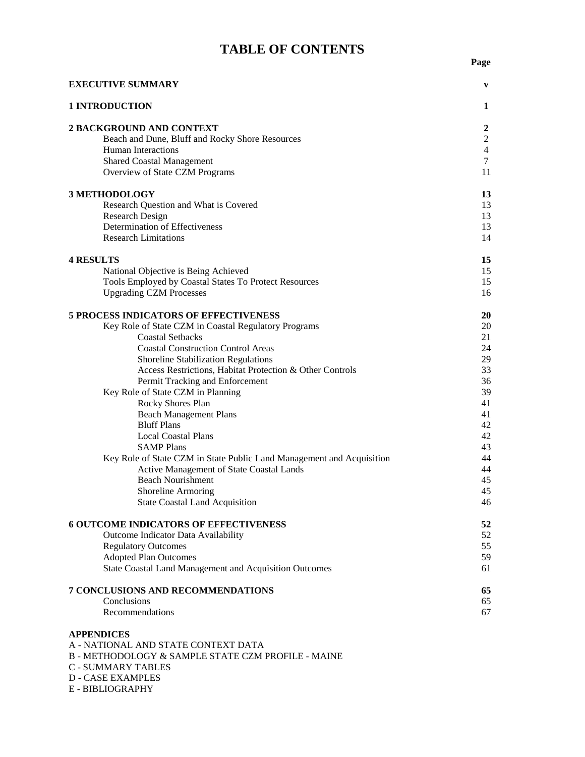# TABLE OF CONTENTS Page

| <b>EXECUTIVE SUMMARY</b>                                              | $\mathbf{v}$   |
|-----------------------------------------------------------------------|----------------|
| <b>1 INTRODUCTION</b>                                                 | 1              |
| 2 BACKGROUND AND CONTEXT                                              | $\overline{2}$ |
| Beach and Dune, Bluff and Rocky Shore Resources                       | $\overline{2}$ |
| Human Interactions                                                    | $\overline{4}$ |
| <b>Shared Coastal Management</b>                                      | $\tau$         |
| Overview of State CZM Programs                                        | 11             |
| 3 METHODOLOGY                                                         | 13             |
| Research Question and What is Covered                                 | 13             |
| <b>Research Design</b>                                                | 13             |
| Determination of Effectiveness                                        | 13             |
| <b>Research Limitations</b>                                           | 14             |
| <b>4 RESULTS</b>                                                      | 15             |
| National Objective is Being Achieved                                  | 15             |
| Tools Employed by Coastal States To Protect Resources                 | 15             |
| <b>Upgrading CZM Processes</b>                                        | 16             |
| <b>5 PROCESS INDICATORS OF EFFECTIVENESS</b>                          | 20             |
| Key Role of State CZM in Coastal Regulatory Programs                  | 20             |
| <b>Coastal Setbacks</b>                                               | 21             |
| <b>Coastal Construction Control Areas</b>                             | 24             |
| Shoreline Stabilization Regulations                                   | 29             |
| Access Restrictions, Habitat Protection & Other Controls              | 33             |
| Permit Tracking and Enforcement                                       | 36             |
| Key Role of State CZM in Planning                                     | 39             |
| Rocky Shores Plan                                                     | 41             |
| <b>Beach Management Plans</b>                                         | 41             |
| <b>Bluff Plans</b>                                                    | 42             |
| <b>Local Coastal Plans</b>                                            | 42             |
| <b>SAMP Plans</b>                                                     | 43             |
| Key Role of State CZM in State Public Land Management and Acquisition | 44             |
| Active Management of State Coastal Lands                              | 44             |
| <b>Beach Nourishment</b>                                              | 45             |
| Shoreline Armoring                                                    | 45             |
| <b>State Coastal Land Acquisition</b>                                 | 46             |
| <b>6 OUTCOME INDICATORS OF EFFECTIVENESS</b>                          | 52             |
| Outcome Indicator Data Availability                                   | 52             |
| <b>Regulatory Outcomes</b>                                            | 55             |
| <b>Adopted Plan Outcomes</b>                                          | 59             |
| <b>State Coastal Land Management and Acquisition Outcomes</b>         | 61             |
| 7 CONCLUSIONS AND RECOMMENDATIONS                                     | 65             |
| Conclusions                                                           | 65             |
| Recommendations                                                       | 67             |
| <b>APPENDICES</b>                                                     |                |
| A - NATIONAL AND STATE CONTEXT DATA                                   |                |

- B METHODOLOGY & SAMPLE STATE CZM PROFILE MAINE
- C SUMMARY TABLES
- D CASE EXAMPLES
- E BIBLIOGRAPHY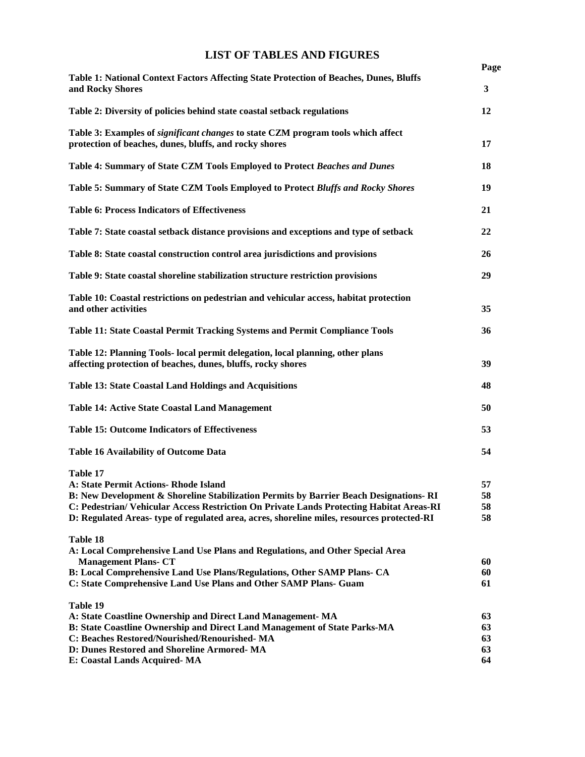## **LIST OF TABLES AND FIGURES**

|                                                                                                                                                                                                                                                                                                                                     | Page                       |
|-------------------------------------------------------------------------------------------------------------------------------------------------------------------------------------------------------------------------------------------------------------------------------------------------------------------------------------|----------------------------|
| Table 1: National Context Factors Affecting State Protection of Beaches, Dunes, Bluffs<br>and Rocky Shores                                                                                                                                                                                                                          | 3                          |
| Table 2: Diversity of policies behind state coastal setback regulations                                                                                                                                                                                                                                                             | 12                         |
| Table 3: Examples of <i>significant changes</i> to state CZM program tools which affect<br>protection of beaches, dunes, bluffs, and rocky shores                                                                                                                                                                                   | 17                         |
| Table 4: Summary of State CZM Tools Employed to Protect Beaches and Dunes                                                                                                                                                                                                                                                           | 18                         |
| Table 5: Summary of State CZM Tools Employed to Protect Bluffs and Rocky Shores                                                                                                                                                                                                                                                     | 19                         |
| <b>Table 6: Process Indicators of Effectiveness</b>                                                                                                                                                                                                                                                                                 | 21                         |
| Table 7: State coastal setback distance provisions and exceptions and type of setback                                                                                                                                                                                                                                               | 22                         |
| Table 8: State coastal construction control area jurisdictions and provisions                                                                                                                                                                                                                                                       | 26                         |
| Table 9: State coastal shoreline stabilization structure restriction provisions                                                                                                                                                                                                                                                     | 29                         |
| Table 10: Coastal restrictions on pedestrian and vehicular access, habitat protection<br>and other activities                                                                                                                                                                                                                       | 35                         |
| <b>Table 11: State Coastal Permit Tracking Systems and Permit Compliance Tools</b>                                                                                                                                                                                                                                                  | 36                         |
| Table 12: Planning Tools- local permit delegation, local planning, other plans<br>affecting protection of beaches, dunes, bluffs, rocky shores                                                                                                                                                                                      | 39                         |
| <b>Table 13: State Coastal Land Holdings and Acquisitions</b>                                                                                                                                                                                                                                                                       | 48                         |
| <b>Table 14: Active State Coastal Land Management</b>                                                                                                                                                                                                                                                                               | 50                         |
| <b>Table 15: Outcome Indicators of Effectiveness</b>                                                                                                                                                                                                                                                                                | 53                         |
| <b>Table 16 Availability of Outcome Data</b>                                                                                                                                                                                                                                                                                        | 54                         |
| Table 17<br>A: State Permit Actions- Rhode Island<br>B: New Development & Shoreline Stabilization Permits by Barrier Beach Designations-RI<br>C: Pedestrian/ Vehicular Access Restriction On Private Lands Protecting Habitat Areas-RI<br>D: Regulated Areas-type of regulated area, acres, shoreline miles, resources protected-RI | 57<br>58<br>58<br>58       |
| Table 18<br>A: Local Comprehensive Land Use Plans and Regulations, and Other Special Area<br><b>Management Plans- CT</b><br>B: Local Comprehensive Land Use Plans/Regulations, Other SAMP Plans- CA<br>C: State Comprehensive Land Use Plans and Other SAMP Plans- Guam                                                             | 60<br>60<br>61             |
| Table 19<br>A: State Coastline Ownership and Direct Land Management-MA<br>B: State Coastline Ownership and Direct Land Management of State Parks-MA<br>C: Beaches Restored/Nourished/Renourished-MA<br>D: Dunes Restored and Shoreline Armored-MA<br>E: Coastal Lands Acquired-MA                                                   | 63<br>63<br>63<br>63<br>64 |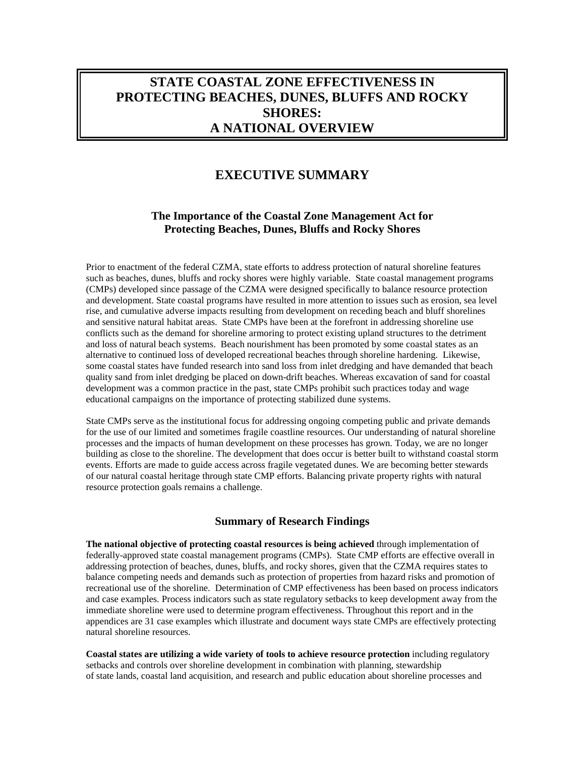## **STATE COASTAL ZONE EFFECTIVENESS IN PROTECTING BEACHES, DUNES, BLUFFS AND ROCKY SHORES: A NATIONAL OVERVIEW**

## **EXECUTIVE SUMMARY**

#### **The Importance of the Coastal Zone Management Act for Protecting Beaches, Dunes, Bluffs and Rocky Shores**

Prior to enactment of the federal CZMA, state efforts to address protection of natural shoreline features such as beaches, dunes, bluffs and rocky shores were highly variable. State coastal management programs (CMPs) developed since passage of the CZMA were designed specifically to balance resource protection and development. State coastal programs have resulted in more attention to issues such as erosion, sea level rise, and cumulative adverse impacts resulting from development on receding beach and bluff shorelines and sensitive natural habitat areas. State CMPs have been at the forefront in addressing shoreline use conflicts such as the demand for shoreline armoring to protect existing upland structures to the detriment and loss of natural beach systems. Beach nourishment has been promoted by some coastal states as an alternative to continued loss of developed recreational beaches through shoreline hardening. Likewise, some coastal states have funded research into sand loss from inlet dredging and have demanded that beach quality sand from inlet dredging be placed on down-drift beaches. Whereas excavation of sand for coastal development was a common practice in the past, state CMPs prohibit such practices today and wage educational campaigns on the importance of protecting stabilized dune systems.

State CMPs serve as the institutional focus for addressing ongoing competing public and private demands for the use of our limited and sometimes fragile coastline resources. Our understanding of natural shoreline processes and the impacts of human development on these processes has grown. Today, we are no longer building as close to the shoreline. The development that does occur is better built to withstand coastal storm events. Efforts are made to guide access across fragile vegetated dunes. We are becoming better stewards of our natural coastal heritage through state CMP efforts. Balancing private property rights with natural resource protection goals remains a challenge.

#### **Summary of Research Findings**

**The national objective of protecting coastal resources is being achieved** through implementation of federally-approved state coastal management programs (CMPs). State CMP efforts are effective overall in addressing protection of beaches, dunes, bluffs, and rocky shores, given that the CZMA requires states to balance competing needs and demands such as protection of properties from hazard risks and promotion of recreational use of the shoreline. Determination of CMP effectiveness has been based on process indicators and case examples. Process indicators such as state regulatory setbacks to keep development away from the immediate shoreline were used to determine program effectiveness. Throughout this report and in the appendices are 31 case examples which illustrate and document ways state CMPs are effectively protecting natural shoreline resources.

**Coastal states are utilizing a wide variety of tools to achieve resource protection** including regulatory setbacks and controls over shoreline development in combination with planning, stewardship of state lands, coastal land acquisition, and research and public education about shoreline processes and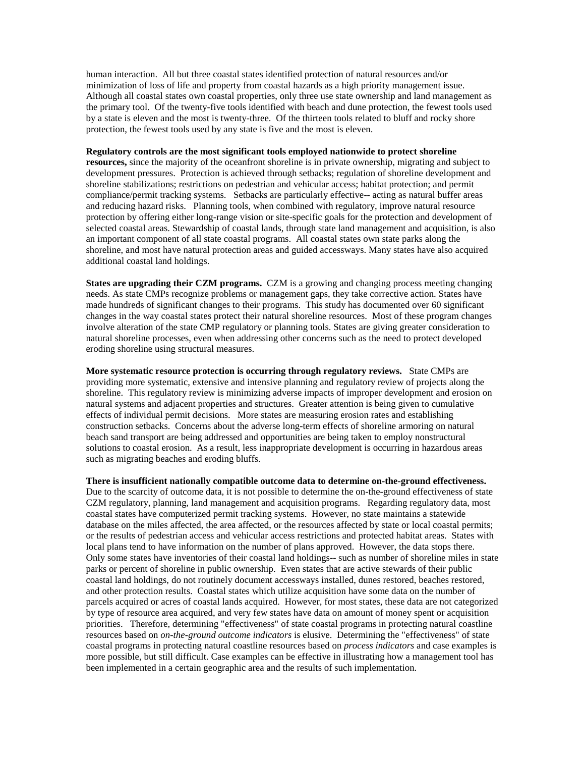human interaction. All but three coastal states identified protection of natural resources and/or minimization of loss of life and property from coastal hazards as a high priority management issue. Although all coastal states own coastal properties, only three use state ownership and land management as the primary tool. Of the twenty-five tools identified with beach and dune protection, the fewest tools used by a state is eleven and the most is twenty-three. Of the thirteen tools related to bluff and rocky shore protection, the fewest tools used by any state is five and the most is eleven.

#### **Regulatory controls are the most significant tools employed nationwide to protect shoreline**

**resources,** since the majority of the oceanfront shoreline is in private ownership, migrating and subject to development pressures. Protection is achieved through setbacks; regulation of shoreline development and shoreline stabilizations; restrictions on pedestrian and vehicular access; habitat protection; and permit compliance/permit tracking systems. Setbacks are particularly effective-- acting as natural buffer areas and reducing hazard risks. Planning tools, when combined with regulatory, improve natural resource protection by offering either long-range vision or site-specific goals for the protection and development of selected coastal areas. Stewardship of coastal lands, through state land management and acquisition, is also an important component of all state coastal programs. All coastal states own state parks along the shoreline, and most have natural protection areas and guided accessways. Many states have also acquired additional coastal land holdings.

**States are upgrading their CZM programs.** CZM is a growing and changing process meeting changing needs. As state CMPs recognize problems or management gaps, they take corrective action. States have made hundreds of significant changes to their programs. This study has documented over 60 significant changes in the way coastal states protect their natural shoreline resources.Most of these program changes involve alteration of the state CMP regulatory or planning tools. States are giving greater consideration to natural shoreline processes, even when addressing other concerns such as the need to protect developed eroding shoreline using structural measures.

**More systematic resource protection is occurring through regulatory reviews.** State CMPs are providing more systematic, extensive and intensive planning and regulatory review of projects along the shoreline. This regulatory review is minimizing adverse impacts of improper development and erosion on natural systems and adjacent properties and structures. Greater attention is being given to cumulative effects of individual permit decisions. More states are measuring erosion rates and establishing construction setbacks. Concerns about the adverse long-term effects of shoreline armoring on natural beach sand transport are being addressed and opportunities are being taken to employ nonstructural solutions to coastal erosion. As a result, less inappropriate development is occurring in hazardous areas such as migrating beaches and eroding bluffs.

**There is insufficient nationally compatible outcome data to determine on-the-ground effectiveness.** Due to the scarcity of outcome data, it is not possible to determine the on-the-ground effectiveness of state

CZM regulatory, planning, land management and acquisition programs. Regarding regulatory data, most coastal states have computerized permit tracking systems. However, no state maintains a statewide database on the miles affected, the area affected, or the resources affected by state or local coastal permits; or the results of pedestrian access and vehicular access restrictions and protected habitat areas. States with local plans tend to have information on the number of plans approved. However, the data stops there. Only some states have inventories of their coastal land holdings-- such as number of shoreline miles in state parks or percent of shoreline in public ownership. Even states that are active stewards of their public coastal land holdings, do not routinely document accessways installed, dunes restored, beaches restored, and other protection results. Coastal states which utilize acquisition have some data on the number of parcels acquired or acres of coastal lands acquired. However, for most states, these data are not categorized by type of resource area acquired, and very few states have data on amount of money spent or acquisition priorities. Therefore, determining "effectiveness" of state coastal programs in protecting natural coastline resources based on *on-the-ground outcome indicators* is elusive. Determining the "effectiveness" of state coastal programs in protecting natural coastline resources based on *process indicators* and case examples is more possible, but still difficult. Case examples can be effective in illustrating how a management tool has been implemented in a certain geographic area and the results of such implementation.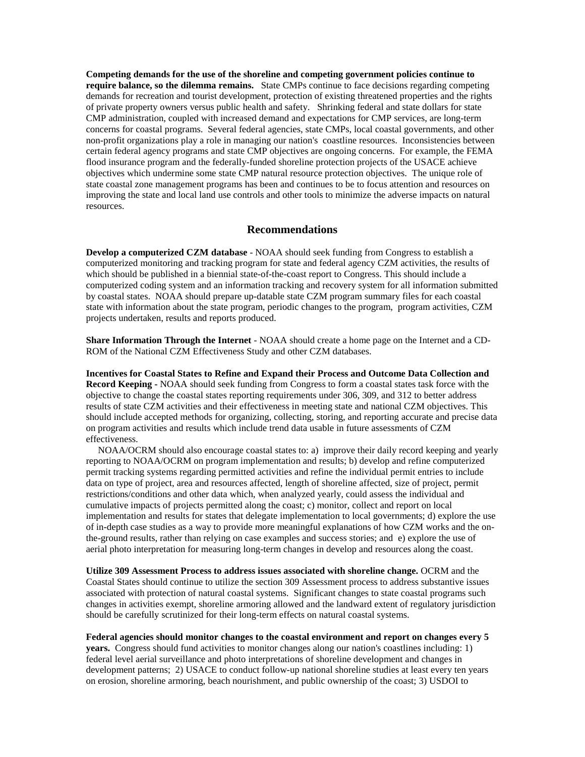**Competing demands for the use of the shoreline and competing government policies continue to require balance, so the dilemma remains.** State CMPs continue to face decisions regarding competing demands for recreation and tourist development, protection of existing threatened properties and the rights of private property owners versus public health and safety. Shrinking federal and state dollars for state CMP administration, coupled with increased demand and expectations for CMP services, are long-term concerns for coastal programs. Several federal agencies, state CMPs, local coastal governments, and other non-profit organizations play a role in managing our nation's coastline resources. Inconsistencies between certain federal agency programs and state CMP objectives are ongoing concerns. For example, the FEMA flood insurance program and the federally-funded shoreline protection projects of the USACE achieve objectives which undermine some state CMP natural resource protection objectives. The unique role of state coastal zone management programs has been and continues to be to focus attention and resources on improving the state and local land use controls and other tools to minimize the adverse impacts on natural resources.

#### **Recommendations**

**Develop a computerized CZM database** - NOAA should seek funding from Congress to establish a computerized monitoring and tracking program for state and federal agency CZM activities, the results of which should be published in a biennial state-of-the-coast report to Congress. This should include a computerized coding system and an information tracking and recovery system for all information submitted by coastal states. NOAA should prepare up-datable state CZM program summary files for each coastal state with information about the state program, periodic changes to the program, program activities, CZM projects undertaken, results and reports produced.

**Share Information Through the Internet** - NOAA should create a home page on the Internet and a CD-ROM of the National CZM Effectiveness Study and other CZM databases.

**Incentives for Coastal States to Refine and Expand their Process and Outcome Data Collection and Record Keeping -** NOAA should seek funding from Congress to form a coastal states task force with the objective to change the coastal states reporting requirements under 306, 309, and 312 to better address results of state CZM activities and their effectiveness in meeting state and national CZM objectives. This should include accepted methods for organizing, collecting, storing, and reporting accurate and precise data on program activities and results which include trend data usable in future assessments of CZM effectiveness.

 NOAA/OCRM should also encourage coastal states to: a) improve their daily record keeping and yearly reporting to NOAA/OCRM on program implementation and results; b) develop and refine computerized permit tracking systems regarding permitted activities and refine the individual permit entries to include data on type of project, area and resources affected, length of shoreline affected, size of project, permit restrictions/conditions and other data which, when analyzed yearly, could assess the individual and cumulative impacts of projects permitted along the coast; c) monitor, collect and report on local implementation and results for states that delegate implementation to local governments; d) explore the use of in-depth case studies as a way to provide more meaningful explanations of how CZM works and the onthe-ground results, rather than relying on case examples and success stories; and e) explore the use of aerial photo interpretation for measuring long-term changes in develop and resources along the coast.

**Utilize 309 Assessment Process to address issues associated with shoreline change.** OCRM and the Coastal States should continue to utilize the section 309 Assessment process to address substantive issues associated with protection of natural coastal systems. Significant changes to state coastal programs such changes in activities exempt, shoreline armoring allowed and the landward extent of regulatory jurisdiction should be carefully scrutinized for their long-term effects on natural coastal systems.

#### **Federal agencies should monitor changes to the coastal environment and report on changes every 5**

**years.** Congress should fund activities to monitor changes along our nation's coastlines including: 1) federal level aerial surveillance and photo interpretations of shoreline development and changes in development patterns; 2) USACE to conduct follow-up national shoreline studies at least every ten years on erosion, shoreline armoring, beach nourishment, and public ownership of the coast; 3) USDOI to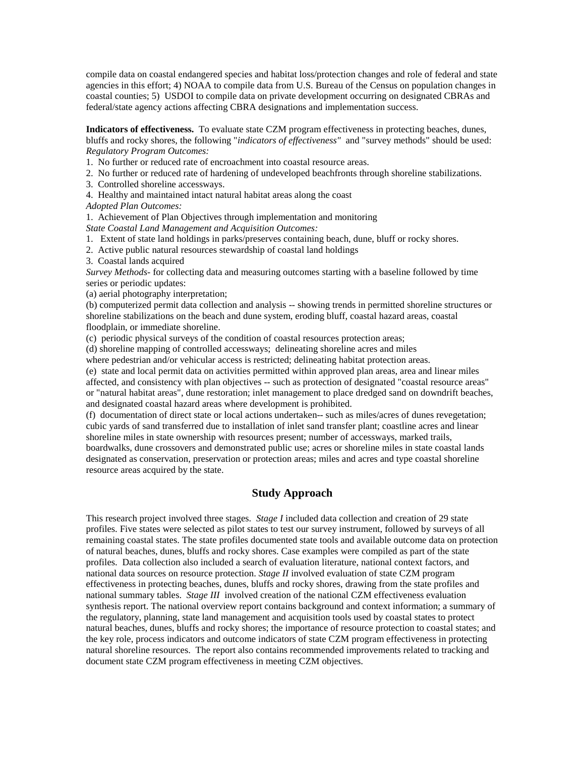compile data on coastal endangered species and habitat loss/protection changes and role of federal and state agencies in this effort; 4) NOAA to compile data from U.S. Bureau of the Census on population changes in coastal counties; 5) USDOI to compile data on private development occurring on designated CBRAs and federal/state agency actions affecting CBRA designations and implementation success.

**Indicators of effectiveness.** To evaluate state CZM program effectiveness in protecting beaches, dunes, bluffs and rocky shores, the following "*indicators of effectiveness"* and "survey methods" should be used: *Regulatory Program Outcomes:*

1. No further or reduced rate of encroachment into coastal resource areas.

2. No further or reduced rate of hardening of undeveloped beachfronts through shoreline stabilizations.

3. Controlled shoreline accessways.

4. Healthy and maintained intact natural habitat areas along the coast

*Adopted Plan Outcomes:*

1. Achievement of Plan Objectives through implementation and monitoring *State Coastal Land Management and Acquisition Outcomes:*

1. Extent of state land holdings in parks/preserves containing beach, dune, bluff or rocky shores.

2. Active public natural resources stewardship of coastal land holdings

3. Coastal lands acquired

*Survey Methods-* for collecting data and measuring outcomes starting with a baseline followed by time series or periodic updates:

(a) aerial photography interpretation;

(b) computerized permit data collection and analysis -- showing trends in permitted shoreline structures or shoreline stabilizations on the beach and dune system, eroding bluff, coastal hazard areas, coastal floodplain, or immediate shoreline.

(c) periodic physical surveys of the condition of coastal resources protection areas;

(d) shoreline mapping of controlled accessways; delineating shoreline acres and miles

where pedestrian and/or vehicular access is restricted; delineating habitat protection areas.

(e) state and local permit data on activities permitted within approved plan areas, area and linear miles affected, and consistency with plan objectives -- such as protection of designated "coastal resource areas" or "natural habitat areas", dune restoration; inlet management to place dredged sand on downdrift beaches, and designated coastal hazard areas where development is prohibited.

(f) documentation of direct state or local actions undertaken-- such as miles/acres of dunes revegetation; cubic yards of sand transferred due to installation of inlet sand transfer plant; coastline acres and linear shoreline miles in state ownership with resources present; number of accessways, marked trails, boardwalks, dune crossovers and demonstrated public use; acres or shoreline miles in state coastal lands designated as conservation, preservation or protection areas; miles and acres and type coastal shoreline resource areas acquired by the state.

#### **Study Approach**

This research project involved three stages. *Stage I* included data collection and creation of 29 state profiles. Five states were selected as pilot states to test our survey instrument, followed by surveys of all remaining coastal states. The state profiles documented state tools and available outcome data on protection of natural beaches, dunes, bluffs and rocky shores. Case examples were compiled as part of the state profiles. Data collection also included a search of evaluation literature, national context factors, and national data sources on resource protection. *Stage II* involved evaluation of state CZM program effectiveness in protecting beaches, dunes, bluffs and rocky shores, drawing from the state profiles and national summary tables. *Stage III* involved creation of the national CZM effectiveness evaluation synthesis report. The national overview report contains background and context information; a summary of the regulatory, planning, state land management and acquisition tools used by coastal states to protect natural beaches, dunes, bluffs and rocky shores; the importance of resource protection to coastal states; and the key role, process indicators and outcome indicators of state CZM program effectiveness in protecting natural shoreline resources. The report also contains recommended improvements related to tracking and document state CZM program effectiveness in meeting CZM objectives.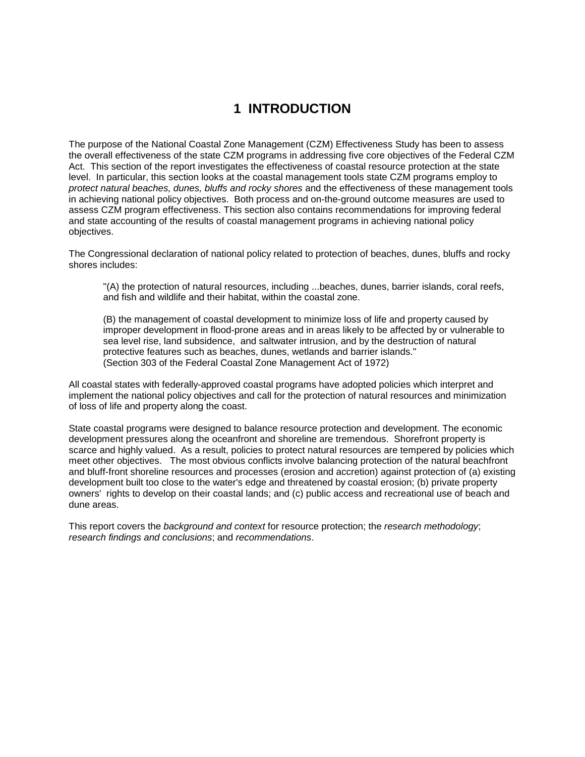## **1 INTRODUCTION**

The purpose of the National Coastal Zone Management (CZM) Effectiveness Study has been to assess the overall effectiveness of the state CZM programs in addressing five core objectives of the Federal CZM Act. This section of the report investigates the effectiveness of coastal resource protection at the state level. In particular, this section looks at the coastal management tools state CZM programs employ to *protect natural beaches, dunes, bluffs and rocky shores* and the effectiveness of these management tools in achieving national policy objectives. Both process and on-the-ground outcome measures are used to assess CZM program effectiveness. This section also contains recommendations for improving federal and state accounting of the results of coastal management programs in achieving national policy objectives.

The Congressional declaration of national policy related to protection of beaches, dunes, bluffs and rocky shores includes:

"(A) the protection of natural resources, including ...beaches, dunes, barrier islands, coral reefs, and fish and wildlife and their habitat, within the coastal zone.

(B) the management of coastal development to minimize loss of life and property caused by improper development in flood-prone areas and in areas likely to be affected by or vulnerable to sea level rise, land subsidence, and saltwater intrusion, and by the destruction of natural protective features such as beaches, dunes, wetlands and barrier islands." (Section 303 of the Federal Coastal Zone Management Act of 1972)

All coastal states with federally-approved coastal programs have adopted policies which interpret and implement the national policy objectives and call for the protection of natural resources and minimization of loss of life and property along the coast.

State coastal programs were designed to balance resource protection and development. The economic development pressures along the oceanfront and shoreline are tremendous. Shorefront property is scarce and highly valued. As a result, policies to protect natural resources are tempered by policies which meet other objectives. The most obvious conflicts involve balancing protection of the natural beachfront and bluff-front shoreline resources and processes (erosion and accretion) against protection of (a) existing development built too close to the water's edge and threatened by coastal erosion; (b) private property owners' rights to develop on their coastal lands; and (c) public access and recreational use of beach and dune areas.

This report covers the *background and context* for resource protection; the *research methodology*; *research findings and conclusions*; and *recommendations*.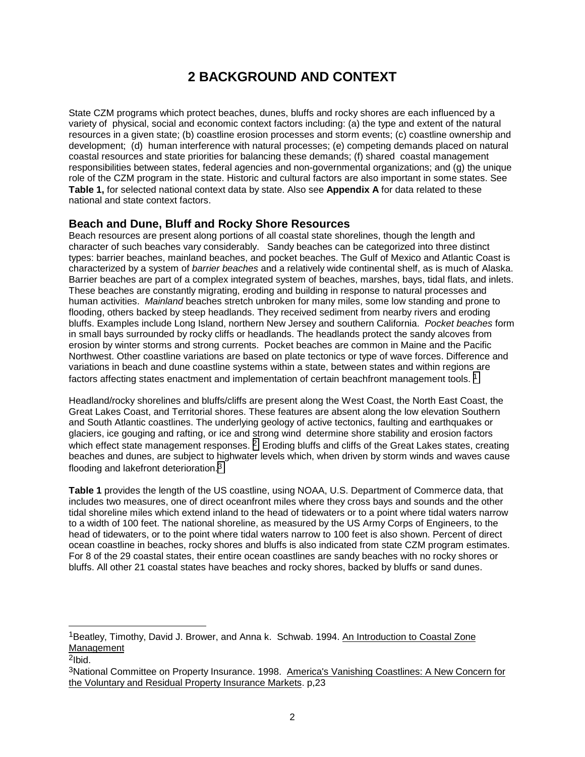## **2 BACKGROUND AND CONTEXT**

State CZM programs which protect beaches, dunes, bluffs and rocky shores are each influenced by a variety of physical, social and economic context factors including: (a) the type and extent of the natural resources in a given state; (b) coastline erosion processes and storm events; (c) coastline ownership and development; (d) human interference with natural processes; (e) competing demands placed on natural coastal resources and state priorities for balancing these demands; (f) shared coastal management responsibilities between states, federal agencies and non-governmental organizations; and (g) the unique role of the CZM program in the state. Historic and cultural factors are also important in some states. See **Table 1,** for selected national context data by state. Also see **Appendix A** for data related to these national and state context factors.

#### **Beach and Dune, Bluff and Rocky Shore Resources**

Beach resources are present along portions of all coastal state shorelines, though the length and character of such beaches vary considerably. Sandy beaches can be categorized into three distinct types: barrier beaches, mainland beaches, and pocket beaches. The Gulf of Mexico and Atlantic Coast is characterized by a system of *barrier beaches* and a relatively wide continental shelf, as is much of Alaska. Barrier beaches are part of a complex integrated system of beaches, marshes, bays, tidal flats, and inlets. These beaches are constantly migrating, eroding and building in response to natural processes and human activities. *Mainland* beaches stretch unbroken for many miles, some low standing and prone to flooding, others backed by steep headlands. They received sediment from nearby rivers and eroding bluffs. Examples include Long Island, northern New Jersey and southern California. *Pocket beaches* form in small bays surrounded by rocky cliffs or headlands. The headlands protect the sandy alcoves from erosion by winter storms and strong currents. Pocket beaches are common in Maine and the Pacific Northwest. Other coastline variations are based on plate tectonics or type of wave forces. Difference and variations in beach and dune coastline systems within a state, between states and within regions are factors affecting states enactment and implementation of certain beachfront management tools.<sup>1</sup>

Headland/rocky shorelines and bluffs/cliffs are present along the West Coast, the North East Coast, the Great Lakes Coast, and Territorial shores. These features are absent along the low elevation Southern and South Atlantic coastlines. The underlying geology of active tectonics, faulting and earthquakes or glaciers, ice gouging and rafting, or ice and strong wind determine shore stability and erosion factors which effect state management responses. <sup>2</sup> Eroding bluffs and cliffs of the Great Lakes states, creating beaches and dunes, are subject to highwater levels which, when driven by storm winds and waves cause flooding and lakefront deterioration.3

**Table 1** provides the length of the US coastline, using NOAA, U.S. Department of Commerce data, that includes two measures, one of direct oceanfront miles where they cross bays and sounds and the other tidal shoreline miles which extend inland to the head of tidewaters or to a point where tidal waters narrow to a width of 100 feet. The national shoreline, as measured by the US Army Corps of Engineers, to the head of tidewaters, or to the point where tidal waters narrow to 100 feet is also shown. Percent of direct ocean coastline in beaches, rocky shores and bluffs is also indicated from state CZM program estimates. For 8 of the 29 coastal states, their entire ocean coastlines are sandy beaches with no rocky shores or bluffs. All other 21 coastal states have beaches and rocky shores, backed by bluffs or sand dunes.

l

<sup>1</sup>Beatley, Timothy, David J. Brower, and Anna k. Schwab. 1994. An Introduction to Coastal Zone Management

<sup>2</sup>Ibid.

<sup>3</sup>National Committee on Property Insurance. 1998. America's Vanishing Coastlines: A New Concern for the Voluntary and Residual Property Insurance Markets. p,23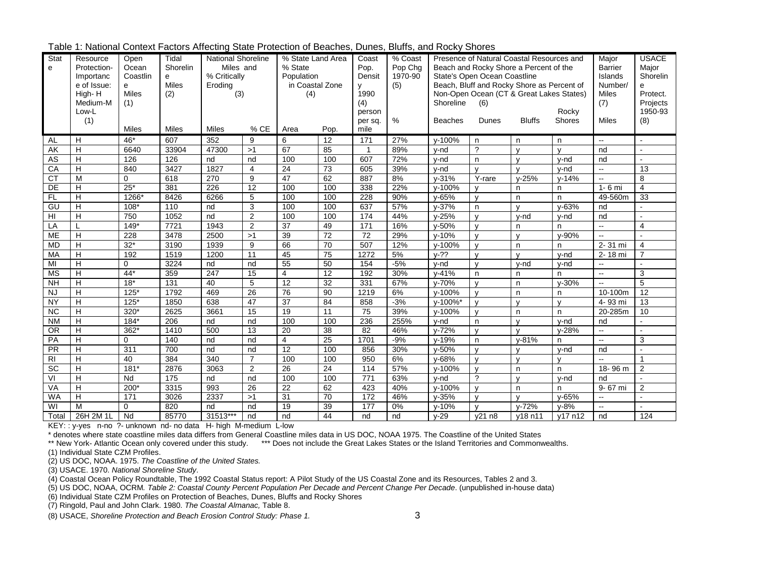| Stat<br>e      | Resource<br>Protection-<br>Importanc | Open<br>Ocean<br>Coastlin | Tidal<br>Shorelin<br>e | % Critically | % Coast<br><b>National Shoreline</b><br>% State Land Area<br>Presence of Natural Coastal Resources and<br>Coast<br>% State<br>Miles and<br>Pop.<br>Pop Cha<br>Beach and Rocky Shore a Percent of the<br>1970-90<br>State's Open Ocean Coastline<br>Population<br>Densit |                 |                 |                  |       | Major<br><b>Barrier</b><br><b>Islands</b> | <b>USACE</b><br>Major<br>Shorelin          |               |               |                          |                 |
|----------------|--------------------------------------|---------------------------|------------------------|--------------|-------------------------------------------------------------------------------------------------------------------------------------------------------------------------------------------------------------------------------------------------------------------------|-----------------|-----------------|------------------|-------|-------------------------------------------|--------------------------------------------|---------------|---------------|--------------------------|-----------------|
|                | e of Issue:                          | e                         | <b>Miles</b>           | Eroding      |                                                                                                                                                                                                                                                                         | in Coastal Zone |                 | y                | (5)   |                                           | Beach, Bluff and Rocky Shore as Percent of | Number/       | e             |                          |                 |
|                | High-H                               | Miles                     | (2)                    | (3)          |                                                                                                                                                                                                                                                                         | (4)             |                 | 1990             |       |                                           | Non-Open Ocean (CT & Great Lakes States)   | <b>Miles</b>  | Protect.      |                          |                 |
|                | Medium-M                             | (1)                       |                        |              |                                                                                                                                                                                                                                                                         |                 |                 | (4)              |       | Shoreline                                 | (6)                                        |               |               | (7)                      | Projects        |
|                | Low-L                                |                           |                        |              |                                                                                                                                                                                                                                                                         |                 |                 | person           |       |                                           |                                            |               | Rocky         |                          | 1950-93         |
|                | (1)                                  |                           |                        |              |                                                                                                                                                                                                                                                                         |                 |                 | per sq.          | $\%$  | <b>Beaches</b>                            | Dunes                                      | <b>Bluffs</b> | <b>Shores</b> | Miles                    | (8)             |
|                |                                      | <b>Miles</b>              | <b>Miles</b>           | Miles        | $%$ CE                                                                                                                                                                                                                                                                  | Area            | Pop.            | mile             |       |                                           |                                            |               |               |                          |                 |
| AL             | н                                    | $46*$                     | 607                    | 352          | 9                                                                                                                                                                                                                                                                       | 6               | 12              | 171              | 27%   | v-100%                                    | n                                          | n             | n.            | $\sim$                   |                 |
| AK             | Н                                    | 6640                      | 33904                  | 47300        | >1                                                                                                                                                                                                                                                                      | 67              | 85              | $\overline{1}$   | 89%   | y-nd                                      | $\gamma$                                   | v             | $\mathsf{v}$  | nd                       |                 |
| AS             | Н                                    | 126                       | 126                    | nd           | nd                                                                                                                                                                                                                                                                      | 100             | 100             | 607              | 72%   | y-nd                                      | $\mathsf{n}$                               | $\mathbf{v}$  | y-nd          | nd                       |                 |
| CA             | H                                    | 840                       | 3427                   | 1827         | $\overline{4}$                                                                                                                                                                                                                                                          | 24              | 73              | 605              | 39%   | y-nd                                      | $\mathsf{v}$                               | $\mathbf{v}$  | v-nd          | н.                       | 13              |
| <b>CT</b>      | M                                    | $\Omega$                  | 618                    | 270          | 9                                                                                                                                                                                                                                                                       | $\overline{47}$ | 62              | 887              | 8%    | $v - 31%$                                 | Y-rare                                     | $v - 25%$     | $v - 14%$     | $\overline{\phantom{a}}$ | 8               |
| DE             | H                                    | $25*$                     | 381                    | 226          | 12                                                                                                                                                                                                                                                                      | 100             | 100             | 338              | 22%   | v-100%                                    | $\mathbf{v}$                               | n             | n.            | $1 - 6$ mi               | $\overline{4}$  |
| <b>FL</b>      | H                                    | 1266*                     | 8426                   | 6266         | 5                                                                                                                                                                                                                                                                       | 100             | 100             | 228              | 90%   | $v - 65%$                                 | $\mathsf{v}$                               | n             | n.            | 49-560m                  | 33              |
| GU             | н                                    | $108*$                    | 110                    | nd           | 3                                                                                                                                                                                                                                                                       | 100             | 100             | 637              | 57%   | $v - 37%$                                 | $\mathsf{n}$                               | $\mathsf{v}$  | $v - 63%$     | nd                       |                 |
| H <sub>l</sub> | н                                    | 750                       | 1052                   | nd           | 2                                                                                                                                                                                                                                                                       | 100             | 100             | 174              | 44%   | $y - 25%$                                 | $\mathsf{v}$                               | y-nd          | v-nd          | nd                       |                 |
| LA             | L                                    | $149*$                    | 7721                   | 1943         | 2                                                                                                                                                                                                                                                                       | $\overline{37}$ | 49              | 171              | 16%   | $v - 50%$                                 | $\mathsf{v}$                               | n             | n             | н.                       | 4               |
| <b>ME</b>      | н                                    | 228                       | 3478                   | 2500         | >1                                                                                                                                                                                                                                                                      | 39              | 72              | 72               | 29%   | $v - 10%$                                 | $\mathsf{v}$                               | $\mathsf{v}$  | v-90%         | $\overline{\phantom{a}}$ |                 |
| <b>MD</b>      | н                                    | $32*$                     | 3190                   | 1939         | 9                                                                                                                                                                                                                                                                       | 66              | 70              | 507              | 12%   | v-100%                                    |                                            | n             | n.            | 2-31 mi                  | 4               |
| MA             | H                                    | 192                       | 1519                   | 1200         | 11                                                                                                                                                                                                                                                                      | 45              | 75              | 1272             | 5%    | $V-??$                                    | $\mathsf{v}$                               | v             | y-nd          | 2-18 mi                  | $\overline{7}$  |
| MI             | H                                    | $\mathbf 0$               | 3224                   | nd           | nd                                                                                                                                                                                                                                                                      | 55              | 50              | 154              | $-5%$ | y-nd                                      | $\mathsf{V}$                               | y-nd          | y-nd          | н.                       |                 |
| <b>MS</b>      | н                                    | $44*$                     | 359                    | 247          | 15                                                                                                                                                                                                                                                                      | 4               | 12              | 192              | 30%   | $v - 41%$                                 | n                                          | n             | n.            | $\sim$                   | 3               |
| <b>NH</b>      | н                                    | $18*$                     | 131                    | 40           | $\overline{5}$                                                                                                                                                                                                                                                          | 12              | 32              | 331              | 67%   | y-70%                                     | $\mathsf{v}$                               | n             | $v - 30%$     | $\overline{a}$           | $\overline{5}$  |
| <b>NJ</b>      | H                                    | $125*$                    | 1792                   | 469          | $\overline{26}$                                                                                                                                                                                                                                                         | 76              | $\overline{90}$ | 1219             | 6%    | $v - 100%$                                | $\mathsf{v}$                               | n             | n             | 10-100m                  | $\overline{12}$ |
| <b>NY</b>      | н                                    | $125*$                    | 1850                   | 638          | 47                                                                                                                                                                                                                                                                      | $\overline{37}$ | 84              | 858              | $-3%$ | v-100%*                                   | $\mathsf{v}$                               | $\mathsf{v}$  | $\mathbf{v}$  | 4-93 mi                  | 13              |
| <b>NC</b>      | н                                    | $320*$                    | 2625                   | 3661         | 15                                                                                                                                                                                                                                                                      | $\overline{19}$ | 11              | $\overline{75}$  | 39%   | v-100%                                    | $\mathbf{v}$                               | n             | n.            | 20-285m                  | 10              |
| <b>NM</b>      | н                                    | $184*$                    | 206                    | nd           | nd                                                                                                                                                                                                                                                                      | 100             | 100             | 236              | 255%  | y-nd                                      | $\mathsf{n}$                               | $\mathbf{v}$  | v-nd          | nd                       |                 |
| <b>OR</b>      | H                                    | $362*$                    | 1410                   | 500          | 13                                                                                                                                                                                                                                                                      | 20              | 38              | 82               | 46%   | y-72%                                     | $\mathsf{V}$                               | $\mathbf{v}$  | $v - 28%$     | н.                       | $\sim$          |
| PA             | H                                    | $\Omega$                  | 140                    | nd           | nd                                                                                                                                                                                                                                                                      | 4               | $\overline{25}$ | 1701             | $-9%$ | y-19%                                     | n                                          | $v - 81%$     | n.            | $\sim$                   | 3               |
| PR             | H                                    | 311                       | 700                    | nd           | nd                                                                                                                                                                                                                                                                      | 12              | 100             | 856              | 30%   | v-50%                                     | $\mathsf{v}$                               |               | y-nd          | nd                       |                 |
| <b>RI</b>      | н                                    | 40                        | 384                    | 340          | $\overline{7}$                                                                                                                                                                                                                                                          | 100             | 100             | 950              | 6%    | $v - 68%$                                 | $\mathbf{v}$                               | $\mathsf{v}$  | $\mathsf{v}$  | $\overline{a}$           |                 |
| SC             | н                                    | $181*$                    | 2876                   | 3063         | $\overline{2}$                                                                                                                                                                                                                                                          | 26              | 24              | 114              | 57%   | v-100%                                    | $\mathsf{v}$                               | n             | n.            | 18-96 m                  | $\overline{2}$  |
| VI             | Η                                    | $\overline{Nd}$           | 175                    | nd           | nd                                                                                                                                                                                                                                                                      | 100             | 100             | $\overline{771}$ | 63%   | v-nd                                      | $\gamma$                                   | $\mathsf{v}$  | v-nd          | nd                       | $\sim$          |
| VA             | H                                    | $200*$                    | 3315                   | 993          | 26                                                                                                                                                                                                                                                                      | 22              | 62              | 423              | 40%   | v-100%                                    | $\mathsf{v}$                               | n.            | n.            | 9-67 mi                  | $\overline{2}$  |
| <b>WA</b>      | н                                    | 171                       | 3026                   | 2337         | >1                                                                                                                                                                                                                                                                      | 31              | $\overline{70}$ | 172              | 46%   | y-35%                                     | $\mathsf{v}$                               | $\mathsf{v}$  | $v - 65%$     | $\overline{a}$           | $\overline{a}$  |
| WI             | M                                    | $\mathbf 0$               | 820                    | nd           | nd                                                                                                                                                                                                                                                                      | 19              | 39              | 177              | 0%    | v-10%                                     | $\mathsf{v}$                               | $v - 72%$     | $v - 8%$      | $\overline{\phantom{a}}$ |                 |
| Total          | 26H 2M 1L                            | Nd                        | 85770                  | 31513***     | nd                                                                                                                                                                                                                                                                      | nd              | 44              | nd               | nd    | $v-29$                                    | y21 n8                                     | v18 n11       | v17 n12       | nd                       | 124             |

Table 1: National Context Factors Affecting State Protection of Beaches, Dunes, Bluffs, and Rocky Shores

KEY: : y-yes n-no ?- unknown nd- no data H- high M-medium L-low

\* denotes where state coastline miles data differs from General Coastline miles data in US DOC, NOAA 1975. The Coastline of the United States

\*\* New York- Atlantic Ocean only covered under this study. \*\*\* Does not include the Great Lakes States or the Island Territories and Commonwealths.

(1) Individual State CZM Profiles.

(2) US DOC, NOAA. 1975. *The Coastline of the United States.*

(3) USACE. 1970. *National Shoreline Study*.

(4) Coastal Ocean Policy Roundtable, The 1992 Coastal Status report: A Pilot Study of the US Coastal Zone and its Resources, Tables 2 and 3.

(5) US DOC, NOAA, OCRM*. Table 2: Coastal County Percent Population Per Decade and Percent Change Per Decade*. (unpublished in-house data)

(6) Individual State CZM Profiles on Protection of Beaches, Dunes, Bluffs and Rocky Shores

(7) Ringold, Paul and John Clark. 1980. *The Coastal Almanac,* Table 8.

(8) USACE, *Shoreline Protection and Beach Erosion Control Study: Phase 1.*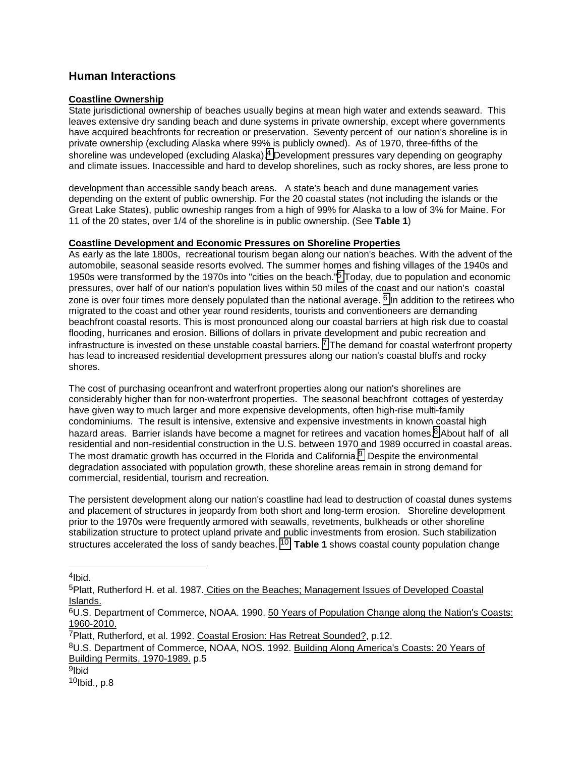#### **Human Interactions**

#### **Coastline Ownership**

State jurisdictional ownership of beaches usually begins at mean high water and extends seaward. This leaves extensive dry sanding beach and dune systems in private ownership, except where governments have acquired beachfronts for recreation or preservation. Seventy percent of our nation's shoreline is in private ownership (excluding Alaska where 99% is publicly owned). As of 1970, three-fifths of the shoreline was undeveloped (excluding Alaska).<sup>4</sup> Development pressures vary depending on geography and climate issues. Inaccessible and hard to develop shorelines, such as rocky shores, are less prone to

development than accessible sandy beach areas. A state's beach and dune management varies depending on the extent of public ownership. For the 20 coastal states (not including the islands or the Great Lake States), public owneship ranges from a high of 99% for Alaska to a low of 3% for Maine. For 11 of the 20 states, over 1/4 of the shoreline is in public ownership. (See **Table 1**)

#### **Coastline Development and Economic Pressures on Shoreline Properties**

As early as the late 1800s, recreational tourism began along our nation's beaches. With the advent of the automobile, seasonal seaside resorts evolved. The summer homes and fishing villages of the 1940s and 1950s were transformed by the 1970s into "cities on the beach."5 Today, due to population and economic pressures, over half of our nation's population lives within 50 miles of the coast and our nation's coastal zone is over four times more densely populated than the national average. <sup>6</sup> In addition to the retirees who migrated to the coast and other year round residents, tourists and conventioneers are demanding beachfront coastal resorts. This is most pronounced along our coastal barriers at high risk due to coastal flooding, hurricanes and erosion. Billions of dollars in private development and pubic recreation and infrastructure is invested on these unstable coastal barriers.  $\frac{7}{7}$  The demand for coastal waterfront property has lead to increased residential development pressures along our nation's coastal bluffs and rocky shores.

The cost of purchasing oceanfront and waterfront properties along our nation's shorelines are considerably higher than for non-waterfront properties. The seasonal beachfront cottages of yesterday have given way to much larger and more expensive developments, often high-rise multi-family condominiums. The result is intensive, extensive and expensive investments in known coastal high hazard areas. Barrier islands have become a magnet for retirees and vacation homes.<sup>8</sup> About half of all residential and non-residential construction in the U.S. between 1970 and 1989 occurred in coastal areas. The most dramatic growth has occurred in the Florida and California.<sup>9</sup> Despite the environmental degradation associated with population growth, these shoreline areas remain in strong demand for commercial, residential, tourism and recreation.

The persistent development along our nation's coastline had lead to destruction of coastal dunes systems and placement of structures in jeopardy from both short and long-term erosion. Shoreline development prior to the 1970s were frequently armored with seawalls, revetments, bulkheads or other shoreline stabilization structure to protect upland private and public investments from erosion. Such stabilization structures accelerated the loss of sandy beaches. 10 **Table 1** shows coastal county population change

4Ibid.

l

7Platt, Rutherford, et al. 1992. Coastal Erosion: Has Retreat Sounded?, p.12.

8U.S. Department of Commerce, NOAA, NOS. 1992. Building Along America's Coasts: 20 Years of Building Permits, 1970-1989. p.5

9Ibid

<sup>5</sup>Platt, Rutherford H. et al. 1987. Cities on the Beaches; Management Issues of Developed Coastal Islands.

<sup>6</sup>U.S. Department of Commerce, NOAA. 1990. 50 Years of Population Change along the Nation's Coasts: 1960-2010.

 $10$ Ibid., p.8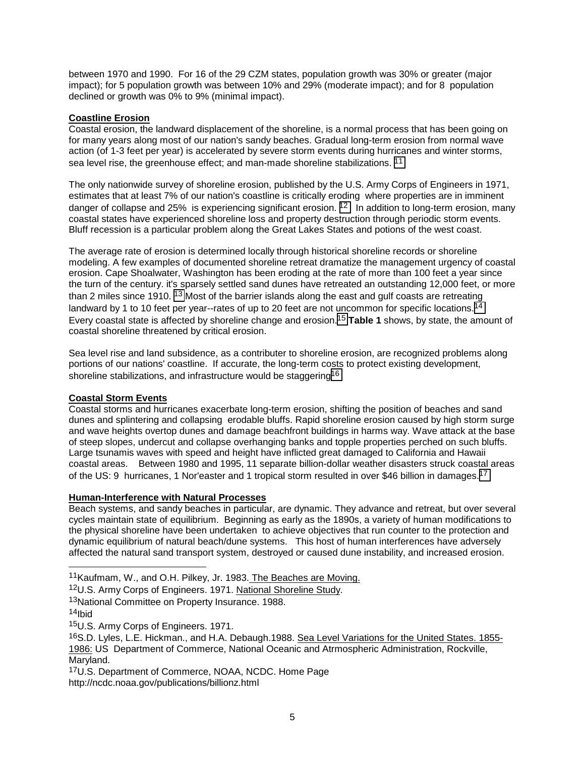between 1970 and 1990. For 16 of the 29 CZM states, population growth was 30% or greater (major impact); for 5 population growth was between 10% and 29% (moderate impact); and for 8 population declined or growth was 0% to 9% (minimal impact).

#### **Coastline Erosion**

Coastal erosion, the landward displacement of the shoreline, is a normal process that has been going on for many years along most of our nation's sandy beaches. Gradual long-term erosion from normal wave action (of 1-3 feet per year) is accelerated by severe storm events during hurricanes and winter storms, sea level rise, the greenhouse effect; and man-made shoreline stabilizations. <sup>11</sup>

The only nationwide survey of shoreline erosion, published by the U.S. Army Corps of Engineers in 1971, estimates that at least 7% of our nation's coastline is critically eroding where properties are in imminent danger of collapse and 25% is experiencing significant erosion. <sup>12</sup> In addition to long-term erosion, many coastal states have experienced shoreline loss and property destruction through periodic storm events. Bluff recession is a particular problem along the Great Lakes States and potions of the west coast.

The average rate of erosion is determined locally through historical shoreline records or shoreline modeling. A few examples of documented shoreline retreat dramatize the management urgency of coastal erosion. Cape Shoalwater, Washington has been eroding at the rate of more than 100 feet a year since the turn of the century. it's sparsely settled sand dunes have retreated an outstanding 12,000 feet, or more than 2 miles since 1910. <sup>13</sup> Most of the barrier islands along the east and gulf coasts are retreating landward by 1 to 10 feet per year--rates of up to 20 feet are not uncommon for specific locations.<sup>14</sup> Every coastal state is affected by shoreline change and erosion.15 **Table 1** shows, by state, the amount of coastal shoreline threatened by critical erosion.

Sea level rise and land subsidence, as a contributer to shoreline erosion, are recognized problems along portions of our nations' coastline. If accurate, the long-term costs to protect existing development, shoreline stabilizations, and infrastructure would be staggering<sup>16</sup>

#### **Coastal Storm Events**

Coastal storms and hurricanes exacerbate long-term erosion, shifting the position of beaches and sand dunes and splintering and collapsing erodable bluffs. Rapid shoreline erosion caused by high storm surge and wave heights overtop dunes and damage beachfront buildings in harms way. Wave attack at the base of steep slopes, undercut and collapse overhanging banks and topple properties perched on such bluffs. Large tsunamis waves with speed and height have inflicted great damaged to California and Hawaii coastal areas. Between 1980 and 1995, 11 separate billion-dollar weather disasters struck coastal areas of the US: 9 hurricanes, 1 Nor'easter and 1 tropical storm resulted in over \$46 billion in damages.17

#### **Human-Interference with Natural Processes**

Beach systems, and sandy beaches in particular, are dynamic. They advance and retreat, but over several cycles maintain state of equilibrium. Beginning as early as the 1890s, a variety of human modifications to the physical shoreline have been undertaken to achieve objectives that run counter to the protection and dynamic equilibrium of natural beach/dune systems. This host of human interferences have adversely affected the natural sand transport system, destroyed or caused dune instability, and increased erosion.

11Kaufmam, W., and O.H. Pilkey, Jr. 1983. The Beaches are Moving.

12U.S. Army Corps of Engineers. 1971. National Shoreline Study.

13National Committee on Property Insurance. 1988.

l

15U.S. Army Corps of Engineers. 1971.

16S.D. Lyles, L.E. Hickman., and H.A. Debaugh.1988. Sea Level Variations for the United States. 1855-1986: US Department of Commerce, National Oceanic and Atrmospheric Administration, Rockville, Maryland.

17U.S. Department of Commerce, NOAA, NCDC. Home Page http://ncdc.noaa.gov/publications/billionz.html

<sup>14</sup>Ibid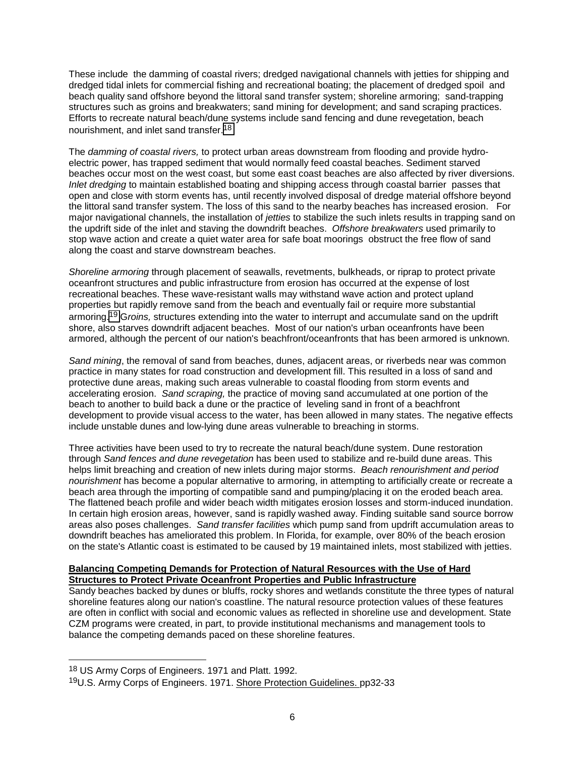These include the damming of coastal rivers; dredged navigational channels with jetties for shipping and dredged tidal inlets for commercial fishing and recreational boating; the placement of dredged spoil and beach quality sand offshore beyond the littoral sand transfer system; shoreline armoring; sand-trapping structures such as groins and breakwaters; sand mining for development; and sand scraping practices. Efforts to recreate natural beach/dune systems include sand fencing and dune revegetation, beach nourishment, and inlet sand transfer.18

The *damming of coastal rivers,* to protect urban areas downstream from flooding and provide hydroelectric power, has trapped sediment that would normally feed coastal beaches. Sediment starved beaches occur most on the west coast, but some east coast beaches are also affected by river diversions. *Inlet dredging* to maintain established boating and shipping access through coastal barrier passes that open and close with storm events has, until recently involved disposal of dredge material offshore beyond the littoral sand transfer system. The loss of this sand to the nearby beaches has increased erosion. For major navigational channels, the installation of *jetties* to stabilize the such inlets results in trapping sand on the updrift side of the inlet and staving the downdrift beaches. *Offshore breakwaters* used primarily to stop wave action and create a quiet water area for safe boat moorings obstruct the free flow of sand along the coast and starve downstream beaches.

*Shoreline armoring* through placement of seawalls, revetments, bulkheads, or riprap to protect private oceanfront structures and public infrastructure from erosion has occurred at the expense of lost recreational beaches. These wave-resistant walls may withstand wave action and protect upland properties but rapidly remove sand from the beach and eventually fail or require more substantial armoring.19 G*roins,* structures extending into the water to interrupt and accumulate sand on the updrift shore, also starves downdrift adjacent beaches. Most of our nation's urban oceanfronts have been armored, although the percent of our nation's beachfront/oceanfronts that has been armored is unknown.

*Sand mining*, the removal of sand from beaches, dunes, adjacent areas, or riverbeds near was common practice in many states for road construction and development fill. This resulted in a loss of sand and protective dune areas, making such areas vulnerable to coastal flooding from storm events and accelerating erosion. *Sand scraping,* the practice of moving sand accumulated at one portion of the beach to another to build back a dune or the practice of leveling sand in front of a beachfront development to provide visual access to the water, has been allowed in many states. The negative effects include unstable dunes and low-lying dune areas vulnerable to breaching in storms.

Three activities have been used to try to recreate the natural beach/dune system. Dune restoration through *Sand fences and dune revegetation* has been used to stabilize and re-build dune areas. This helps limit breaching and creation of new inlets during major storms. *Beach renourishment and period nourishment* has become a popular alternative to armoring, in attempting to artificially create or recreate a beach area through the importing of compatible sand and pumping/placing it on the eroded beach area. The flattened beach profile and wider beach width mitigates erosion losses and storm-induced inundation. In certain high erosion areas, however, sand is rapidly washed away. Finding suitable sand source borrow areas also poses challenges. *Sand transfer facilities* which pump sand from updrift accumulation areas to downdrift beaches has ameliorated this problem. In Florida, for example, over 80% of the beach erosion on the state's Atlantic coast is estimated to be caused by 19 maintained inlets, most stabilized with jetties.

#### **Balancing Competing Demands for Protection of Natural Resources with the Use of Hard Structures to Protect Private Oceanfront Properties and Public Infrastructure**

Sandy beaches backed by dunes or bluffs, rocky shores and wetlands constitute the three types of natural shoreline features along our nation's coastline. The natural resource protection values of these features are often in conflict with social and economic values as reflected in shoreline use and development. State CZM programs were created, in part, to provide institutional mechanisms and management tools to balance the competing demands paced on these shoreline features.

l

<sup>18</sup> US Army Corps of Engineers. 1971 and Platt. 1992.

<sup>19</sup>U.S. Army Corps of Engineers. 1971. Shore Protection Guidelines. pp32-33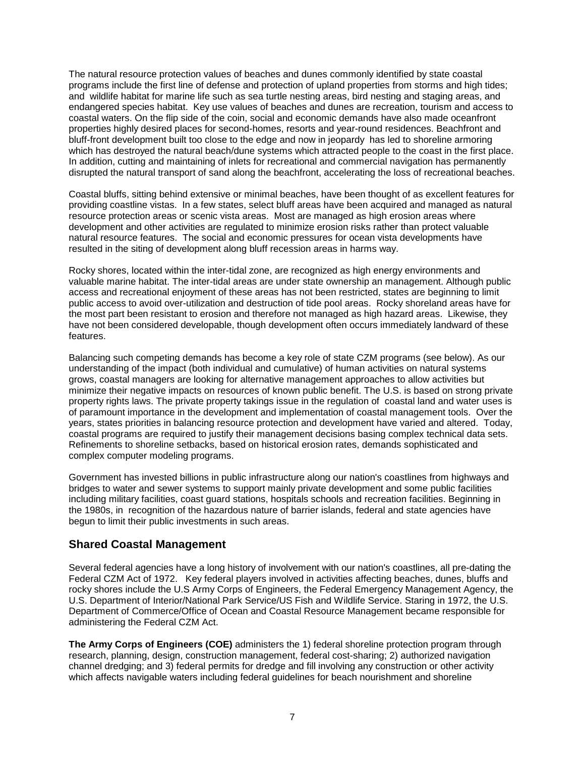The natural resource protection values of beaches and dunes commonly identified by state coastal programs include the first line of defense and protection of upland properties from storms and high tides; and wildlife habitat for marine life such as sea turtle nesting areas, bird nesting and staging areas, and endangered species habitat. Key use values of beaches and dunes are recreation, tourism and access to coastal waters. On the flip side of the coin, social and economic demands have also made oceanfront properties highly desired places for second-homes, resorts and year-round residences. Beachfront and bluff-front development built too close to the edge and now in jeopardy has led to shoreline armoring which has destroyed the natural beach/dune systems which attracted people to the coast in the first place. In addition, cutting and maintaining of inlets for recreational and commercial navigation has permanently disrupted the natural transport of sand along the beachfront, accelerating the loss of recreational beaches.

Coastal bluffs, sitting behind extensive or minimal beaches, have been thought of as excellent features for providing coastline vistas. In a few states, select bluff areas have been acquired and managed as natural resource protection areas or scenic vista areas. Most are managed as high erosion areas where development and other activities are regulated to minimize erosion risks rather than protect valuable natural resource features. The social and economic pressures for ocean vista developments have resulted in the siting of development along bluff recession areas in harms way.

Rocky shores, located within the inter-tidal zone, are recognized as high energy environments and valuable marine habitat. The inter-tidal areas are under state ownership an management. Although public access and recreational enjoyment of these areas has not been restricted, states are beginning to limit public access to avoid over-utilization and destruction of tide pool areas. Rocky shoreland areas have for the most part been resistant to erosion and therefore not managed as high hazard areas. Likewise, they have not been considered developable, though development often occurs immediately landward of these features.

Balancing such competing demands has become a key role of state CZM programs (see below). As our understanding of the impact (both individual and cumulative) of human activities on natural systems grows, coastal managers are looking for alternative management approaches to allow activities but minimize their negative impacts on resources of known public benefit. The U.S. is based on strong private property rights laws. The private property takings issue in the regulation of coastal land and water uses is of paramount importance in the development and implementation of coastal management tools. Over the years, states priorities in balancing resource protection and development have varied and altered. Today, coastal programs are required to justify their management decisions basing complex technical data sets. Refinements to shoreline setbacks, based on historical erosion rates, demands sophisticated and complex computer modeling programs.

Government has invested billions in public infrastructure along our nation's coastlines from highways and bridges to water and sewer systems to support mainly private development and some public facilities including military facilities, coast guard stations, hospitals schools and recreation facilities. Beginning in the 1980s, in recognition of the hazardous nature of barrier islands, federal and state agencies have begun to limit their public investments in such areas.

#### **Shared Coastal Management**

Several federal agencies have a long history of involvement with our nation's coastlines, all pre-dating the Federal CZM Act of 1972. Key federal players involved in activities affecting beaches, dunes, bluffs and rocky shores include the U.S Army Corps of Engineers, the Federal Emergency Management Agency, the U.S. Department of Interior/National Park Service/US Fish and Wildlife Service. Staring in 1972, the U.S. Department of Commerce/Office of Ocean and Coastal Resource Management became responsible for administering the Federal CZM Act.

**The Army Corps of Engineers (COE)** administers the 1) federal shoreline protection program through research, planning, design, construction management, federal cost-sharing; 2) authorized navigation channel dredging; and 3) federal permits for dredge and fill involving any construction or other activity which affects navigable waters including federal guidelines for beach nourishment and shoreline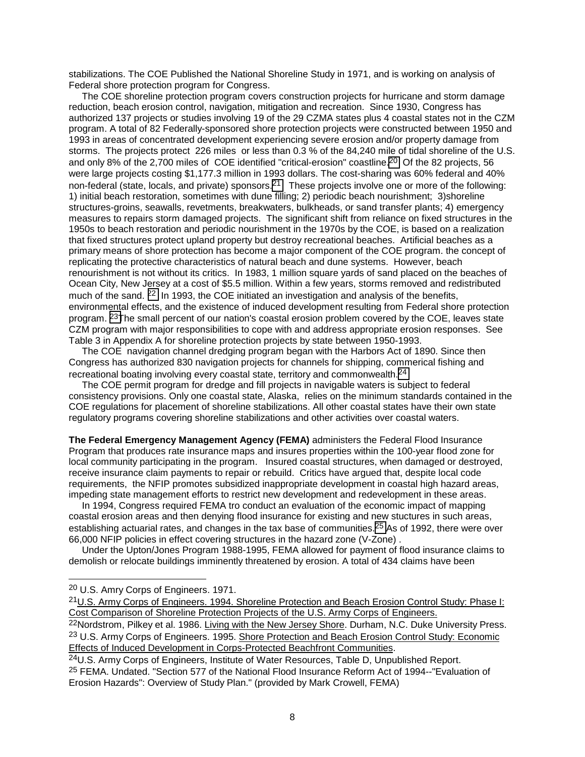stabilizations. The COE Published the National Shoreline Study in 1971, and is working on analysis of Federal shore protection program for Congress.

 The COE shoreline protection program covers construction projects for hurricane and storm damage reduction, beach erosion control, navigation, mitigation and recreation. Since 1930, Congress has authorized 137 projects or studies involving 19 of the 29 CZMA states plus 4 coastal states not in the CZM program. A total of 82 Federally-sponsored shore protection projects were constructed between 1950 and 1993 in areas of concentrated development experiencing severe erosion and/or property damage from storms. The projects protect 226 miles or less than 0.3 % of the 84,240 mile of tidal shoreline of the U.S. and only 8% of the 2,700 miles of COE identified "critical-erosion" coastline.<sup>20</sup> Of the 82 projects, 56 were large projects costing \$1,177.3 million in 1993 dollars. The cost-sharing was 60% federal and 40% non-federal (state, locals, and private) sponsors.<sup>21</sup> These projects involve one or more of the following: 1) initial beach restoration, sometimes with dune filling; 2) periodic beach nourishment; 3)shoreline structures-groins, seawalls, revetments, breakwaters, bulkheads, or sand transfer plants; 4) emergency measures to repairs storm damaged projects. The significant shift from reliance on fixed structures in the 1950s to beach restoration and periodic nourishment in the 1970s by the COE, is based on a realization that fixed structures protect upland property but destroy recreational beaches. Artificial beaches as a primary means of shore protection has become a major component of the COE program. the concept of replicating the protective characteristics of natural beach and dune systems. However, beach renourishment is not without its critics. In 1983, 1 million square yards of sand placed on the beaches of Ocean City, New Jersey at a cost of \$5.5 million. Within a few years, storms removed and redistributed much of the sand. <sup>22</sup> In 1993, the COE initiated an investigation and analysis of the benefits, environmental effects, and the existence of induced development resulting from Federal shore protection program. <sup>23</sup>The small percent of our nation's coastal erosion problem covered by the COE, leaves state CZM program with major responsibilities to cope with and address appropriate erosion responses. See Table 3 in Appendix A for shoreline protection projects by state between 1950-1993.

 The COE navigation channel dredging program began with the Harbors Act of 1890. Since then Congress has authorized 830 navigation projects for channels for shipping, commerical fishing and recreational boating involving every coastal state, territory and commonwealth.<sup>24</sup>

 The COE permit program for dredge and fill projects in navigable waters is subject to federal consistency provisions. Only one coastal state, Alaska, relies on the minimum standards contained in the COE regulations for placement of shoreline stabilizations. All other coastal states have their own state regulatory programs covering shoreline stabilizations and other activities over coastal waters.

**The Federal Emergency Management Agency (FEMA)** administers the Federal Flood Insurance Program that produces rate insurance maps and insures properties within the 100-year flood zone for local community participating in the program. Insured coastal structures, when damaged or destroyed, receive insurance claim payments to repair or rebuild. Critics have argued that, despite local code requirements, the NFIP promotes subsidized inappropriate development in coastal high hazard areas, impeding state management efforts to restrict new development and redevelopment in these areas.

 In 1994, Congress required FEMA tro conduct an evaluation of the economic impact of mapping coastal erosion areas and then denying flood insurance for existing and new stuctures in such areas, establishing actuarial rates, and changes in the tax base of communities.<sup>25</sup> As of 1992, there were over 66,000 NFIP policies in effect covering structures in the hazard zone (V-Zone) .

 Under the Upton/Jones Program 1988-1995, FEMA allowed for payment of flood insurance claims to demolish or relocate buildings imminently threatened by erosion. A total of 434 claims have been

l

<sup>22</sup>Nordstrom, Pilkey et al. 1986. Living with the New Jersey Shore. Durham, N.C. Duke University Press. 23 U.S. Army Corps of Engineers. 1995. Shore Protection and Beach Erosion Control Study: Economic Effects of Induced Development in Corps-Protected Beachfront Communities.

<sup>20</sup> U.S. Amry Corps of Engineers. 1971.

<sup>21</sup>U.S. Army Corps of Engineers. 1994. Shoreline Protection and Beach Erosion Control Study: Phase I: Cost Comparison of Shoreline Protection Projects of the U.S. Army Corps of Engineers.

<sup>24</sup>U.S. Army Corps of Engineers, Institute of Water Resources, Table D, Unpublished Report. 25 FEMA. Undated. "Section 577 of the National Flood Insurance Reform Act of 1994--"Evaluation of Erosion Hazards": Overview of Study Plan." (provided by Mark Crowell, FEMA)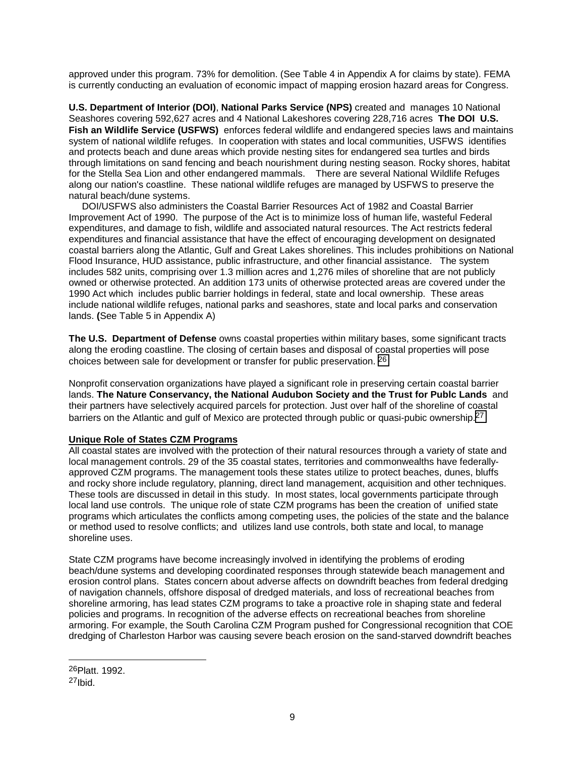approved under this program. 73% for demolition. (See Table 4 in Appendix A for claims by state). FEMA is currently conducting an evaluation of economic impact of mapping erosion hazard areas for Congress.

**U.S. Department of Interior (DOI)**, **National Parks Service (NPS)** created and manages 10 National Seashores covering 592,627 acres and 4 National Lakeshores covering 228,716 acres **The DOI U.S. Fish an Wildlife Service (USFWS)** enforces federal wildlife and endangered species laws and maintains system of national wildlife refuges. In cooperation with states and local communities, USFWS identifies and protects beach and dune areas which provide nesting sites for endangered sea turtles and birds through limitations on sand fencing and beach nourishment during nesting season. Rocky shores, habitat for the Stella Sea Lion and other endangered mammals. There are several National Wildlife Refuges along our nation's coastline. These national wildlife refuges are managed by USFWS to preserve the natural beach/dune systems.

 DOI/USFWS also administers the Coastal Barrier Resources Act of 1982 and Coastal Barrier Improvement Act of 1990. The purpose of the Act is to minimize loss of human life, wasteful Federal expenditures, and damage to fish, wildlife and associated natural resources. The Act restricts federal expenditures and financial assistance that have the effect of encouraging development on designated coastal barriers along the Atlantic, Gulf and Great Lakes shorelines. This includes prohibitions on National Flood Insurance, HUD assistance, public infrastructure, and other financial assistance. The system includes 582 units, comprising over 1.3 million acres and 1,276 miles of shoreline that are not publicly owned or otherwise protected. An addition 173 units of otherwise protected areas are covered under the 1990 Act which includes public barrier holdings in federal, state and local ownership. These areas include national wildlife refuges, national parks and seashores, state and local parks and conservation lands. **(**See Table 5 in Appendix A)

**The U.S. Department of Defense** owns coastal properties within military bases, some significant tracts along the eroding coastline. The closing of certain bases and disposal of coastal properties will pose choices between sale for development or transfer for public preservation. 26

Nonprofit conservation organizations have played a significant role in preserving certain coastal barrier lands. **The Nature Conservancy, the National Audubon Society and the Trust for Publc Lands** and their partners have selectively acquired parcels for protection. Just over half of the shoreline of coastal barriers on the Atlantic and gulf of Mexico are protected through public or quasi-pubic ownership.<sup>27</sup>

#### **Unique Role of States CZM Programs**

All coastal states are involved with the protection of their natural resources through a variety of state and local management controls. 29 of the 35 coastal states, territories and commonwealths have federallyapproved CZM programs. The management tools these states utilize to protect beaches, dunes, bluffs and rocky shore include regulatory, planning, direct land management, acquisition and other techniques. These tools are discussed in detail in this study. In most states, local governments participate through local land use controls. The unique role of state CZM programs has been the creation of unified state programs which articulates the conflicts among competing uses, the policies of the state and the balance or method used to resolve conflicts; and utilizes land use controls, both state and local, to manage shoreline uses.

State CZM programs have become increasingly involved in identifying the problems of eroding beach/dune systems and developing coordinated responses through statewide beach management and erosion control plans. States concern about adverse affects on downdrift beaches from federal dredging of navigation channels, offshore disposal of dredged materials, and loss of recreational beaches from shoreline armoring, has lead states CZM programs to take a proactive role in shaping state and federal policies and programs. In recognition of the adverse effects on recreational beaches from shoreline armoring. For example, the South Carolina CZM Program pushed for Congressional recognition that COE dredging of Charleston Harbor was causing severe beach erosion on the sand-starved downdrift beaches

l

<sup>26</sup>Platt. 1992.  $27$ Ibid.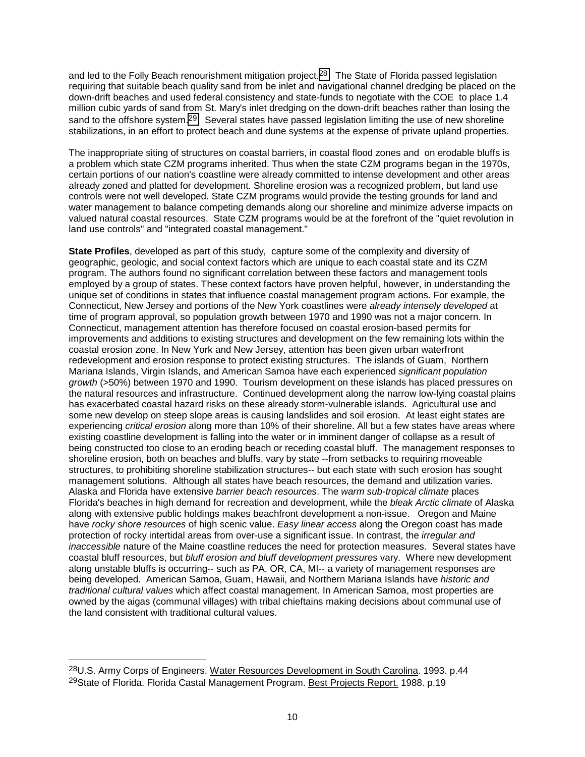and led to the Folly Beach renourishment mitigation project.<sup>28</sup> The State of Florida passed legislation requiring that suitable beach quality sand from be inlet and navigational channel dredging be placed on the down-drift beaches and used federal consistency and state-funds to negotiate with the COE to place 1.4 million cubic yards of sand from St. Mary's inlet dredging on the down-drift beaches rather than losing the sand to the offshore system.<sup>29</sup> Several states have passed legislation limiting the use of new shoreline stabilizations, in an effort to protect beach and dune systems at the expense of private upland properties.

The inappropriate siting of structures on coastal barriers, in coastal flood zones and on erodable bluffs is a problem which state CZM programs inherited. Thus when the state CZM programs began in the 1970s, certain portions of our nation's coastline were already committed to intense development and other areas already zoned and platted for development. Shoreline erosion was a recognized problem, but land use controls were not well developed. State CZM programs would provide the testing grounds for land and water management to balance competing demands along our shoreline and minimize adverse impacts on valued natural coastal resources. State CZM programs would be at the forefront of the "quiet revolution in land use controls" and "integrated coastal management."

**State Profiles**, developed as part of this study, capture some of the complexity and diversity of geographic, geologic, and social context factors which are unique to each coastal state and its CZM program. The authors found no significant correlation between these factors and management tools employed by a group of states. These context factors have proven helpful, however, in understanding the unique set of conditions in states that influence coastal management program actions. For example, the Connecticut, New Jersey and portions of the New York coastlines were *already intensely developed* at time of program approval, so population growth between 1970 and 1990 was not a major concern. In Connecticut, management attention has therefore focused on coastal erosion-based permits for improvements and additions to existing structures and development on the few remaining lots within the coastal erosion zone. In New York and New Jersey, attention has been given urban waterfront redevelopment and erosion response to protect existing structures. The islands of Guam, Northern Mariana Islands, Virgin Islands, and American Samoa have each experienced *significant population growth* (>50%) between 1970 and 1990. Tourism development on these islands has placed pressures on the natural resources and infrastructure. Continued development along the narrow low-lying coastal plains has exacerbated coastal hazard risks on these already storm-vulnerable islands. Agricultural use and some new develop on steep slope areas is causing landslides and soil erosion. At least eight states are experiencing *critical erosion* along more than 10% of their shoreline. All but a few states have areas where existing coastline development is falling into the water or in imminent danger of collapse as a result of being constructed too close to an eroding beach or receding coastal bluff. The management responses to shoreline erosion, both on beaches and bluffs, vary by state --from setbacks to requiring moveable structures, to prohibiting shoreline stabilization structures-- but each state with such erosion has sought management solutions. Although all states have beach resources, the demand and utilization varies. Alaska and Florida have extensive *barrier beach resources*. The *warm sub-tropical climate* places Florida's beaches in high demand for recreation and development, while the *bleak Arctic climate* of Alaska along with extensive public holdings makes beachfront development a non-issue. Oregon and Maine have *rocky shore resources* of high scenic value. *Easy linear access* along the Oregon coast has made protection of rocky intertidal areas from over-use a significant issue. In contrast, the *irregular and inaccessible* nature of the Maine coastline reduces the need for protection measures. Several states have coastal bluff resources, but *bluff erosion and bluff development pressures* vary. Where new development along unstable bluffs is occurring-- such as PA, OR, CA, MI-- a variety of management responses are being developed. American Samoa, Guam, Hawaii, and Northern Mariana Islands have *historic and traditional cultural values* which affect coastal management. In American Samoa, most properties are owned by the aigas (communal villages) with tribal chieftains making decisions about communal use of the land consistent with traditional cultural values.

l

<sup>28</sup>U.S. Army Corps of Engineers. Water Resources Development in South Carolina. 1993. p.44 29State of Florida. Florida Castal Management Program. Best Projects Report. 1988. p.19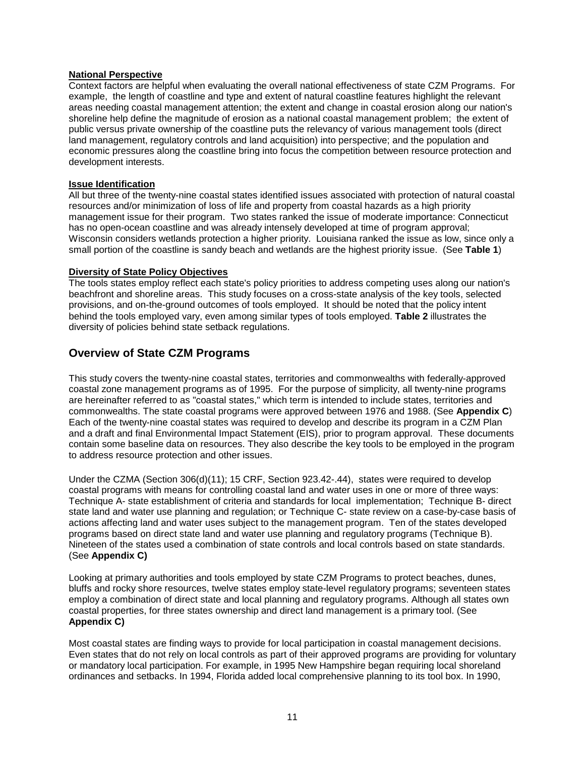#### **National Perspective**

Context factors are helpful when evaluating the overall national effectiveness of state CZM Programs. For example, the length of coastline and type and extent of natural coastline features highlight the relevant areas needing coastal management attention; the extent and change in coastal erosion along our nation's shoreline help define the magnitude of erosion as a national coastal management problem; the extent of public versus private ownership of the coastline puts the relevancy of various management tools (direct land management, regulatory controls and land acquisition) into perspective; and the population and economic pressures along the coastline bring into focus the competition between resource protection and development interests.

#### **Issue Identification**

All but three of the twenty-nine coastal states identified issues associated with protection of natural coastal resources and/or minimization of loss of life and property from coastal hazards as a high priority management issue for their program. Two states ranked the issue of moderate importance: Connecticut has no open-ocean coastline and was already intensely developed at time of program approval; Wisconsin considers wetlands protection a higher priority. Louisiana ranked the issue as low, since only a small portion of the coastline is sandy beach and wetlands are the highest priority issue. (See **Table 1**)

#### **Diversity of State Policy Objectives**

The tools states employ reflect each state's policy priorities to address competing uses along our nation's beachfront and shoreline areas. This study focuses on a cross-state analysis of the key tools, selected provisions, and on-the-ground outcomes of tools employed. It should be noted that the policy intent behind the tools employed vary, even among similar types of tools employed. **Table 2** illustrates the diversity of policies behind state setback regulations.

#### **Overview of State CZM Programs**

This study covers the twenty-nine coastal states, territories and commonwealths with federally-approved coastal zone management programs as of 1995. For the purpose of simplicity, all twenty-nine programs are hereinafter referred to as "coastal states," which term is intended to include states, territories and commonwealths. The state coastal programs were approved between 1976 and 1988. (See **Appendix C**) Each of the twenty-nine coastal states was required to develop and describe its program in a CZM Plan and a draft and final Environmental Impact Statement (EIS), prior to program approval. These documents contain some baseline data on resources. They also describe the key tools to be employed in the program to address resource protection and other issues.

Under the CZMA (Section 306(d)(11); 15 CRF, Section 923.42-.44), states were required to develop coastal programs with means for controlling coastal land and water uses in one or more of three ways: Technique A- state establishment of criteria and standards for local implementation; Technique B- direct state land and water use planning and regulation; or Technique C- state review on a case-by-case basis of actions affecting land and water uses subject to the management program. Ten of the states developed programs based on direct state land and water use planning and regulatory programs (Technique B). Nineteen of the states used a combination of state controls and local controls based on state standards. (See **Appendix C)**

Looking at primary authorities and tools employed by state CZM Programs to protect beaches, dunes, bluffs and rocky shore resources, twelve states employ state-level regulatory programs; seventeen states employ a combination of direct state and local planning and regulatory programs. Although all states own coastal properties, for three states ownership and direct land management is a primary tool. (See **Appendix C)**

Most coastal states are finding ways to provide for local participation in coastal management decisions. Even states that do not rely on local controls as part of their approved programs are providing for voluntary or mandatory local participation. For example, in 1995 New Hampshire began requiring local shoreland ordinances and setbacks. In 1994, Florida added local comprehensive planning to its tool box. In 1990,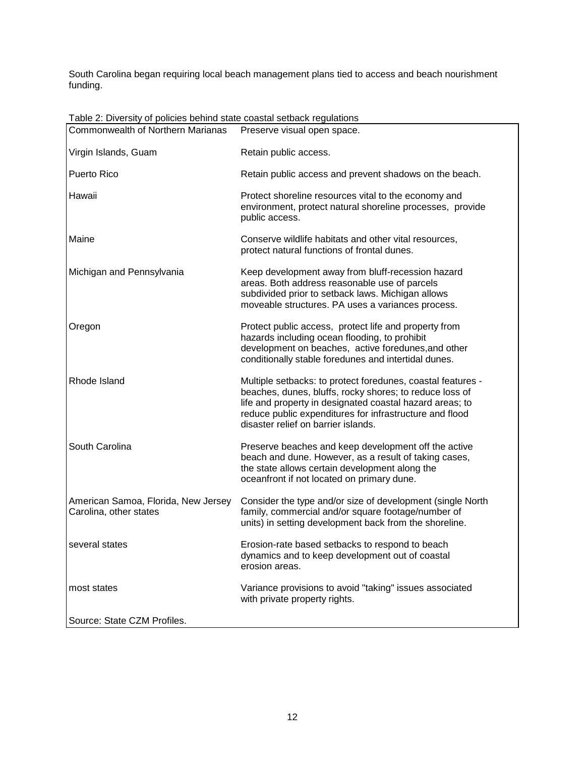South Carolina began requiring local beach management plans tied to access and beach nourishment funding.

| Commonwealth of Northern Marianas                             | Preserve visual open space.                                                                                                                                                                                                                                                          |
|---------------------------------------------------------------|--------------------------------------------------------------------------------------------------------------------------------------------------------------------------------------------------------------------------------------------------------------------------------------|
| Virgin Islands, Guam                                          | Retain public access.                                                                                                                                                                                                                                                                |
| <b>Puerto Rico</b>                                            | Retain public access and prevent shadows on the beach.                                                                                                                                                                                                                               |
| Hawaii                                                        | Protect shoreline resources vital to the economy and<br>environment, protect natural shoreline processes, provide<br>public access.                                                                                                                                                  |
| Maine                                                         | Conserve wildlife habitats and other vital resources,<br>protect natural functions of frontal dunes.                                                                                                                                                                                 |
| Michigan and Pennsylvania                                     | Keep development away from bluff-recession hazard<br>areas. Both address reasonable use of parcels<br>subdivided prior to setback laws. Michigan allows<br>moveable structures. PA uses a variances process.                                                                         |
| Oregon                                                        | Protect public access, protect life and property from<br>hazards including ocean flooding, to prohibit<br>development on beaches, active foredunes, and other<br>conditionally stable foredunes and intertidal dunes.                                                                |
| Rhode Island                                                  | Multiple setbacks: to protect foredunes, coastal features -<br>beaches, dunes, bluffs, rocky shores; to reduce loss of<br>life and property in designated coastal hazard areas; to<br>reduce public expenditures for infrastructure and flood<br>disaster relief on barrier islands. |
| South Carolina                                                | Preserve beaches and keep development off the active<br>beach and dune. However, as a result of taking cases,<br>the state allows certain development along the<br>oceanfront if not located on primary dune.                                                                        |
| American Samoa, Florida, New Jersey<br>Carolina, other states | Consider the type and/or size of development (single North<br>family, commercial and/or square footage/number of<br>units) in setting development back from the shoreline.                                                                                                           |
| several states                                                | Erosion-rate based setbacks to respond to beach<br>dynamics and to keep development out of coastal<br>erosion areas.                                                                                                                                                                 |
| most states                                                   | Variance provisions to avoid "taking" issues associated<br>with private property rights.                                                                                                                                                                                             |
| Source: State CZM Profiles.                                   |                                                                                                                                                                                                                                                                                      |

Table 2: Diversity of policies behind state coastal setback regulations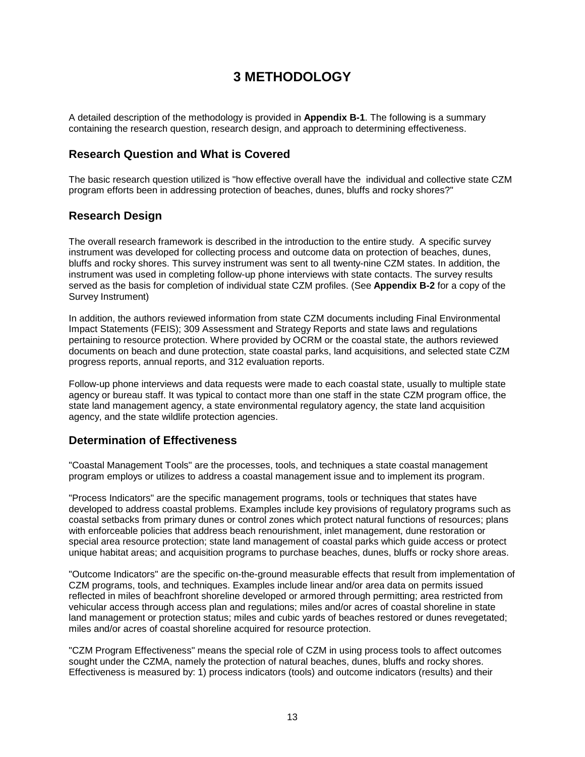## **3 METHODOLOGY**

A detailed description of the methodology is provided in **Appendix B-1**. The following is a summary containing the research question, research design, and approach to determining effectiveness.

#### **Research Question and What is Covered**

The basic research question utilized is "how effective overall have the individual and collective state CZM program efforts been in addressing protection of beaches, dunes, bluffs and rocky shores?"

#### **Research Design**

The overall research framework is described in the introduction to the entire study. A specific survey instrument was developed for collecting process and outcome data on protection of beaches, dunes, bluffs and rocky shores. This survey instrument was sent to all twenty-nine CZM states. In addition, the instrument was used in completing follow-up phone interviews with state contacts. The survey results served as the basis for completion of individual state CZM profiles. (See **Appendix B-2** for a copy of the Survey Instrument)

In addition, the authors reviewed information from state CZM documents including Final Environmental Impact Statements (FEIS); 309 Assessment and Strategy Reports and state laws and regulations pertaining to resource protection. Where provided by OCRM or the coastal state, the authors reviewed documents on beach and dune protection, state coastal parks, land acquisitions, and selected state CZM progress reports, annual reports, and 312 evaluation reports.

Follow-up phone interviews and data requests were made to each coastal state, usually to multiple state agency or bureau staff. It was typical to contact more than one staff in the state CZM program office, the state land management agency, a state environmental regulatory agency, the state land acquisition agency, and the state wildlife protection agencies.

#### **Determination of Effectiveness**

"Coastal Management Tools" are the processes, tools, and techniques a state coastal management program employs or utilizes to address a coastal management issue and to implement its program.

"Process Indicators" are the specific management programs, tools or techniques that states have developed to address coastal problems. Examples include key provisions of regulatory programs such as coastal setbacks from primary dunes or control zones which protect natural functions of resources; plans with enforceable policies that address beach renourishment, inlet management, dune restoration or special area resource protection; state land management of coastal parks which guide access or protect unique habitat areas; and acquisition programs to purchase beaches, dunes, bluffs or rocky shore areas.

"Outcome Indicators" are the specific on-the-ground measurable effects that result from implementation of CZM programs, tools, and techniques. Examples include linear and/or area data on permits issued reflected in miles of beachfront shoreline developed or armored through permitting; area restricted from vehicular access through access plan and regulations; miles and/or acres of coastal shoreline in state land management or protection status; miles and cubic yards of beaches restored or dunes revegetated; miles and/or acres of coastal shoreline acquired for resource protection.

"CZM Program Effectiveness" means the special role of CZM in using process tools to affect outcomes sought under the CZMA, namely the protection of natural beaches, dunes, bluffs and rocky shores. Effectiveness is measured by: 1) process indicators (tools) and outcome indicators (results) and their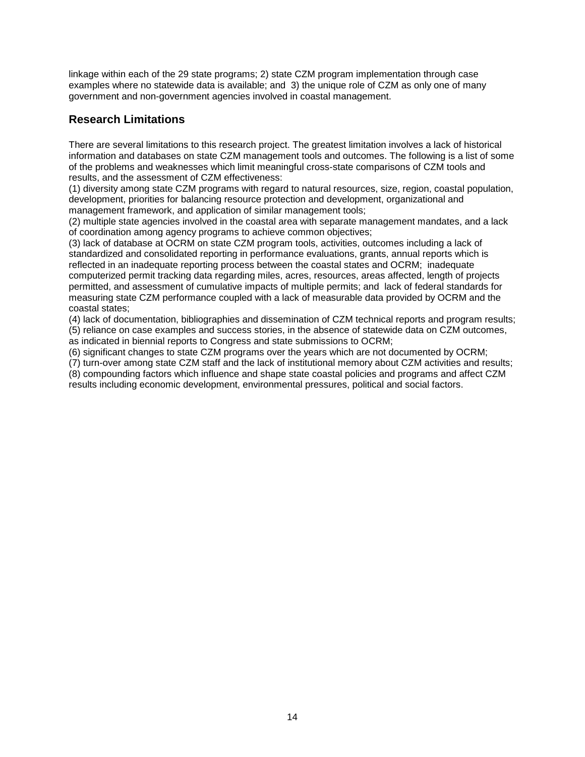linkage within each of the 29 state programs; 2) state CZM program implementation through case examples where no statewide data is available; and 3) the unique role of CZM as only one of many government and non-government agencies involved in coastal management.

#### **Research Limitations**

There are several limitations to this research project. The greatest limitation involves a lack of historical information and databases on state CZM management tools and outcomes. The following is a list of some of the problems and weaknesses which limit meaningful cross-state comparisons of CZM tools and results, and the assessment of CZM effectiveness:

(1) diversity among state CZM programs with regard to natural resources, size, region, coastal population, development, priorities for balancing resource protection and development, organizational and management framework, and application of similar management tools;

(2) multiple state agencies involved in the coastal area with separate management mandates, and a lack of coordination among agency programs to achieve common objectives;

(3) lack of database at OCRM on state CZM program tools, activities, outcomes including a lack of standardized and consolidated reporting in performance evaluations, grants, annual reports which is reflected in an inadequate reporting process between the coastal states and OCRM; inadequate computerized permit tracking data regarding miles, acres, resources, areas affected, length of projects permitted, and assessment of cumulative impacts of multiple permits; and lack of federal standards for measuring state CZM performance coupled with a lack of measurable data provided by OCRM and the coastal states;

(4) lack of documentation, bibliographies and dissemination of CZM technical reports and program results; (5) reliance on case examples and success stories, in the absence of statewide data on CZM outcomes, as indicated in biennial reports to Congress and state submissions to OCRM;

(6) significant changes to state CZM programs over the years which are not documented by OCRM;

(7) turn-over among state CZM staff and the lack of institutional memory about CZM activities and results; (8) compounding factors which influence and shape state coastal policies and programs and affect CZM

results including economic development, environmental pressures, political and social factors.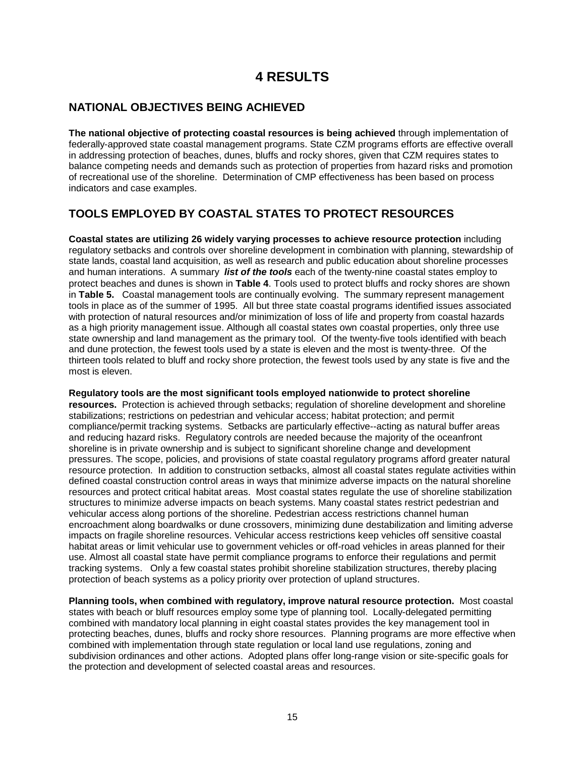## **4 RESULTS**

#### **NATIONAL OBJECTIVES BEING ACHIEVED**

**The national objective of protecting coastal resources is being achieved** through implementation of federally-approved state coastal management programs. State CZM programs efforts are effective overall in addressing protection of beaches, dunes, bluffs and rocky shores, given that CZM requires states to balance competing needs and demands such as protection of properties from hazard risks and promotion of recreational use of the shoreline. Determination of CMP effectiveness has been based on process indicators and case examples.

#### **TOOLS EMPLOYED BY COASTAL STATES TO PROTECT RESOURCES**

**Coastal states are utilizing 26 widely varying processes to achieve resource protection** including regulatory setbacks and controls over shoreline development in combination with planning, stewardship of state lands, coastal land acquisition, as well as research and public education about shoreline processes and human interations. A summary *list of the tools* each of the twenty-nine coastal states employ to protect beaches and dunes is shown in **Table 4**. Tools used to protect bluffs and rocky shores are shown in **Table 5.** Coastal management tools are continually evolving. The summary represent management tools in place as of the summer of 1995. All but three state coastal programs identified issues associated with protection of natural resources and/or minimization of loss of life and property from coastal hazards as a high priority management issue. Although all coastal states own coastal properties, only three use state ownership and land management as the primary tool. Of the twenty-five tools identified with beach and dune protection, the fewest tools used by a state is eleven and the most is twenty-three. Of the thirteen tools related to bluff and rocky shore protection, the fewest tools used by any state is five and the most is eleven.

**Regulatory tools are the most significant tools employed nationwide to protect shoreline**

**resources.** Protection is achieved through setbacks; regulation of shoreline development and shoreline stabilizations; restrictions on pedestrian and vehicular access; habitat protection; and permit compliance/permit tracking systems. Setbacks are particularly effective--acting as natural buffer areas and reducing hazard risks. Regulatory controls are needed because the majority of the oceanfront shoreline is in private ownership and is subject to significant shoreline change and development pressures. The scope, policies, and provisions of state coastal regulatory programs afford greater natural resource protection. In addition to construction setbacks, almost all coastal states regulate activities within defined coastal construction control areas in ways that minimize adverse impacts on the natural shoreline resources and protect critical habitat areas. Most coastal states regulate the use of shoreline stabilization structures to minimize adverse impacts on beach systems. Many coastal states restrict pedestrian and vehicular access along portions of the shoreline. Pedestrian access restrictions channel human encroachment along boardwalks or dune crossovers, minimizing dune destabilization and limiting adverse impacts on fragile shoreline resources. Vehicular access restrictions keep vehicles off sensitive coastal habitat areas or limit vehicular use to government vehicles or off-road vehicles in areas planned for their use. Almost all coastal state have permit compliance programs to enforce their regulations and permit tracking systems. Only a few coastal states prohibit shoreline stabilization structures, thereby placing protection of beach systems as a policy priority over protection of upland structures.

**Planning tools, when combined with regulatory, improve natural resource protection.** Most coastal states with beach or bluff resources employ some type of planning tool. Locally-delegated permitting combined with mandatory local planning in eight coastal states provides the key management tool in protecting beaches, dunes, bluffs and rocky shore resources. Planning programs are more effective when combined with implementation through state regulation or local land use regulations, zoning and subdivision ordinances and other actions. Adopted plans offer long-range vision or site-specific goals for the protection and development of selected coastal areas and resources.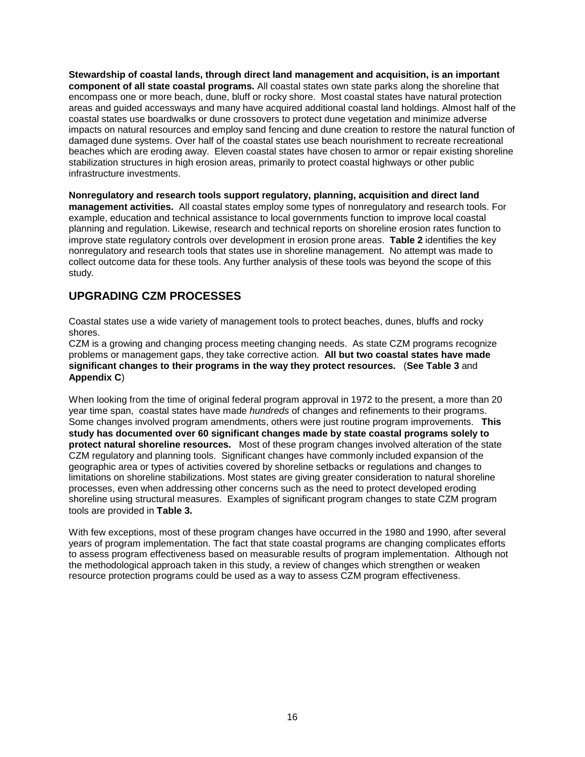**Stewardship of coastal lands, through direct land management and acquisition, is an important component of all state coastal programs.** All coastal states own state parks along the shoreline that encompass one or more beach, dune, bluff or rocky shore. Most coastal states have natural protection areas and guided accessways and many have acquired additional coastal land holdings. Almost half of the coastal states use boardwalks or dune crossovers to protect dune vegetation and minimize adverse impacts on natural resources and employ sand fencing and dune creation to restore the natural function of damaged dune systems. Over half of the coastal states use beach nourishment to recreate recreational beaches which are eroding away. Eleven coastal states have chosen to armor or repair existing shoreline stabilization structures in high erosion areas, primarily to protect coastal highways or other public infrastructure investments.

**Nonregulatory and research tools support regulatory, planning, acquisition and direct land management activities.** All coastal states employ some types of nonregulatory and research tools. For example, education and technical assistance to local governments function to improve local coastal planning and regulation. Likewise, research and technical reports on shoreline erosion rates function to improve state regulatory controls over development in erosion prone areas. **Table 2** identifies the key nonregulatory and research tools that states use in shoreline management. No attempt was made to collect outcome data for these tools. Any further analysis of these tools was beyond the scope of this study.

#### **UPGRADING CZM PROCESSES**

Coastal states use a wide variety of management tools to protect beaches, dunes, bluffs and rocky shores.

CZM is a growing and changing process meeting changing needs. As state CZM programs recognize problems or management gaps, they take corrective action. **All but two coastal states have made significant changes to their programs in the way they protect resources.** (**See Table 3** and **Appendix C**)

When looking from the time of original federal program approval in 1972 to the present, a more than 20 year time span, coastal states have made *hundreds* of changes and refinements to their programs. Some changes involved program amendments, others were just routine program improvements. **This study has documented over 60 significant changes made by state coastal programs solely to protect natural shoreline resources.** Most of these program changes involved alteration of the state CZM regulatory and planning tools. Significant changes have commonly included expansion of the geographic area or types of activities covered by shoreline setbacks or regulations and changes to limitations on shoreline stabilizations. Most states are giving greater consideration to natural shoreline processes, even when addressing other concerns such as the need to protect developed eroding shoreline using structural measures. Examples of significant program changes to state CZM program tools are provided in **Table 3.**

With few exceptions, most of these program changes have occurred in the 1980 and 1990, after several years of program implementation. The fact that state coastal programs are changing complicates efforts to assess program effectiveness based on measurable results of program implementation. Although not the methodological approach taken in this study, a review of changes which strengthen or weaken resource protection programs could be used as a way to assess CZM program effectiveness.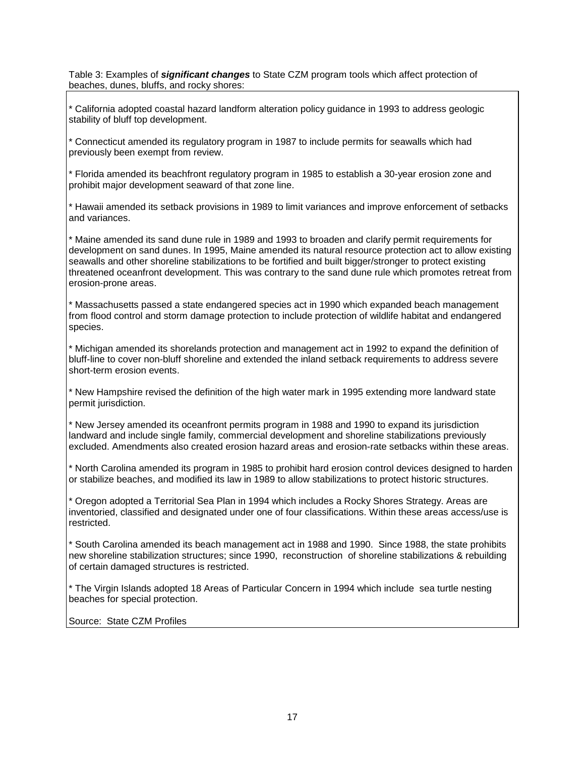Table 3: Examples of *significant changes* to State CZM program tools which affect protection of beaches, dunes, bluffs, and rocky shores:

\* California adopted coastal hazard landform alteration policy guidance in 1993 to address geologic stability of bluff top development.

\* Connecticut amended its regulatory program in 1987 to include permits for seawalls which had previously been exempt from review.

\* Florida amended its beachfront regulatory program in 1985 to establish a 30-year erosion zone and prohibit major development seaward of that zone line.

\* Hawaii amended its setback provisions in 1989 to limit variances and improve enforcement of setbacks and variances.

\* Maine amended its sand dune rule in 1989 and 1993 to broaden and clarify permit requirements for development on sand dunes. In 1995, Maine amended its natural resource protection act to allow existing seawalls and other shoreline stabilizations to be fortified and built bigger/stronger to protect existing threatened oceanfront development. This was contrary to the sand dune rule which promotes retreat from erosion-prone areas.

\* Massachusetts passed a state endangered species act in 1990 which expanded beach management from flood control and storm damage protection to include protection of wildlife habitat and endangered species.

\* Michigan amended its shorelands protection and management act in 1992 to expand the definition of bluff-line to cover non-bluff shoreline and extended the inland setback requirements to address severe short-term erosion events.

\* New Hampshire revised the definition of the high water mark in 1995 extending more landward state permit jurisdiction.

\* New Jersey amended its oceanfront permits program in 1988 and 1990 to expand its jurisdiction landward and include single family, commercial development and shoreline stabilizations previously excluded. Amendments also created erosion hazard areas and erosion-rate setbacks within these areas.

\* North Carolina amended its program in 1985 to prohibit hard erosion control devices designed to harden or stabilize beaches, and modified its law in 1989 to allow stabilizations to protect historic structures.

\* Oregon adopted a Territorial Sea Plan in 1994 which includes a Rocky Shores Strategy. Areas are inventoried, classified and designated under one of four classifications. Within these areas access/use is restricted.

\* South Carolina amended its beach management act in 1988 and 1990. Since 1988, the state prohibits new shoreline stabilization structures; since 1990, reconstruction of shoreline stabilizations & rebuilding of certain damaged structures is restricted.

\* The Virgin Islands adopted 18 Areas of Particular Concern in 1994 which include sea turtle nesting beaches for special protection.

Source: State CZM Profiles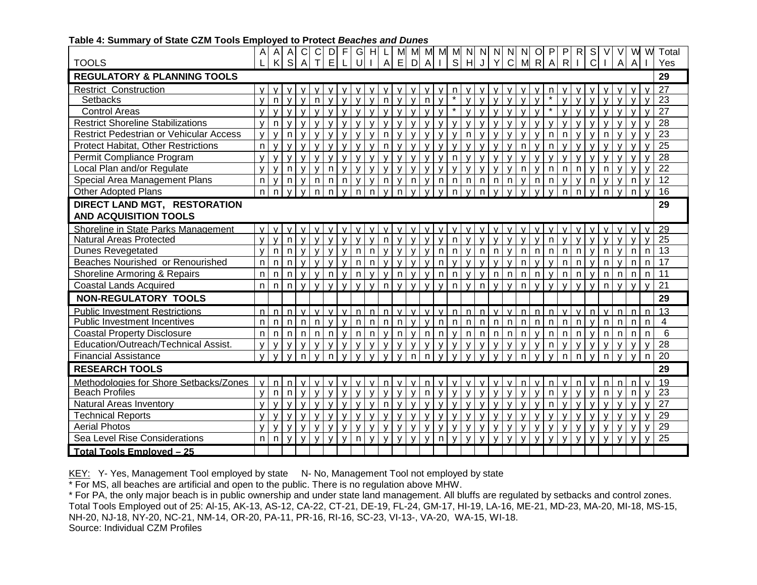| <b>TOOLS</b>                                   | A            | $\mathsf{A}$<br>$\mathsf{K}$ | A<br>$\vert$ S | $\mathsf{C}$<br>$\mathsf{A}$ | $\mathsf{C}$<br>T | D<br>$\mathsf E$ | $\mathsf{F}$ | G<br>$\cup$    | H              | $\frac{L}{A}$ | M<br>$\mathsf E$ | M<br>D         | M<br>$\overline{A}$ | M<br>$\mathbf{I}$ | M<br>S       | N<br>H       | $\overline{N}$<br>J | N<br>Y       | N<br>$\mathsf{C}$ | $\mathsf{N}$ | $\circ$<br>$M$ R A | P            | P<br>$\mathsf{R}$ | $\mathsf{R}$ | ${\mathsf S}$<br>$\mathsf{C}$ | V            | V<br>$\overline{A}$ | W<br>$\mathsf{A}$ | W            | Total<br>Yes    |
|------------------------------------------------|--------------|------------------------------|----------------|------------------------------|-------------------|------------------|--------------|----------------|----------------|---------------|------------------|----------------|---------------------|-------------------|--------------|--------------|---------------------|--------------|-------------------|--------------|--------------------|--------------|-------------------|--------------|-------------------------------|--------------|---------------------|-------------------|--------------|-----------------|
| <b>REGULATORY &amp; PLANNING TOOLS</b>         |              |                              |                |                              |                   |                  |              |                |                |               |                  |                |                     |                   |              |              |                     |              |                   |              |                    |              |                   |              |                               |              |                     |                   |              | 29              |
| <b>Restrict Construction</b>                   | v            | $\mathsf{V}$                 | $\mathsf{V}$   | $\mathsf{V}$                 | v                 |                  |              |                |                | $\mathsf{V}$  | v                |                | v                   | v                 | n            | $\mathsf{V}$ | v                   | $\mathsf{V}$ |                   |              | $\mathsf{V}$       | n            |                   |              |                               |              |                     |                   |              | 27              |
| <b>Setbacks</b>                                | $\mathsf{V}$ | n                            | $\mathbf{V}$   | $\mathbf{v}$                 | $\mathsf{n}$      | $\mathbf{v}$     | $\mathbf{v}$ | $\overline{V}$ | $\mathbf{V}$   | $\mathsf{n}$  | $\mathbf{v}$     | $\overline{V}$ | $\overline{n}$      | $\mathbf{v}$      | $\star$      | $\mathsf{V}$ | $\mathbf{v}$        | V            | $\mathbf{V}$      | $\mathbf{v}$ | $\mathsf{v}$       | $\star$      | $\mathbf{v}$      | $\mathbf{v}$ | $\overline{V}$                | $\mathbf{v}$ | $\mathbf{v}$        | $\overline{V}$    | $\mathbf{V}$ | $\overline{23}$ |
| <b>Control Areas</b>                           | $\mathsf{V}$ | $\mathsf{v}$                 | $\mathsf{V}$   | $\mathsf{v}$                 |                   |                  | $\mathbf{v}$ |                | $\mathsf{V}$   | $\mathsf{v}$  | $\mathbf{v}$     | $\mathbf{v}$   | $\mathsf{V}$        | $\mathsf{v}$      | $\star$      | $\mathsf{v}$ | $\mathbf{v}$        | $\mathbf{v}$ |                   |              | $\mathbf{v}$       | $\star$      | $\mathsf{v}$      |              |                               | $\mathbf{v}$ | $\vee$              |                   |              | 27              |
| <b>Restrict Shoreline Stabilizations</b>       | $\mathsf{v}$ | n                            | $\mathsf{V}$   | $\mathsf{V}$                 | $\mathsf{v}$      |                  | $\mathbf{v}$ | $\mathsf{v}$   | $\mathbf{v}$   | $\mathsf{V}$  | $\mathsf{v}$     | V              | $\mathsf{V}$        | $\mathsf{V}$      | $\mathbf{v}$ | $\mathsf{V}$ | v                   | $\mathsf{v}$ | $\mathsf{v}$      | v            | $\mathsf{v}$       | $\mathsf{V}$ | v                 | $\mathsf{V}$ |                               | $\mathsf{v}$ | $\mathsf{v}$        |                   |              | 28              |
| <b>Restrict Pedestrian or Vehicular Access</b> | $\mathsf{v}$ | $\mathbf{v}$                 | n              | $\mathbf{V}$                 | $\mathbf{V}$      |                  |              | $\mathbf{v}$   | $\mathbf{V}$   | $\mathsf{n}$  | $\mathbf{v}$     | $\mathbf{v}$   | $\mathbf{V}$        | $\mathbf{v}$      | $\mathbf{v}$ | n            | $\mathsf{v}$        | $\mathbf{V}$ |                   | $\mathbf{v}$ | $\mathsf{V}$       | n.           | $\mathsf{n}$      | $\mathbf{v}$ |                               | n            | $\mathbf{v}$        |                   |              | $\overline{23}$ |
| <b>Protect Habitat, Other Restrictions</b>     | n            |                              | $\mathsf{V}$   | $\mathsf{V}$                 |                   |                  | $\mathsf{v}$ |                |                | $\mathsf{n}$  | $\mathsf{v}$     |                | $\mathbf{v}$        |                   |              |              |                     | $\mathsf{v}$ |                   | n            | v                  | n.           | $\mathsf{v}$      |              |                               |              |                     |                   |              | $\overline{25}$ |
| Permit Compliance Program                      | $\mathsf{v}$ | $\mathbf{v}$                 | $\mathsf{V}$   | $\mathsf{V}$                 | $\mathsf{V}$      | $\mathbf{v}$     | $\mathbf{v}$ | $\mathbf{V}$   | $\mathbf{v}$   | $\mathsf{V}$  | $\mathsf{V}$     | $\mathbf{v}$   | $\mathsf{V}$        | v                 | n            | $\mathsf{V}$ | $\mathsf{V}$        | $\mathsf{V}$ |                   | $\mathsf{v}$ | $\mathsf{V}$       | $\mathbf{V}$ | $\mathsf{V}$      | $\mathsf{V}$ | $\mathbf{v}$                  | $\mathsf{V}$ |                     |                   |              | $\overline{28}$ |
| Local Plan and/or Regulate                     | $\mathsf{v}$ | V                            | n              | $\mathsf{V}$                 | $\mathsf{V}$      | n                | $\mathsf{V}$ | $\mathbf{V}$   | $\mathsf{V}$   | $\mathsf{v}$  | $\mathsf{V}$     | v              | $\mathsf{v}$        | $\vee$            | $\mathsf{V}$ | $\mathsf{V}$ | $\mathsf{V}$        | $\mathsf{V}$ | v                 | n            | $\mathsf{v}$       | n            | $\mathsf{n}$      | $\mathsf{n}$ | $\vee$                        | $\mathsf{n}$ | $\mathsf{v}$        | $\mathbf{v}$      | $\mathsf{V}$ | $\overline{22}$ |
| Special Area Management Plans                  | $\mathsf{n}$ | v                            | n              | $\mathsf{V}$                 | n                 | $\mathsf{n}$     | $\mathsf{n}$ | $\mathsf{v}$   | $\mathsf{V}$   | n             | $\mathsf{V}$     | n              | $\mathsf{V}$        | n                 | n            | n            | n                   | n            | n                 | $\mathsf{V}$ | $\mathsf{n}$       | n            | $\mathsf{V}$      | $\mathsf{V}$ | n.                            | $\mathsf{V}$ | $\mathsf{V}$        | n.                | $\mathsf{V}$ | 12              |
| <b>Other Adopted Plans</b>                     | n            | $\mathsf{n}$                 | $\mathsf{V}$   | $\mathsf{V}$                 | n                 | n                | $\mathsf{V}$ | $\mathsf{n}$   | $\mathsf{n}$   | $\mathsf{v}$  | $\mathsf{n}$     | $\mathsf{V}$   | $\mathbf{V}$        | $\mathsf{V}$      | n.           | $\mathbf{v}$ | n                   | $\mathbf{V}$ |                   | $\mathsf{v}$ | $\mathbf{V}$       | $\mathsf{v}$ | $\mathsf{n}$      | $\mathsf{n}$ | $\mathbf{v}$                  | $\mathsf{n}$ | $\mathsf{V}$        | $\mathsf{n}$      | $\mathbf{v}$ | 16              |
| DIRECT LAND MGT, RESTORATION                   |              |                              |                |                              |                   |                  |              |                |                |               |                  |                |                     |                   |              |              |                     |              |                   |              |                    |              |                   |              |                               |              |                     |                   |              | 29              |
| <b>AND ACQUISITION TOOLS</b>                   |              |                              |                |                              |                   |                  |              |                |                |               |                  |                |                     |                   |              |              |                     |              |                   |              |                    |              |                   |              |                               |              |                     |                   |              |                 |
| Shoreline in State Parks Management            | v            |                              |                | $\mathsf{V}$                 |                   |                  |              |                |                |               |                  |                | v                   |                   |              |              |                     |              |                   |              | v                  | v            |                   |              |                               |              |                     |                   |              | 29              |
| <b>Natural Areas Protected</b>                 | $\mathsf{V}$ | $\mathsf{v}$                 | n              | $\mathsf{V}$                 | $\mathbf{v}$      | $\mathsf{V}$     | $\mathsf{v}$ | $\mathbf{V}$   | $\mathsf{V}$   | $\mathsf{n}$  | $\mathsf{V}$     | $\mathbf{v}$   | $\mathsf{v}$        | $\mathsf{V}$      | n            | $\mathsf{V}$ | $\mathsf{v}$        | $\mathsf{V}$ |                   | $\vee$       | $\mathsf{V}$       | n.           | $\mathsf{v}$      | $\mathsf{V}$ | $\mathbf{v}$                  | $\mathsf{v}$ | $\mathsf{V}$        | $\mathbf{V}$      | $\mathsf{v}$ | 25              |
| <b>Dunes Revegetated</b>                       | $\mathsf{V}$ | n.                           | $\mathsf{n}$   | $\mathsf{V}$                 | $\mathsf{v}$      | $\mathbf{V}$     | $\mathsf{V}$ | $\mathsf{n}$   | $\mathsf{n}$   | $\mathsf{V}$  | $\mathsf{V}$     | V              | $\mathsf{v}$        | n.                | $\mathsf{n}$ | $\mathsf{v}$ | n                   | n            | $\mathsf{V}$      | $\mathsf{n}$ | $\mathsf{n}$       | n            | $\mathsf{n}$      | $\mathsf{n}$ | $\mathbf{v}$                  | $\mathsf{n}$ | $\mathsf{V}$        | n.                | $\mathsf{n}$ | $\overline{13}$ |
| Beaches Nourished or Renourished               | $\mathsf{n}$ | n.                           | $\mathsf{n}$   | $\mathsf{V}$                 | $\mathsf{v}$      | $\mathsf{V}$     | $\vee$       | $\mathsf{n}$   | $\mathsf{n}$   | $\mathsf{v}$  | $\mathbf{v}$     | $\mathbf v$    | $\mathsf{v}$        | n.                | $\mathsf{v}$ | $\mathsf{v}$ | $\mathsf{v}$        | $\mathsf{V}$ | $\mathsf{v}$      | n            | $\mathbf{v}$       | $\mathsf{v}$ | n.                | $\mathsf{n}$ | $\mathbf{v}$                  | $\mathsf{n}$ | $\mathsf{V}$        | n.                | n            | $\overline{17}$ |
| Shoreline Armoring & Repairs                   | n            | n                            | n.             | $\mathsf{V}$                 | $\mathsf{v}$      | n                | v            | $\mathsf{n}$   | $\mathsf{V}$   | $\mathsf{v}$  | $\mathsf{n}$     | $\mathsf{v}$   | $\mathsf{V}$        | n.                | n            | $\mathsf{V}$ | $\mathsf{v}$        | n            | $\mathsf{n}$      | $\mathsf{n}$ | $\mathsf{n}$       | $\mathsf{V}$ | n                 | $\mathsf{n}$ | $\mathbf{v}$                  | $\mathsf{n}$ | $\mathsf{n}$        | n.                | $\mathsf{n}$ | 11              |
| <b>Coastal Lands Acquired</b>                  | n            | $\mathsf{n}$                 | $\mathsf{n}$   | $\mathsf{V}$                 | $\mathbf{v}$      | $\mathbf{V}$     | $\mathbf{v}$ | $\mathbf{V}$   | $\mathsf{V}$   | $\mathsf{n}$  | $\mathsf{V}$     | $\mathbf v$    | $\mathsf{V}$        | $\mathsf{V}$      | $\mathsf{n}$ | $\mathsf{v}$ | $\mathsf{n}$        | $\mathsf{V}$ | $\mathsf{V}$      | $\mathsf{n}$ | $\mathsf{V}$       | $\mathbf{V}$ | $\mathsf{V}$      | $\mathbf{V}$ |                               | $\mathsf{n}$ |                     | $\mathbf{v}$      | $\mathbf{v}$ | $\overline{21}$ |
| <b>NON-REGULATORY TOOLS</b>                    |              |                              |                |                              |                   |                  |              |                |                |               |                  |                |                     |                   |              |              |                     |              |                   |              |                    |              |                   |              |                               |              |                     |                   |              | 29              |
| <b>Public Investment Restrictions</b>          | n            | n                            | n              | $\mathsf{v}$                 |                   |                  |              | n              | n              | n             |                  |                |                     |                   | n            | n            | n                   |              |                   | n            | n                  | n            |                   |              | n                             |              | n                   | n                 | n            | 13              |
| <b>Public Investment Incentives</b>            | n            | n.                           | $\mathsf{n}$   | $\mathsf{n}$                 | n                 | $\mathsf{V}$     | $\mathsf{V}$ | n              | n              | $\mathsf{n}$  | n                | $\mathsf{v}$   | $\mathsf{v}$        | n                 | n            | n            | n                   | n            | n                 | n            | $\mathsf{n}$       | n.           | $\mathsf{n}$      | n            | $\mathsf{V}$                  | $\mathsf{n}$ | n                   | n.                | n            | 4               |
| <b>Coastal Property Disclosure</b>             | $\mathsf{n}$ | n                            | n              | $\mathsf{n}$                 | $\mathsf{n}$      | $\mathsf{n}$     | $\mathsf{v}$ | $\mathsf{n}$   | $\mathsf{n}$   | $\mathsf{v}$  | $\mathsf{n}$     | $\mathsf{v}$   | $\mathsf{n}$        | n.                | $\vee$       | n            | n                   | $\mathsf{n}$ | n                 | $\mathsf{n}$ | $\mathbf{v}$       | n.           | $\mathsf{n}$      | n            | $\mathsf{V}$                  | $\mathsf{n}$ | $\mathsf{n}$        | n.                | $\mathsf{n}$ | $\overline{6}$  |
| Education/Outreach/Technical Assist.           | $\mathsf{v}$ | v                            | $\mathsf{V}$   | $\mathsf{V}$                 | $\mathsf{v}$      | $\mathsf{V}$     |              | $\mathsf{V}$   | $\mathsf{V}$   | $\mathsf{v}$  | $\mathsf{V}$     | M              | $\mathsf{V}$        | $\mathsf{V}$      |              | $\mathsf{v}$ | $\vee$              | v            |                   | v            | $\mathsf{V}$       | n            | $\mathsf{v}$      | v            | $\mathbf{v}$                  | $\mathsf{V}$ | $\mathsf{v}$        | $\mathsf{v}$      | $\mathsf{V}$ | 28              |
| <b>Financial Assistance</b>                    | $\mathsf{v}$ | $\mathbf{v}$                 | $\mathbf{V}$   | $\mathsf{n}$                 | $\mathbf{V}$      | n                | $\mathbf{V}$ | $\mathbf{v}$   | $\mathsf{V}$   | $\mathsf{v}$  | $\mathsf{v}$     | n              | $\mathsf{n}$        | $\mathsf{V}$      | $\mathbf{v}$ | $\mathbf{v}$ | $\mathbf{v}$        | $\mathbf{v}$ | $\mathbf{v}$      | $\mathsf{n}$ | $\mathbf{v}$       | $\mathsf{V}$ | $\mathsf{n}$      | $\mathsf{n}$ | $\mathbf{v}$                  | $\mathsf{n}$ | $\mathsf{V}$        | $\mathsf{V}$      | $\mathsf{n}$ | 20              |
| <b>RESEARCH TOOLS</b>                          |              |                              |                |                              |                   |                  |              |                |                |               |                  |                |                     |                   |              |              |                     |              |                   |              |                    |              |                   |              |                               |              |                     |                   |              | 29              |
| Methodologies for Shore Setbacks/Zones         | $\mathsf{v}$ | n                            | n              | $\mathsf{v}$                 |                   |                  |              |                | $\mathsf{V}$   | n             | $\mathbf v$      |                | n.                  | $\mathsf{V}$      |              |              |                     |              |                   | n            | $\mathsf{v}$       | n.           | $\mathbf{v}$      | n            |                               | n            | n                   | n.                | $\mathbf{v}$ | 19              |
| <b>Beach Profiles</b>                          | $\mathsf{v}$ | n.                           | $\mathsf{n}$   | $\mathsf{V}$                 | $\mathbf{v}$      |                  | $\mathbf{v}$ | $\mathbf{v}$   | $\overline{V}$ | $\mathbf{v}$  | $\mathbf{V}$     | $\mathbf{v}$   | $\mathsf{n}$        | $\mathbf{v}$      |              |              | $\mathbf{v}$        | $\mathbf{v}$ |                   | $\mathbf{v}$ | $\mathbf{V}$       | n.           | $\mathsf{v}$      | $\mathbf{V}$ |                               | n            | $\mathsf{V}$        | n.                | $\mathbf{v}$ | 23              |
| <b>Natural Areas Inventory</b>                 | $\mathsf{v}$ | $\overline{V}$               | $\mathsf{v}$   | $\mathsf{v}$                 | $\mathbf{v}$      |                  | $\mathbf{v}$ | $\mathbf{v}$   |                | $\mathsf{n}$  | $\mathsf{v}$     |                | $\mathbf{V}$        |                   |              |              |                     | $\mathbf{v}$ |                   |              |                    | n.           | $\mathsf{v}$      | $\mathbf{V}$ |                               | $\mathbf{v}$ |                     | $\overline{U}$    |              | 27              |
| <b>Technical Reports</b>                       | $\mathsf{v}$ | $\overline{V}$               | $\mathsf{V}$   | $\mathsf{V}$                 | $\mathsf{v}$      | $\mathsf{v}$     | $\mathsf{v}$ | $\mathbf{V}$   | $\mathsf{V}$   | $\mathsf{V}$  | $\mathsf{V}$     | V              | $\mathsf{V}$        | $\mathsf{V}$      | $\mathbf{v}$ | $\mathsf{V}$ | $\mathbf v$         | $\mathsf{V}$ |                   | $\mathbf{V}$ | $\mathsf{v}$       | $\mathsf{V}$ | $\mathsf{V}$      | $\mathsf{V}$ | $\mathbf{v}$                  | $\mathsf{v}$ | $\mathsf{v}$        | $\mathbf{v}$      |              | 29              |
| <b>Aerial Photos</b>                           | $\mathsf{V}$ | $\overline{V}$               | $\mathsf{V}$   | $\mathsf{V}$                 | $\mathsf{v}$      | $\mathsf{V}$     | $\mathsf{v}$ | $\mathsf{v}$   | $\mathsf{V}$   | $\mathsf{v}$  | $\mathsf{V}$     | $\mathbf{v}$   | $\mathsf{V}$        | $\mathsf{V}$      |              | $\mathsf{V}$ | $\mathsf{v}$        | $\mathsf{v}$ |                   | v            | $\mathsf{v}$       | v            | v                 | $\mathsf{V}$ |                               | $\mathsf{v}$ | v                   |                   |              | 29              |
| Sea Level Rise Considerations                  | n            | n                            | $\mathsf{V}$   | $\mathsf{V}$                 | $\mathbf{V}$      | $\mathbf{v}$     | $\mathsf{v}$ | n              | $\mathsf{V}$   | $\mathbf{v}$  | $\mathbf{V}$     | $\mathsf{v}$   | $\mathbf{V}$        | n                 | $\mathsf{v}$ |              | $\mathbf{V}$        | $\mathbf{V}$ |                   | $\mathbf{V}$ | $\mathbf{V}$       | $\mathsf{V}$ | $\mathsf{V}$      | $\mathsf{V}$ |                               | $\mathsf{V}$ | $\mathsf{V}$        |                   | $\mathsf{V}$ | 25              |
| <b>Total Tools Emploved - 25</b>               |              |                              |                |                              |                   |                  |              |                |                |               |                  |                |                     |                   |              |              |                     |              |                   |              |                    |              |                   |              |                               |              |                     |                   |              |                 |

#### **Table 4: Summary of State CZM Tools Employed to Protect** *Beaches and Dunes*

KEY: Y- Yes, Management Tool employed by state N- No, Management Tool not employed by state

\* For MS, all beaches are artificial and open to the public. There is no regulation above MHW.

\* For PA, the only major beach is in public ownership and under state land management. All bluffs are regulated by setbacks and control zones. Total Tools Employed out of 25: Al-15, AK-13, AS-12, CA-22, CT-21, DE-19, FL-24, GM-17, HI-19, LA-16, ME-21, MD-23, MA-20, MI-18, MS-15, NH-20, NJ-18, NY-20, NC-21, NM-14, OR-20, PA-11, PR-16, RI-16, SC-23, VI-13-, VA-20, WA-15, WI-18.

Source: Individual CZM Profiles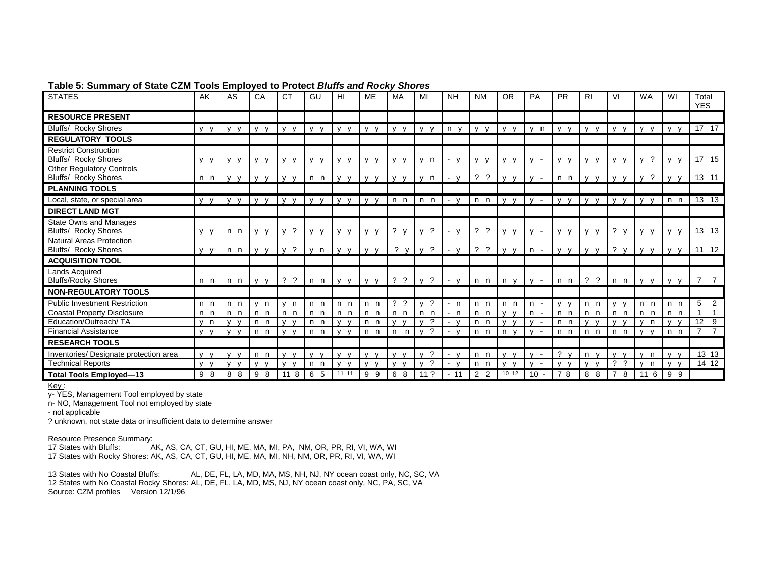| <b>STATES</b>                                               | AK             | AS           | CA                 | <b>CT</b>                    | GU             | HI                           | <b>ME</b>                   | MA                           | MI                                   | <b>NH</b> | <b>NM</b>      | OR             | <b>PA</b>              | <b>PR</b>      | <b>RI</b>      | VI       | <b>WA</b>                  | WI           | Total<br><b>YES</b>              |
|-------------------------------------------------------------|----------------|--------------|--------------------|------------------------------|----------------|------------------------------|-----------------------------|------------------------------|--------------------------------------|-----------|----------------|----------------|------------------------|----------------|----------------|----------|----------------------------|--------------|----------------------------------|
| <b>RESOURCE PRESENT</b>                                     |                |              |                    |                              |                |                              |                             |                              |                                      |           |                |                |                        |                |                |          |                            |              |                                  |
| Bluffs/ Rocky Shores                                        | $V$ $V$        | $V$ $V$      | $\mathsf{V}$ v     | $V$ V                        | $V$ V          | $V$ V                        | $V$ V                       | $V$ V                        | $V$ V                                | $n \vee$  | $V$ V          | $V$ V          | v n                    | $V$ V          | $V$ V          | $V$ V    | $V$ V                      | V V          | 17 17                            |
| <b>REGULATORY TOOLS</b>                                     |                |              |                    |                              |                |                              |                             |                              |                                      |           |                |                |                        |                |                |          |                            |              |                                  |
| <b>Restrict Construction</b><br><b>Bluffs/ Rocky Shores</b> | $V$ V          | $V$ V        | $V$ V              | $V$ V                        | $V$ $V$        | $V$ V                        | $V$ V                       | $V$ V                        | y n                                  | $- V$     | $V$ V          | $V$ V          | $\mathsf{v}$<br>$\sim$ | $V$ V          | $V$ V          | $V$ V    | $v$ ?                      | $V$ V        | 17 15                            |
| <b>Other Regulatory Controls</b><br>Bluffs/ Rocky Shores    | n n            | $V$ V        | $V$ V              | $V$ V                        | n n            | V V                          | $V$ V                       | $V$ $V$                      | y n                                  | $- V$     | $?$ ?          | $V$ $V$        | $V -$                  | n n            | $V$ $V$        | $V$ V    | $\ddot{?}$<br>$\mathsf{v}$ | V V          | 13 11                            |
| <b>PLANNING TOOLS</b>                                       |                |              |                    |                              |                |                              |                             |                              |                                      |           |                |                |                        |                |                |          |                            |              |                                  |
| Local, state, or special area                               | $V$ V          | $V$ V        | $V$ V              | $V$ V                        | $V$ $V$        | $V$ V                        | $V$ V                       | n n                          | n n                                  | $-V$      | n n            | $V$ V          | $V -$                  | $V$ V          | $V$ V          | $V$ V    | $V$ V                      | n n          | 13 13                            |
| <b>DIRECT LAND MGT</b>                                      |                |              |                    |                              |                |                              |                             |                              |                                      |           |                |                |                        |                |                |          |                            |              |                                  |
| State Owns and Manages<br>Bluffs/ Rocky Shores              | $V$ V          | n n          | $V$ V              | $V$ ?                        | $V$ $V$        | $V$ V                        | $V$ V                       | ? $y$                        | $v$ ?                                | $- V$     | $?$ ?          | $V$ V          | $V -$                  | $V$ V          | $V$ V          | $? \vee$ | $V$ V                      | $V$ V        | 13 13                            |
| <b>Natural Areas Protection</b><br>Bluffs/ Rocky Shores     | V V            | n n          | v v                | v?                           | v n            | $V$ V                        | $V$ V                       | $?$ $V$                      | $v$ ?                                | $-$ V     | $?$ ?          | $V$ V          | $n -$                  | $V$ V          | $V$ V          | $? \vee$ | $V$ V                      | V V          | 11 12                            |
| <b>ACQUISITION TOOL</b>                                     |                |              |                    |                              |                |                              |                             |                              |                                      |           |                |                |                        |                |                |          |                            |              |                                  |
| <b>Lands Acquired</b><br><b>Bluffs/Rocky Shores</b>         | n n            | n n          | v v                | $?$ ?                        | n n            | v v                          | $V$ V                       | $?$ ?                        | $\gamma$<br>$\mathsf{V}$             | $- V$     | n n            | n v            | $V -$                  | n n            | $?$ ?          | n n      | v v                        | V V          | $\overline{7}$                   |
| <b>NON-REGULATORY TOOLS</b>                                 |                |              |                    |                              |                |                              |                             |                              |                                      |           |                |                |                        |                |                |          |                            |              |                                  |
| <b>Public Investment Restriction</b>                        | n <sub>n</sub> | n n          | $\mathsf{v}$<br>n, | $\mathsf{v}$<br>n,           | n n            | n <sub>n</sub>               | n <sub>n</sub>              | $\gamma$<br>$\gamma$         | $\gamma$<br>$\mathsf{v}$             | $- n$     | n <sub>n</sub> | n <sub>n</sub> | $n -$                  | $V$ V          | n n            | $V$ V    | n <sub>n</sub>             | n n          | 5<br>$\overline{2}$              |
| <b>Coastal Property Disclosure</b>                          | n n            | n n          | n n                | n <sub>n</sub>               | n n            | n n                          | n n                         | n <sub>n</sub>               | n n                                  | $- n$     | n n            | $\mathsf{v}$   | $n -$                  | n n            | n <sub>n</sub> | n n      | n n                        | n n          |                                  |
| Education/Outreach/TA                                       | v <sub>n</sub> |              | n <sub>n</sub>     |                              | n <sub>n</sub> | $V$ V                        | n n                         | $\mathsf{v}$<br>$\mathbf{v}$ | $\gamma$<br>$\mathsf{v}$             | $- V$     | n n            | $V$ V          | $V -$                  | n <sub>n</sub> | $V$ V          | $V$ V    | v <sub>n</sub>             |              | 12 9                             |
| <b>Financial Assistance</b>                                 | $V$ V          | $\mathbf{v}$ | n n                | $\mathbf{V}$<br>$\mathbf{v}$ | n n            | $V$ $V$                      | n n                         | n<br>n                       | $\gamma$<br>$\mathbf{v}$             | $-$ V     | n n            | $n \vee$       | $V -$                  | n n            | n n            | n n      | $V$ V                      | n n          | $\overline{7}$<br>$\overline{7}$ |
| <b>RESEARCH TOOLS</b>                                       |                |              |                    |                              |                |                              |                             |                              |                                      |           |                |                |                        |                |                |          |                            |              |                                  |
| Inventories/ Designate protection area                      | $V$ V          | $\mathbf{v}$ | n<br>n             | $\mathbf{v}$<br>$\mathbf v$  | $V$ V          | $V$ V                        | $V$ V                       | $V$ V                        | $\gamma$<br>$\mathsf{v}$             | $-$ V     | n n            | $V$ V          | $\mathbf{v}$           | ?              | n v            |          | $\mathsf{v}$<br>n          | $V$ V        | 13 13                            |
| <b>Technical Reports</b>                                    | $V$ V          | $\mathbf{v}$ | $\mathbf{v}$       | $\mathbf{v}$                 | n n            | $\mathsf{v}$<br>$\mathbf{v}$ | $\mathsf{v}$<br>$\mathbf v$ | $\mathsf{v}$<br>$\mathbf{v}$ | $\boldsymbol{\gamma}$<br>$\mathbf v$ | $-$ V     | n <sub>n</sub> | $V$ V          | $\mathsf{v}$<br>$\sim$ | $\mathsf{V}$   | $\mathsf{V}$   | 2        | $\mathsf{V}$<br>n          | $\mathsf{v}$ | 14 12                            |
| <b>Total Tools Employed-13</b>                              | 9 8            |              | 8 8 9 8 11 8       |                              | 6 5            | 11 11                        | 99                          | 6 8                          | 11?                                  | $-11$     | 2 <sub>2</sub> | 10 12          | $10 -$                 | 78             | 88             | 7 8      | 11 6                       | 99           |                                  |

**Table 5: Summary of State CZM Tools Employed to Protect** *Bluffs and Rocky Shores*

Key:

y- YES, Management Tool employed by state

n- NO, Management Tool not employed by state

- not applicable

? unknown, not state data or insufficient data to determine answer

Resource Presence Summary:<br>17 States with Bluffs: A

 $\widetilde{A}$  AK, AS, CA, CT, GU, HI, ME, MA, MI, PA, NM, OR, PR, RI, VI, WA, WI 17 States with Rocky Shores: AK, AS, CA, CT, GU, HI, ME, MA, MI, NH, NM, OR, PR, RI, VI, WA, WI

13 States with No Coastal Bluffs: AL, DE, FL, LA, MD, MA, MS, NH, NJ, NY ocean coast only, NC, SC, VA 12 States with No Coastal Rocky Shores: AL, DE, FL, LA, MD, MS, NJ, NY ocean coast only, NC, PA, SC, VA Source: CZM profiles Version 12/1/96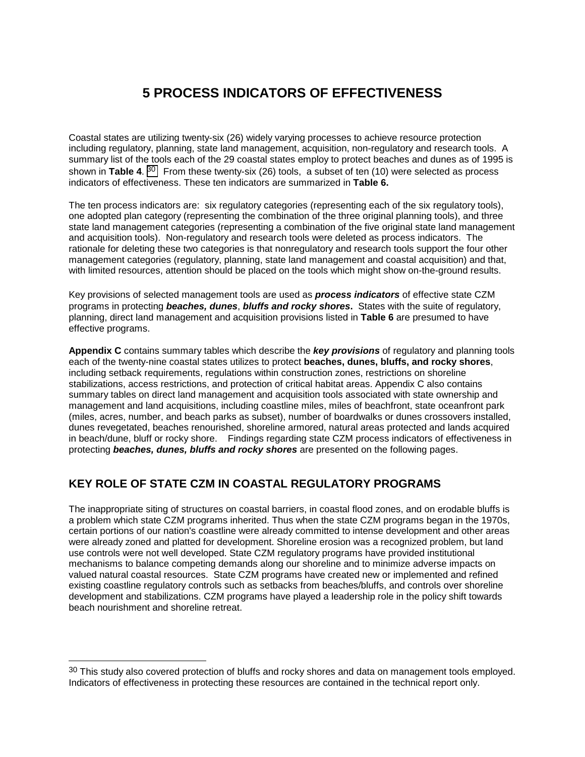## **5 PROCESS INDICATORS OF EFFECTIVENESS**

Coastal states are utilizing twenty-six (26) widely varying processes to achieve resource protection including regulatory, planning, state land management, acquisition, non-regulatory and research tools. A summary list of the tools each of the 29 coastal states employ to protect beaches and dunes as of 1995 is shown in **Table 4**. 30 From these twenty-six (26) tools, a subset of ten (10) were selected as process indicators of effectiveness. These ten indicators are summarized in **Table 6.**

The ten process indicators are: six regulatory categories (representing each of the six regulatory tools), one adopted plan category (representing the combination of the three original planning tools), and three state land management categories (representing a combination of the five original state land management and acquisition tools). Non-regulatory and research tools were deleted as process indicators. The rationale for deleting these two categories is that nonregulatory and research tools support the four other management categories (regulatory, planning, state land management and coastal acquisition) and that, with limited resources, attention should be placed on the tools which might show on-the-ground results.

Key provisions of selected management tools are used as *process indicators* of effective state CZM programs in protecting *beaches, dunes*, *bluffs and rocky shores***.** States with the suite of regulatory, planning, direct land management and acquisition provisions listed in **Table 6** are presumed to have effective programs.

**Appendix C** contains summary tables which describe the *key provisions* of regulatory and planning tools each of the twenty-nine coastal states utilizes to protect **beaches, dunes, bluffs, and rocky shores**, including setback requirements, regulations within construction zones, restrictions on shoreline stabilizations, access restrictions, and protection of critical habitat areas. Appendix C also contains summary tables on direct land management and acquisition tools associated with state ownership and management and land acquisitions, including coastline miles, miles of beachfront, state oceanfront park (miles, acres, number, and beach parks as subset), number of boardwalks or dunes crossovers installed, dunes revegetated, beaches renourished, shoreline armored, natural areas protected and lands acquired in beach/dune, bluff or rocky shore. Findings regarding state CZM process indicators of effectiveness in protecting *beaches, dunes, bluffs and rocky shores* are presented on the following pages.

### **KEY ROLE OF STATE CZM IN COASTAL REGULATORY PROGRAMS**

l

The inappropriate siting of structures on coastal barriers, in coastal flood zones, and on erodable bluffs is a problem which state CZM programs inherited. Thus when the state CZM programs began in the 1970s, certain portions of our nation's coastline were already committed to intense development and other areas were already zoned and platted for development. Shoreline erosion was a recognized problem, but land use controls were not well developed. State CZM regulatory programs have provided institutional mechanisms to balance competing demands along our shoreline and to minimize adverse impacts on valued natural coastal resources. State CZM programs have created new or implemented and refined existing coastline regulatory controls such as setbacks from beaches/bluffs, and controls over shoreline development and stabilizations. CZM programs have played a leadership role in the policy shift towards beach nourishment and shoreline retreat.

<sup>&</sup>lt;sup>30</sup> This study also covered protection of bluffs and rocky shores and data on management tools employed. Indicators of effectiveness in protecting these resources are contained in the technical report only.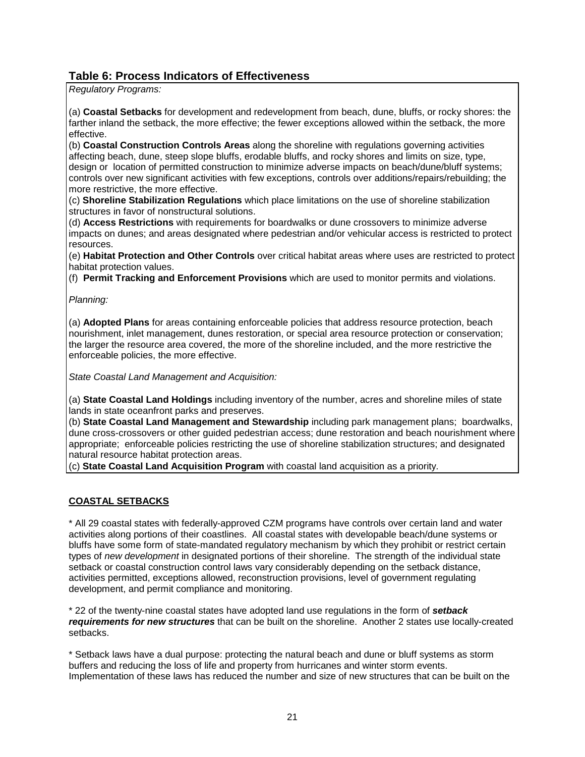#### **Table 6: Process Indicators of Effectiveness**

*Regulatory Programs:*

(a) **Coastal Setbacks** for development and redevelopment from beach, dune, bluffs, or rocky shores: the farther inland the setback, the more effective; the fewer exceptions allowed within the setback, the more effective.

(b) **Coastal Construction Controls Areas** along the shoreline with regulations governing activities affecting beach, dune, steep slope bluffs, erodable bluffs, and rocky shores and limits on size, type, design or location of permitted construction to minimize adverse impacts on beach/dune/bluff systems; controls over new significant activities with few exceptions, controls over additions/repairs/rebuilding; the more restrictive, the more effective.

(c) **Shoreline Stabilization Regulations** which place limitations on the use of shoreline stabilization structures in favor of nonstructural solutions.

(d) **Access Restrictions** with requirements for boardwalks or dune crossovers to minimize adverse impacts on dunes; and areas designated where pedestrian and/or vehicular access is restricted to protect resources.

(e) **Habitat Protection and Other Controls** over critical habitat areas where uses are restricted to protect habitat protection values.

(f) **Permit Tracking and Enforcement Provisions** which are used to monitor permits and violations.

*Planning:*

(a) **Adopted Plans** for areas containing enforceable policies that address resource protection, beach nourishment, inlet management, dunes restoration, or special area resource protection or conservation; the larger the resource area covered, the more of the shoreline included, and the more restrictive the enforceable policies, the more effective.

*State Coastal Land Management and Acquisition:*

(a) **State Coastal Land Holdings** including inventory of the number, acres and shoreline miles of state lands in state oceanfront parks and preserves.

(b) **State Coastal Land Management and Stewardship** including park management plans; boardwalks, dune cross-crossovers or other guided pedestrian access; dune restoration and beach nourishment where appropriate; enforceable policies restricting the use of shoreline stabilization structures; and designated natural resource habitat protection areas.

(c) **State Coastal Land Acquisition Program** with coastal land acquisition as a priority.

#### **COASTAL SETBACKS**

\* All 29 coastal states with federally-approved CZM programs have controls over certain land and water activities along portions of their coastlines. All coastal states with developable beach/dune systems or bluffs have some form of state-mandated regulatory mechanism by which they prohibit or restrict certain types of *new development* in designated portions of their shoreline. The strength of the individual state setback or coastal construction control laws vary considerably depending on the setback distance, activities permitted, exceptions allowed, reconstruction provisions, level of government regulating development, and permit compliance and monitoring.

\* 22 of the twenty-nine coastal states have adopted land use regulations in the form of *setback requirements for new structures* that can be built on the shoreline. Another 2 states use locally-created setbacks.

\* Setback laws have a dual purpose: protecting the natural beach and dune or bluff systems as storm buffers and reducing the loss of life and property from hurricanes and winter storm events. Implementation of these laws has reduced the number and size of new structures that can be built on the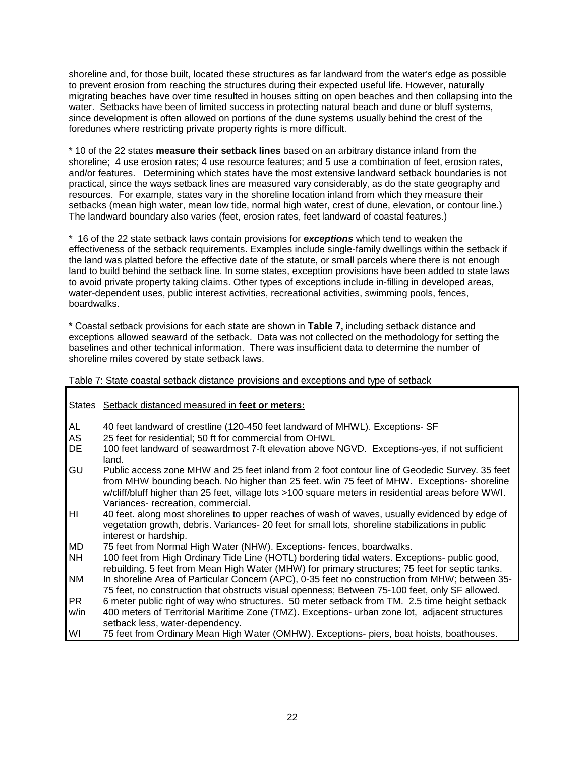shoreline and, for those built, located these structures as far landward from the water's edge as possible to prevent erosion from reaching the structures during their expected useful life. However, naturally migrating beaches have over time resulted in houses sitting on open beaches and then collapsing into the water. Setbacks have been of limited success in protecting natural beach and dune or bluff systems, since development is often allowed on portions of the dune systems usually behind the crest of the foredunes where restricting private property rights is more difficult.

\* 10 of the 22 states **measure their setback lines** based on an arbitrary distance inland from the shoreline; 4 use erosion rates; 4 use resource features; and 5 use a combination of feet, erosion rates, and/or features. Determining which states have the most extensive landward setback boundaries is not practical, since the ways setback lines are measured vary considerably, as do the state geography and resources. For example, states vary in the shoreline location inland from which they measure their setbacks (mean high water, mean low tide, normal high water, crest of dune, elevation, or contour line.) The landward boundary also varies (feet, erosion rates, feet landward of coastal features.)

\* 16 of the 22 state setback laws contain provisions for *exceptions* which tend to weaken the effectiveness of the setback requirements. Examples include single-family dwellings within the setback if the land was platted before the effective date of the statute, or small parcels where there is not enough land to build behind the setback line. In some states, exception provisions have been added to state laws to avoid private property taking claims. Other types of exceptions include in-filling in developed areas, water-dependent uses, public interest activities, recreational activities, swimming pools, fences, boardwalks.

\* Coastal setback provisions for each state are shown in **Table 7,** including setback distance and exceptions allowed seaward of the setback. Data was not collected on the methodology for setting the baselines and other technical information. There was insufficient data to determine the number of shoreline miles covered by state setback laws.

Table 7: State coastal setback distance provisions and exceptions and type of setback

|  | States Setback distanced measured in feet or meters: |  |  |
|--|------------------------------------------------------|--|--|
|  |                                                      |  |  |

- AL 40 feet landward of crestline (120-450 feet landward of MHWL). Exceptions- SF
- AS 25 feet for residential; 50 ft for commercial from OHWL
- DE 100 feet landward of seawardmost 7-ft elevation above NGVD. Exceptions-yes, if not sufficient land.
- GU Public access zone MHW and 25 feet inland from 2 foot contour line of Geodedic Survey. 35 feet from MHW bounding beach. No higher than 25 feet. w/in 75 feet of MHW. Exceptions- shoreline w/cliff/bluff higher than 25 feet, village lots >100 square meters in residential areas before WWI. Variances- recreation, commercial.
- HI 40 feet. along most shorelines to upper reaches of wash of waves, usually evidenced by edge of vegetation growth, debris. Variances- 20 feet for small lots, shoreline stabilizations in public interest or hardship.
- MD 75 feet from Normal High Water (NHW). Exceptions- fences, boardwalks.
- NH 100 feet from High Ordinary Tide Line (HOTL) bordering tidal waters. Exceptions- public good, rebuilding. 5 feet from Mean High Water (MHW) for primary structures; 75 feet for septic tanks.
- NM In shoreline Area of Particular Concern (APC), 0-35 feet no construction from MHW; between 35- 75 feet, no construction that obstructs visual openness; Between 75-100 feet, only SF allowed.
- PR 6 meter public right of way w/no structures. 50 meter setback from TM. 2.5 time height setback w/in 400 meters of Territorial Maritime Zone (TMZ). Exceptions- urban zone lot, adjacent structures
- setback less, water-dependency.
- WI 75 feet from Ordinary Mean High Water (OMHW). Exceptions- piers, boat hoists, boathouses.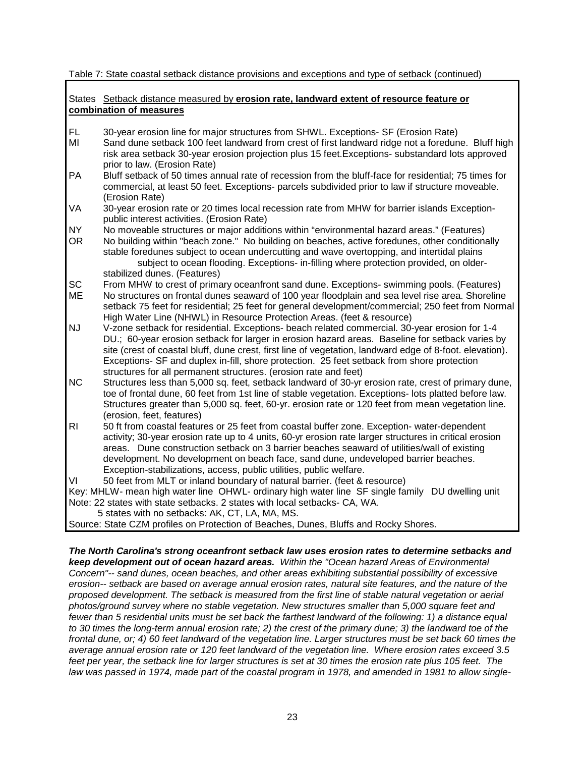#### Table 7: State coastal setback distance provisions and exceptions and type of setback (continued)

#### States Setback distance measured by **erosion rate, landward extent of resource feature or combination of measures**

- FL 30-year erosion line for major structures from SHWL. Exceptions- SF (Erosion Rate)
- MI Sand dune setback 100 feet landward from crest of first landward ridge not a foredune. Bluff high risk area setback 30-year erosion projection plus 15 feet.Exceptions- substandard lots approved prior to law. (Erosion Rate)
- PA Bluff setback of 50 times annual rate of recession from the bluff-face for residential; 75 times for commercial, at least 50 feet. Exceptions- parcels subdivided prior to law if structure moveable. (Erosion Rate)
- VA 30-year erosion rate or 20 times local recession rate from MHW for barrier islands Exceptionpublic interest activities. (Erosion Rate)
- NY No moveable structures or major additions within "environmental hazard areas." (Features)
- OR No building within "beach zone." No building on beaches, active foredunes, other conditionally stable foredunes subject to ocean undercutting and wave overtopping, and intertidal plains subject to ocean flooding. Exceptions- in-filling where protection provided, on olderstabilized dunes. (Features)
- SC From MHW to crest of primary oceanfront sand dune. Exceptions- swimming pools. (Features)
- ME No structures on frontal dunes seaward of 100 year floodplain and sea level rise area. Shoreline setback 75 feet for residential; 25 feet for general development/commercial; 250 feet from Normal High Water Line (NHWL) in Resource Protection Areas. (feet & resource)
- NJ V-zone setback for residential. Exceptions- beach related commercial. 30-year erosion for 1-4 DU.; 60-year erosion setback for larger in erosion hazard areas. Baseline for setback varies by site (crest of coastal bluff, dune crest, first line of vegetation, landward edge of 8-foot. elevation). Exceptions- SF and duplex in-fill, shore protection. 25 feet setback from shore protection structures for all permanent structures. (erosion rate and feet)
- NC Structures less than 5,000 sq. feet, setback landward of 30-yr erosion rate, crest of primary dune, toe of frontal dune, 60 feet from 1st line of stable vegetation. Exceptions- lots platted before law. Structures greater than 5,000 sq. feet, 60-yr. erosion rate or 120 feet from mean vegetation line. (erosion, feet, features)
- RI 50 ft from coastal features or 25 feet from coastal buffer zone. Exception- water-dependent activity; 30-year erosion rate up to 4 units, 60-yr erosion rate larger structures in critical erosion areas. Dune construction setback on 3 barrier beaches seaward of utilities/wall of existing development. No development on beach face, sand dune, undeveloped barrier beaches. Exception-stabilizations, access, public utilities, public welfare.
- VI 50 feet from MLT or inland boundary of natural barrier. (feet & resource)

Key: MHLW- mean high water line OHWL- ordinary high water line SF single family DU dwelling unit Note: 22 states with state setbacks. 2 states with local setbacks- CA, WA.

5 states with no setbacks: AK, CT, LA, MA, MS.

Source: State CZM profiles on Protection of Beaches, Dunes, Bluffs and Rocky Shores.

*The North Carolina's strong oceanfront setback law uses erosion rates to determine setbacks and keep development out of ocean hazard areas. Within the "Ocean hazard Areas of Environmental Concern"-- sand dunes, ocean beaches, and other areas exhibiting substantial possibility of excessive erosion-- setback are based on average annual erosion rates, natural site features, and the nature of the proposed development. The setback is measured from the first line of stable natural vegetation or aerial photos/ground survey where no stable vegetation. New structures smaller than 5,000 square feet and fewer than 5 residential units must be set back the farthest landward of the following: 1) a distance equal to 30 times the long-term annual erosion rate; 2) the crest of the primary dune; 3) the landward toe of the frontal dune, or; 4) 60 feet landward of the vegetation line. Larger structures must be set back 60 times the average annual erosion rate or 120 feet landward of the vegetation line. Where erosion rates exceed 3.5 feet per year, the setback line for larger structures is set at 30 times the erosion rate plus 105 feet. The law was passed in 1974, made part of the coastal program in 1978, and amended in 1981 to allow single-*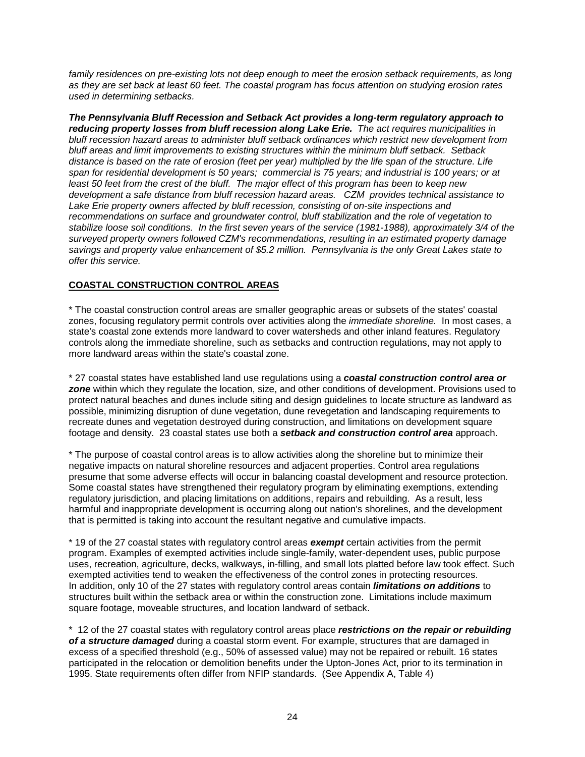*family residences on pre-existing lots not deep enough to meet the erosion setback requirements, as long as they are set back at least 60 feet. The coastal program has focus attention on studying erosion rates used in determining setbacks.*

*The Pennsylvania Bluff Recession and Setback Act provides a long-term regulatory approach to reducing property losses from bluff recession along Lake Erie. The act requires municipalities in bluff recession hazard areas to administer bluff setback ordinances which restrict new development from bluff areas and limit improvements to existing structures within the minimum bluff setback. Setback distance is based on the rate of erosion (feet per year) multiplied by the life span of the structure. Life span for residential development is 50 years; commercial is 75 years; and industrial is 100 years; or at least 50 feet from the crest of the bluff. The major effect of this program has been to keep new development a safe distance from bluff recession hazard areas. CZM provides technical assistance to Lake Erie property owners affected by bluff recession, consisting of on-site inspections and recommendations on surface and groundwater control, bluff stabilization and the role of vegetation to stabilize loose soil conditions. In the first seven years of the service (1981-1988), approximately 3/4 of the surveyed property owners followed CZM's recommendations, resulting in an estimated property damage savings and property value enhancement of \$5.2 million. Pennsylvania is the only Great Lakes state to offer this service.*

#### **COASTAL CONSTRUCTION CONTROL AREAS**

\* The coastal construction control areas are smaller geographic areas or subsets of the states' coastal zones, focusing regulatory permit controls over activities along the *immediate shoreline.* In most cases, a state's coastal zone extends more landward to cover watersheds and other inland features. Regulatory controls along the immediate shoreline, such as setbacks and contruction regulations, may not apply to more landward areas within the state's coastal zone.

\* 27 coastal states have established land use regulations using a *coastal construction control area or* **zone** within which they regulate the location, size, and other conditions of development. Provisions used to protect natural beaches and dunes include siting and design guidelines to locate structure as landward as possible, minimizing disruption of dune vegetation, dune revegetation and landscaping requirements to recreate dunes and vegetation destroyed during construction, and limitations on development square footage and density. 23 coastal states use both a *setback and construction control area* approach.

\* The purpose of coastal control areas is to allow activities along the shoreline but to minimize their negative impacts on natural shoreline resources and adjacent properties. Control area regulations presume that some adverse effects will occur in balancing coastal development and resource protection. Some coastal states have strengthened their regulatory program by eliminating exemptions, extending regulatory jurisdiction, and placing limitations on additions, repairs and rebuilding. As a result, less harmful and inappropriate development is occurring along out nation's shorelines, and the development that is permitted is taking into account the resultant negative and cumulative impacts.

\* 19 of the 27 coastal states with regulatory control areas *exempt* certain activities from the permit program. Examples of exempted activities include single-family, water-dependent uses, public purpose uses, recreation, agriculture, decks, walkways, in-filling, and small lots platted before law took effect. Such exempted activities tend to weaken the effectiveness of the control zones in protecting resources. In addition, only 10 of the 27 states with regulatory control areas contain *limitations on additions* to structures built within the setback area or within the construction zone. Limitations include maximum square footage, moveable structures, and location landward of setback.

\* 12 of the 27 coastal states with regulatory control areas place *restrictions on the repair or rebuilding of a structure damaged* during a coastal storm event. For example, structures that are damaged in excess of a specified threshold (e.g., 50% of assessed value) may not be repaired or rebuilt. 16 states participated in the relocation or demolition benefits under the Upton-Jones Act, prior to its termination in 1995. State requirements often differ from NFIP standards. (See Appendix A, Table 4)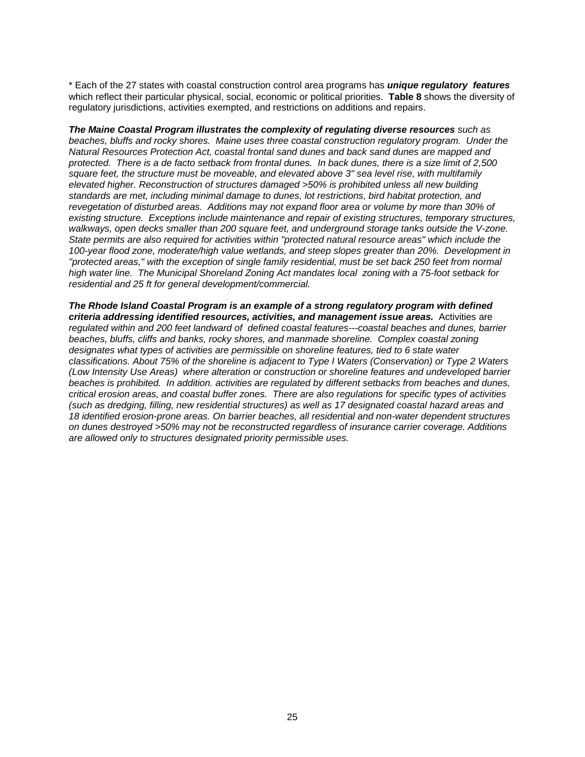\* Each of the 27 states with coastal construction control area programs has *unique regulatory features* which reflect their particular physical, social, economic or political priorities. **Table 8** shows the diversity of regulatory jurisdictions, activities exempted, and restrictions on additions and repairs.

*The Maine Coastal Program illustrates the complexity of regulating diverse resources such as beaches, bluffs and rocky shores. Maine uses three coastal construction regulatory program. Under the Natural Resources Protection Act, coastal frontal sand dunes and back sand dunes are mapped and protected. There is a de facto setback from frontal dunes. In back dunes, there is a size limit of 2,500 square feet, the structure must be moveable, and elevated above 3" sea level rise, with multifamily elevated higher. Reconstruction of structures damaged >50% is prohibited unless all new building standards are met, including minimal damage to dunes, lot restrictions, bird habitat protection, and revegetation of disturbed areas. Additions may not expand floor area or volume by more than 30% of existing structure. Exceptions include maintenance and repair of existing structures, temporary structures, walkways, open decks smaller than 200 square feet, and underground storage tanks outside the V-zone. State permits are also required for activities within "protected natural resource areas" which include the 100-year flood zone, moderate/high value wetlands, and steep slopes greater than 20%. Development in "protected areas," with the exception of single family residential, must be set back 250 feet from normal high water line. The Municipal Shoreland Zoning Act mandates local zoning with a 75-foot setback for residential and 25 ft for general development/commercial.*

*The Rhode Island Coastal Program is an example of a strong regulatory program with defined criteria addressing identified resources, activities, and management issue areas.* Activities are *regulated within and 200 feet landward of defined coastal features---coastal beaches and dunes, barrier beaches, bluffs, cliffs and banks, rocky shores, and manmade shoreline. Complex coastal zoning designates what types of activities are permissible on shoreline features, tied to 6 state water classifications. About 75% of the shoreline is adjacent to Type I Waters (Conservation) or Type 2 Waters (Low Intensity Use Areas) where alteration or construction or shoreline features and undeveloped barrier beaches is prohibited. In addition. activities are regulated by different setbacks from beaches and dunes, critical erosion areas, and coastal buffer zones. There are also regulations for specific types of activities (such as dredging, filling, new residential structures) as well as 17 designated coastal hazard areas and 18 identified erosion-prone areas. On barrier beaches, all residential and non-water dependent structures on dunes destroyed >50% may not be reconstructed regardless of insurance carrier coverage. Additions are allowed only to structures designated priority permissible uses.*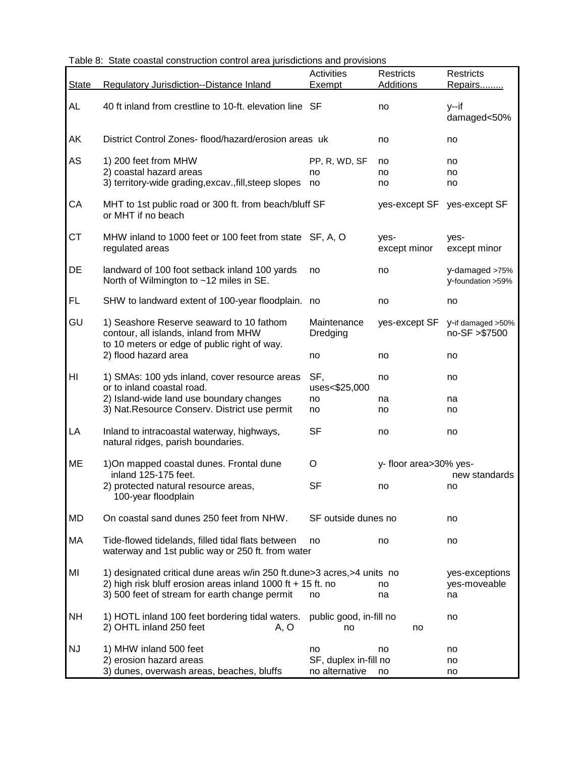| <b>State</b> | Regulatory Jurisdiction--Distance Inland                                                                                                                                               | Activities<br>Exempt                          | <b>Restricts</b><br>Additions | <b>Restricts</b><br>Repairs          |
|--------------|----------------------------------------------------------------------------------------------------------------------------------------------------------------------------------------|-----------------------------------------------|-------------------------------|--------------------------------------|
| AL           | 40 ft inland from crestline to 10-ft. elevation line SF                                                                                                                                |                                               | no                            | v--if<br>damaged<50%                 |
| AK           | District Control Zones-flood/hazard/erosion areas uk                                                                                                                                   |                                               | no                            | no                                   |
| AS           | 1) 200 feet from MHW<br>2) coastal hazard areas<br>3) territory-wide grading, excav., fill, steep slopes                                                                               | PP, R, WD, SF<br>no<br>no                     | no<br>no<br>no                | no<br>no<br>no                       |
| CA           | MHT to 1st public road or 300 ft. from beach/bluff SF<br>or MHT if no beach                                                                                                            |                                               | yes-except SF                 | yes-except SF                        |
| СT           | MHW inland to 1000 feet or 100 feet from state SF, A, O<br>regulated areas                                                                                                             |                                               | yes-<br>except minor          | yes-<br>except minor                 |
| DE           | landward of 100 foot setback inland 100 yards<br>North of Wilmington to ~12 miles in SE.                                                                                               | no                                            | no                            | y-damaged >75%<br>y-foundation >59%  |
| FL           | SHW to landward extent of 100-year floodplain.                                                                                                                                         | no                                            | no                            | no                                   |
| GU           | 1) Seashore Reserve seaward to 10 fathom<br>contour, all islands, inland from MHW<br>to 10 meters or edge of public right of way.                                                      | Maintenance<br>Dredging                       | yes-except SF                 | y-if damaged >50%<br>no-SF >\$7500   |
|              | 2) flood hazard area                                                                                                                                                                   | no                                            | no                            | no                                   |
| HI           | 1) SMAs: 100 yds inland, cover resource areas<br>or to inland coastal road.                                                                                                            | SF,<br>uses<\$25,000                          | no                            | no                                   |
|              | 2) Island-wide land use boundary changes<br>3) Nat. Resource Conserv. District use permit                                                                                              | no<br>no                                      | na<br>no                      | na<br>no                             |
| LA           | Inland to intracoastal waterway, highways,<br>natural ridges, parish boundaries.                                                                                                       | <b>SF</b>                                     | no                            | no                                   |
| ME           | 1) On mapped coastal dunes. Frontal dune                                                                                                                                               | O                                             | y- floor area>30% yes-        |                                      |
|              | inland 125-175 feet.<br>2) protected natural resource areas,<br>100-year floodplain                                                                                                    | <b>SF</b>                                     | no                            | new standards<br>no                  |
| MD           | On coastal sand dunes 250 feet from NHW.                                                                                                                                               | SF outside dunes no                           |                               | no                                   |
| МA           | Tide-flowed tidelands, filled tidal flats between<br>waterway and 1st public way or 250 ft. from water                                                                                 | no                                            | no                            | no                                   |
| MI           | 1) designated critical dune areas w/in 250 ft.dune>3 acres,>4 units no<br>2) high risk bluff erosion areas inland 1000 ft + 15 ft. no<br>3) 500 feet of stream for earth change permit | no                                            | no<br>na                      | yes-exceptions<br>yes-moveable<br>na |
| <b>NH</b>    | 1) HOTL inland 100 feet bordering tidal waters.<br>2) OHTL inland 250 feet<br>A, O                                                                                                     | public good, in-fill no<br>no                 | no                            | no                                   |
| <b>NJ</b>    | 1) MHW inland 500 feet<br>2) erosion hazard areas<br>3) dunes, overwash areas, beaches, bluffs                                                                                         | no<br>SF, duplex in-fill no<br>no alternative | no<br>no                      | no<br>no<br>no                       |

Table 8: State coastal construction control area jurisdictions and provisions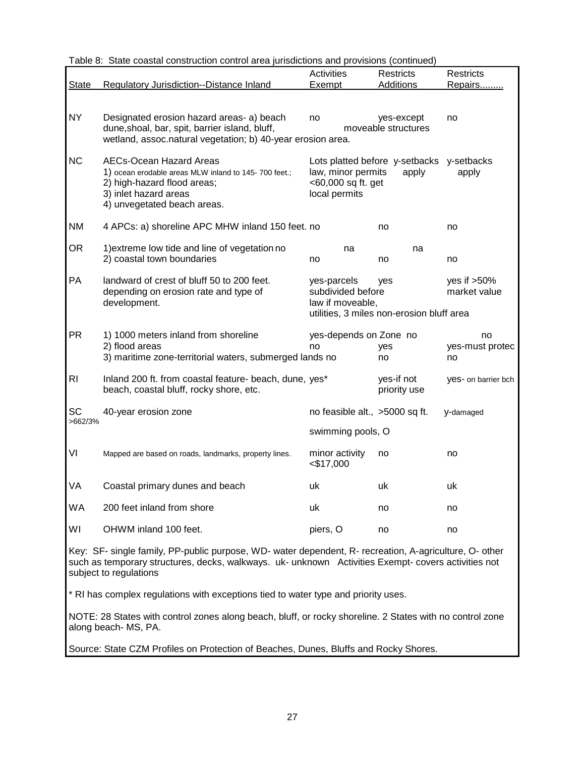| <b>State</b>   | <b>Regulatory Jurisdiction--Distance Inland</b>                                                                                                                                                                                         | Activities<br>Exempt                                      | <b>Restricts</b><br>Additions                      | <b>Restricts</b><br>Repairs    |
|----------------|-----------------------------------------------------------------------------------------------------------------------------------------------------------------------------------------------------------------------------------------|-----------------------------------------------------------|----------------------------------------------------|--------------------------------|
|                |                                                                                                                                                                                                                                         |                                                           |                                                    |                                |
| <b>NY</b>      | Designated erosion hazard areas- a) beach<br>dune, shoal, bar, spit, barrier island, bluff,<br>wetland, assoc.natural vegetation; b) 40-year erosion area.                                                                              | no                                                        | yes-except<br>moveable structures                  | no                             |
| <b>NC</b>      | <b>AECs-Ocean Hazard Areas</b><br>1) ocean erodable areas MLW inland to 145-700 feet.;<br>2) high-hazard flood areas;<br>3) inlet hazard areas<br>4) unvegetated beach areas.                                                           | law, minor permits<br><60,000 sq ft. get<br>local permits | Lots platted before y-setbacks y-setbacks<br>apply | apply                          |
| <b>NM</b>      | 4 APCs: a) shoreline APC MHW inland 150 feet. no                                                                                                                                                                                        |                                                           | no                                                 | no                             |
| <b>OR</b>      | 1) extreme low tide and line of vegetation no<br>2) coastal town boundaries                                                                                                                                                             | na<br>no                                                  | na<br>no                                           | no                             |
| PA             | landward of crest of bluff 50 to 200 feet.<br>depending on erosion rate and type of<br>development.                                                                                                                                     | yes-parcels<br>subdivided before<br>law if moveable,      | yes<br>utilities, 3 miles non-erosion bluff area   | yes if $>50\%$<br>market value |
| <b>PR</b>      | 1) 1000 meters inland from shoreline<br>2) flood areas<br>3) maritime zone-territorial waters, submerged lands no                                                                                                                       | yes-depends on Zone no<br>no                              | yes<br>no                                          | no<br>yes-must protec<br>no    |
| R <sub>l</sub> | Inland 200 ft. from coastal feature- beach, dune, yes*<br>beach, coastal bluff, rocky shore, etc.                                                                                                                                       |                                                           | yes-if not<br>priority use                         | yes- on barrier bch            |
| <b>SC</b>      | 40-year erosion zone                                                                                                                                                                                                                    | no feasible alt., >5000 sq ft.                            |                                                    | y-damaged                      |
| >662/3%        |                                                                                                                                                                                                                                         | swimming pools, O                                         |                                                    |                                |
| VI             | Mapped are based on roads, landmarks, property lines.                                                                                                                                                                                   | minor activity<br>$<$ \$17,000                            | no                                                 | no                             |
| VA             | Coastal primary dunes and beach                                                                                                                                                                                                         | uk                                                        | uk                                                 | uk                             |
| <b>WA</b>      | 200 feet inland from shore                                                                                                                                                                                                              | uk                                                        | no                                                 | no                             |
| WI             | OHWM inland 100 feet.                                                                                                                                                                                                                   | piers, O                                                  | no                                                 | no                             |
|                | Key: SF- single family, PP-public purpose, WD- water dependent, R- recreation, A-agriculture, O- other<br>such as temporary structures, decks, walkways. uk- unknown Activities Exempt- covers activities not<br>subject to regulations |                                                           |                                                    |                                |

| Table 8: State coastal construction control area jurisdictions and provisions (continued) |  |  |  |  |
|-------------------------------------------------------------------------------------------|--|--|--|--|
|                                                                                           |  |  |  |  |

\* RI has complex regulations with exceptions tied to water type and priority uses.

NOTE: 28 States with control zones along beach, bluff, or rocky shoreline. 2 States with no control zone along beach- MS, PA.

Source: State CZM Profiles on Protection of Beaches, Dunes, Bluffs and Rocky Shores.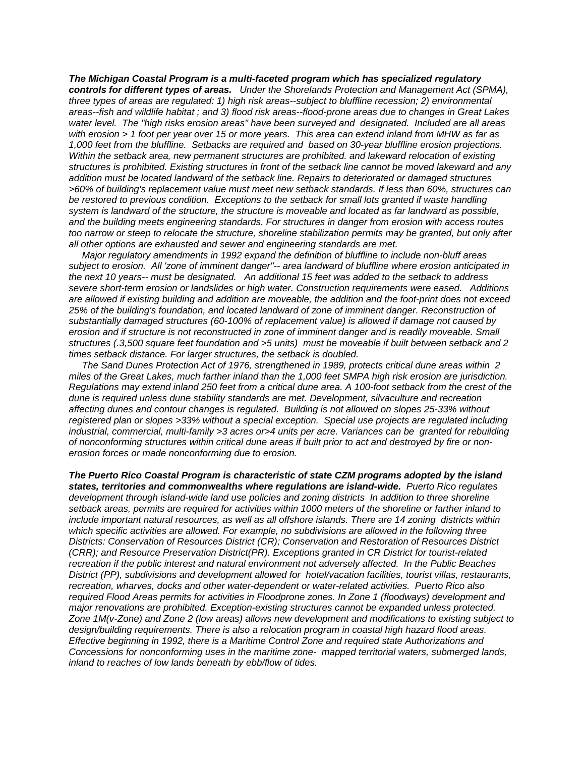*The Michigan Coastal Program is a multi-faceted program which has specialized regulatory controls for different types of areas. Under the Shorelands Protection and Management Act (SPMA), three types of areas are regulated: 1) high risk areas--subject to bluffline recession; 2) environmental areas--fish and wildlife habitat ; and 3) flood risk areas--flood-prone areas due to changes in Great Lakes water level. The "high risks erosion areas" have been surveyed and designated. Included are all areas with erosion > 1 foot per year over 15 or more years. This area can extend inland from MHW as far as 1,000 feet from the bluffline. Setbacks are required and based on 30-year bluffline erosion projections. Within the setback area, new permanent structures are prohibited. and lakeward relocation of existing structures is prohibited. Existing structures in front of the setback line cannot be moved lakeward and any addition must be located landward of the setback line. Repairs to deteriorated or damaged structures >60% of building's replacement value must meet new setback standards. If less than 60%, structures can be restored to previous condition. Exceptions to the setback for small lots granted if waste handling system is landward of the structure, the structure is moveable and located as far landward as possible, and the building meets engineering standards. For structures in danger from erosion with access routes too narrow or steep to relocate the structure, shoreline stabilization permits may be granted, but only after all other options are exhausted and sewer and engineering standards are met.*

 *Major regulatory amendments in 1992 expand the definition of bluffline to include non-bluff areas subject to erosion. All 'zone of imminent danger"-- area landward of bluffline where erosion anticipated in the next 10 years-- must be designated. An additional 15 feet was added to the setback to address severe short-term erosion or landslides or high water. Construction requirements were eased. Additions are allowed if existing building and addition are moveable, the addition and the foot-print does not exceed 25% of the building's foundation, and located landward of zone of imminent danger. Reconstruction of substantially damaged structures (60-100% of replacement value) is allowed if damage not caused by erosion and if structure is not reconstructed in zone of imminent danger and is readily moveable. Small structures (.3,500 square feet foundation and >5 units) must be moveable if built between setback and 2 times setback distance. For larger structures, the setback is doubled.*

 *The Sand Dunes Protection Act of 1976, strengthened in 1989, protects critical dune areas within 2 miles of the Great Lakes, much farther inland than the 1,000 feet SMPA high risk erosion are jurisdiction. Regulations may extend inland 250 feet from a critical dune area. A 100-foot setback from the crest of the dune is required unless dune stability standards are met. Development, silvaculture and recreation affecting dunes and contour changes is regulated. Building is not allowed on slopes 25-33% without registered plan or slopes >33% without a special exception. Special use projects are regulated including industrial, commercial, multi-family >3 acres or>4 units per acre. Variances can be granted for rebuilding of nonconforming structures within critical dune areas if built prior to act and destroyed by fire or nonerosion forces or made nonconforming due to erosion.*

*The Puerto Rico Coastal Program is characteristic of state CZM programs adopted by the island states, territories and commonwealths where regulations are island-wide. Puerto Rico regulates development through island-wide land use policies and zoning districts In addition to three shoreline setback areas, permits are required for activities within 1000 meters of the shoreline or farther inland to include important natural resources, as well as all offshore islands. There are 14 zoning districts within which specific activities are allowed. For example, no subdivisions are allowed in the following three Districts: Conservation of Resources District (CR); Conservation and Restoration of Resources District (CRR); and Resource Preservation District(PR). Exceptions granted in CR District for tourist-related recreation if the public interest and natural environment not adversely affected. In the Public Beaches District (PP), subdivisions and development allowed for hotel/vacation facilities, tourist villas, restaurants, recreation, wharves, docks and other water-dependent or water-related activities. Puerto Rico also required Flood Areas permits for activities in Floodprone zones. In Zone 1 (floodways) development and major renovations are prohibited. Exception-existing structures cannot be expanded unless protected. Zone 1M(v-Zone) and Zone 2 (low areas) allows new development and modifications to existing subject to design/building requirements. There is also a relocation program in coastal high hazard flood areas. Effective beginning in 1992, there is a Maritime Control Zone and required state Authorizations and Concessions for nonconforming uses in the maritime zone- mapped territorial waters, submerged lands, inland to reaches of low lands beneath by ebb/flow of tides.*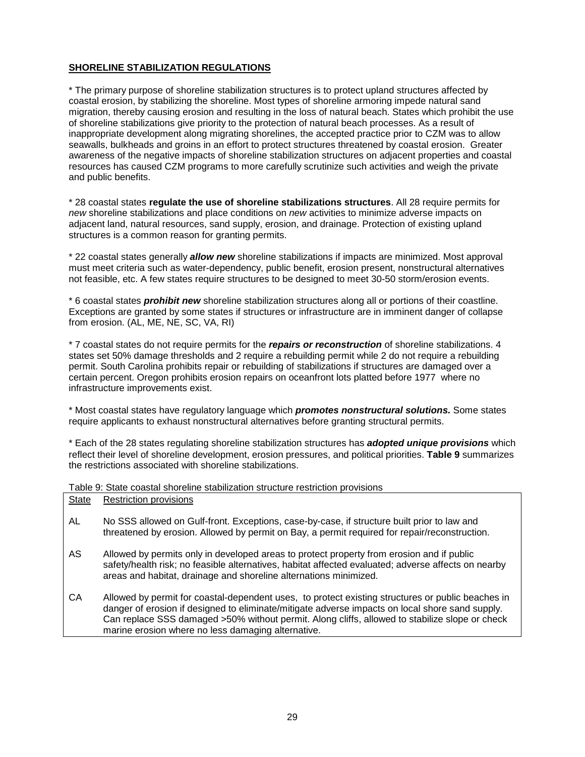## **SHORELINE STABILIZATION REGULATIONS**

\* The primary purpose of shoreline stabilization structures is to protect upland structures affected by coastal erosion, by stabilizing the shoreline. Most types of shoreline armoring impede natural sand migration, thereby causing erosion and resulting in the loss of natural beach. States which prohibit the use of shoreline stabilizations give priority to the protection of natural beach processes. As a result of inappropriate development along migrating shorelines, the accepted practice prior to CZM was to allow seawalls, bulkheads and groins in an effort to protect structures threatened by coastal erosion. Greater awareness of the negative impacts of shoreline stabilization structures on adjacent properties and coastal resources has caused CZM programs to more carefully scrutinize such activities and weigh the private and public benefits.

\* 28 coastal states **regulate the use of shoreline stabilizations structures**. All 28 require permits for *new* shoreline stabilizations and place conditions on *new* activities to minimize adverse impacts on adjacent land, natural resources, sand supply, erosion, and drainage. Protection of existing upland structures is a common reason for granting permits.

\* 22 coastal states generally *allow new* shoreline stabilizations if impacts are minimized. Most approval must meet criteria such as water-dependency, public benefit, erosion present, nonstructural alternatives not feasible, etc. A few states require structures to be designed to meet 30-50 storm/erosion events.

\* 6 coastal states *prohibit new* shoreline stabilization structures along all or portions of their coastline. Exceptions are granted by some states if structures or infrastructure are in imminent danger of collapse from erosion. (AL, ME, NE, SC, VA, RI)

\* 7 coastal states do not require permits for the *repairs or reconstruction* of shoreline stabilizations. 4 states set 50% damage thresholds and 2 require a rebuilding permit while 2 do not require a rebuilding permit. South Carolina prohibits repair or rebuilding of stabilizations if structures are damaged over a certain percent. Oregon prohibits erosion repairs on oceanfront lots platted before 1977 where no infrastructure improvements exist.

\* Most coastal states have regulatory language which *promotes nonstructural solutions.* Some states require applicants to exhaust nonstructural alternatives before granting structural permits.

\* Each of the 28 states regulating shoreline stabilization structures has *adopted unique provisions* which reflect their level of shoreline development, erosion pressures, and political priorities. **Table 9** summarizes the restrictions associated with shoreline stabilizations.

Table 9: State coastal shoreline stabilization structure restriction provisions

|       | Table J. Oldic codstar shoreinte stabilization structure restriction provisions                                                                                                                                                                                                                                                                              |
|-------|--------------------------------------------------------------------------------------------------------------------------------------------------------------------------------------------------------------------------------------------------------------------------------------------------------------------------------------------------------------|
| State | <b>Restriction provisions</b>                                                                                                                                                                                                                                                                                                                                |
| AL    | No SSS allowed on Gulf-front. Exceptions, case-by-case, if structure built prior to law and<br>threatened by erosion. Allowed by permit on Bay, a permit required for repair/reconstruction.                                                                                                                                                                 |
| AS    | Allowed by permits only in developed areas to protect property from erosion and if public<br>safety/health risk; no feasible alternatives, habitat affected evaluated; adverse affects on nearby<br>areas and habitat, drainage and shoreline alternations minimized.                                                                                        |
| CA    | Allowed by permit for coastal-dependent uses, to protect existing structures or public beaches in<br>danger of erosion if designed to eliminate/mitigate adverse impacts on local shore sand supply.<br>Can replace SSS damaged >50% without permit. Along cliffs, allowed to stabilize slope or check<br>marine erosion where no less damaging alternative. |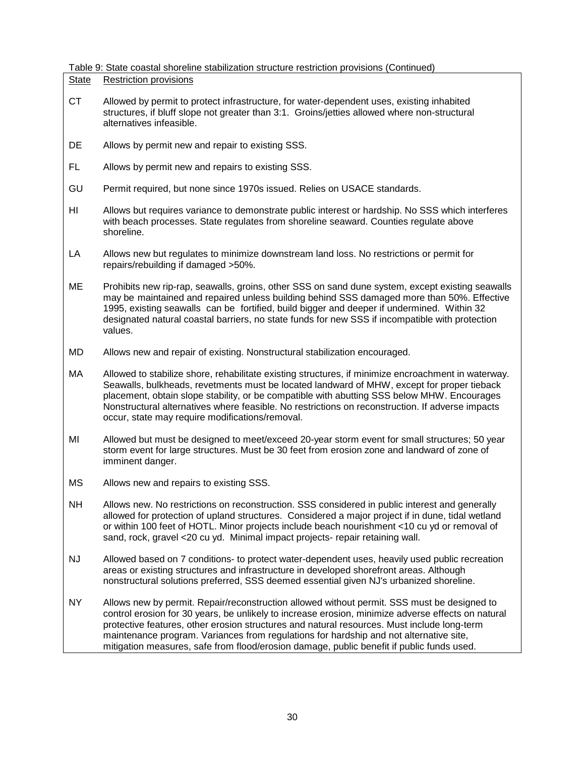Table 9: State coastal shoreline stabilization structure restriction provisions (Continued)

| State | Restriction provisions                                                          |
|-------|---------------------------------------------------------------------------------|
| СT    | Allowed by permit to protect infrastructure, for water-dependent uses, existing |

- na inhabited structures, if bluff slope not greater than 3:1. Groins/jetties allowed where non-structural alternatives infeasible.
- DE Allows by permit new and repair to existing SSS.
- FL Allows by permit new and repairs to existing SSS.
- GU Permit required, but none since 1970s issued. Relies on USACE standards.
- HI Allows but requires variance to demonstrate public interest or hardship. No SSS which interferes with beach processes. State regulates from shoreline seaward. Counties regulate above shoreline.
- LA Allows new but regulates to minimize downstream land loss. No restrictions or permit for repairs/rebuilding if damaged >50%.
- ME Prohibits new rip-rap, seawalls, groins, other SSS on sand dune system, except existing seawalls may be maintained and repaired unless building behind SSS damaged more than 50%. Effective 1995, existing seawalls can be fortified, build bigger and deeper if undermined. Within 32 designated natural coastal barriers, no state funds for new SSS if incompatible with protection values.
- MD Allows new and repair of existing. Nonstructural stabilization encouraged.
- MA Allowed to stabilize shore, rehabilitate existing structures, if minimize encroachment in waterway. Seawalls, bulkheads, revetments must be located landward of MHW, except for proper tieback placement, obtain slope stability, or be compatible with abutting SSS below MHW. Encourages Nonstructural alternatives where feasible. No restrictions on reconstruction. If adverse impacts occur, state may require modifications/removal.
- MI Allowed but must be designed to meet/exceed 20-year storm event for small structures; 50 year storm event for large structures. Must be 30 feet from erosion zone and landward of zone of imminent danger.
- MS Allows new and repairs to existing SSS.
- NH Allows new. No restrictions on reconstruction. SSS considered in public interest and generally allowed for protection of upland structures. Considered a major project if in dune, tidal wetland or within 100 feet of HOTL. Minor projects include beach nourishment <10 cu yd or removal of sand, rock, gravel <20 cu yd. Minimal impact projects- repair retaining wall.
- NJ Allowed based on 7 conditions- to protect water-dependent uses, heavily used public recreation areas or existing structures and infrastructure in developed shorefront areas. Although nonstructural solutions preferred, SSS deemed essential given NJ's urbanized shoreline.
- NY Allows new by permit. Repair/reconstruction allowed without permit. SSS must be designed to control erosion for 30 years, be unlikely to increase erosion, minimize adverse effects on natural protective features, other erosion structures and natural resources. Must include long-term maintenance program. Variances from regulations for hardship and not alternative site, mitigation measures, safe from flood/erosion damage, public benefit if public funds used.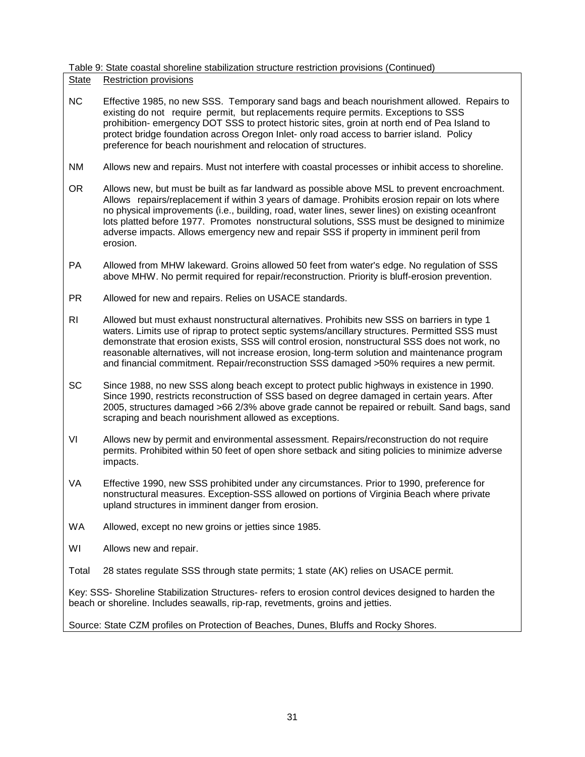Table 9: State coastal shoreline stabilization structure restriction provisions (Continued)

State Restriction provisions

- NC Effective 1985, no new SSS. Temporary sand bags and beach nourishment allowed. Repairs to existing do not require permit, but replacements require permits. Exceptions to SSS prohibition- emergency DOT SSS to protect historic sites, groin at north end of Pea Island to protect bridge foundation across Oregon Inlet- only road access to barrier island. Policy preference for beach nourishment and relocation of structures.
- NM Allows new and repairs. Must not interfere with coastal processes or inhibit access to shoreline.
- OR Allows new, but must be built as far landward as possible above MSL to prevent encroachment. Allows repairs/replacement if within 3 years of damage. Prohibits erosion repair on lots where no physical improvements (i.e., building, road, water lines, sewer lines) on existing oceanfront lots platted before 1977. Promotes nonstructural solutions, SSS must be designed to minimize adverse impacts. Allows emergency new and repair SSS if property in imminent peril from erosion.
- PA Allowed from MHW lakeward. Groins allowed 50 feet from water's edge. No regulation of SSS above MHW. No permit required for repair/reconstruction. Priority is bluff-erosion prevention.
- PR Allowed for new and repairs. Relies on USACE standards.
- RI Allowed but must exhaust nonstructural alternatives. Prohibits new SSS on barriers in type 1 waters. Limits use of riprap to protect septic systems/ancillary structures. Permitted SSS must demonstrate that erosion exists, SSS will control erosion, nonstructural SSS does not work, no reasonable alternatives, will not increase erosion, long-term solution and maintenance program and financial commitment. Repair/reconstruction SSS damaged >50% requires a new permit.
- SC Since 1988, no new SSS along beach except to protect public highways in existence in 1990. Since 1990, restricts reconstruction of SSS based on degree damaged in certain years. After 2005, structures damaged >66 2/3% above grade cannot be repaired or rebuilt. Sand bags, sand scraping and beach nourishment allowed as exceptions.
- VI Allows new by permit and environmental assessment. Repairs/reconstruction do not require permits. Prohibited within 50 feet of open shore setback and siting policies to minimize adverse impacts.
- VA Effective 1990, new SSS prohibited under any circumstances. Prior to 1990, preference for nonstructural measures. Exception-SSS allowed on portions of Virginia Beach where private upland structures in imminent danger from erosion.
- WA Allowed, except no new groins or jetties since 1985.
- WI Allows new and repair.
- Total 28 states regulate SSS through state permits; 1 state (AK) relies on USACE permit.

Key: SSS- Shoreline Stabilization Structures- refers to erosion control devices designed to harden the beach or shoreline. Includes seawalls, rip-rap, revetments, groins and jetties.

Source: State CZM profiles on Protection of Beaches, Dunes, Bluffs and Rocky Shores.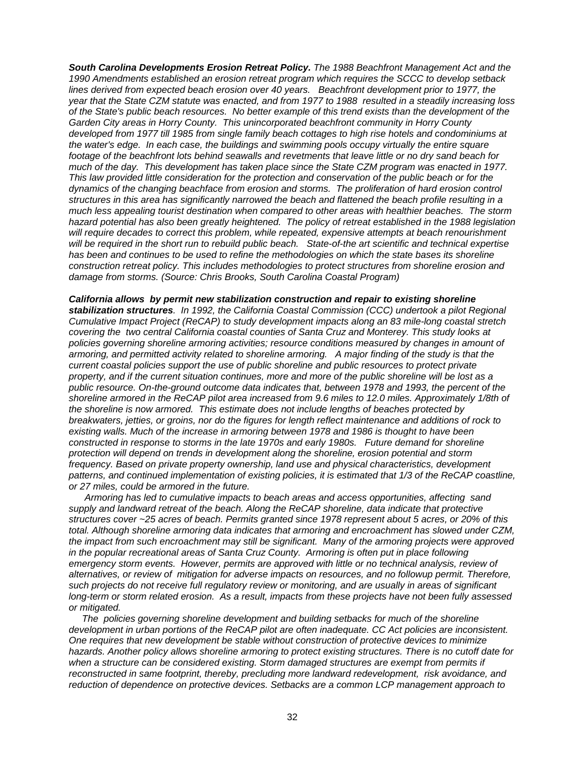*South Carolina Developments Erosion Retreat Policy. The 1988 Beachfront Management Act and the 1990 Amendments established an erosion retreat program which requires the SCCC to develop setback lines derived from expected beach erosion over 40 years. Beachfront development prior to 1977, the year that the State CZM statute was enacted, and from 1977 to 1988 resulted in a steadily increasing loss of the State's public beach resources. No better example of this trend exists than the development of the Garden City areas in Horry County. This unincorporated beachfront community in Horry County developed from 1977 till 1985 from single family beach cottages to high rise hotels and condominiums at the water's edge. In each case, the buildings and swimming pools occupy virtually the entire square footage of the beachfront lots behind seawalls and revetments that leave little or no dry sand beach for much of the day. This development has taken place since the State CZM program was enacted in 1977. This law provided little consideration for the protection and conservation of the public beach or for the dynamics of the changing beachface from erosion and storms. The proliferation of hard erosion control structures in this area has significantly narrowed the beach and flattened the beach profile resulting in a much less appealing tourist destination when compared to other areas with healthier beaches. The storm hazard potential has also been greatly heightened. The policy of retreat established in the 1988 legislation will require decades to correct this problem, while repeated, expensive attempts at beach renourishment will be required in the short run to rebuild public beach. State-of-the art scientific and technical expertise has been and continues to be used to refine the methodologies on which the state bases its shoreline construction retreat policy. This includes methodologies to protect structures from shoreline erosion and damage from storms. (Source: Chris Brooks, South Carolina Coastal Program)*

*California allows by permit new stabilization construction and repair to existing shoreline stabilization structures. In 1992, the California Coastal Commission (CCC) undertook a pilot Regional Cumulative Impact Project (ReCAP) to study development impacts along an 83 mile-long coastal stretch covering the two central California coastal counties of Santa Cruz and Monterey. This study looks at policies governing shoreline armoring activities; resource conditions measured by changes in amount of armoring, and permitted activity related to shoreline armoring. A major finding of the study is that the current coastal policies support the use of public shoreline and public resources to protect private property, and if the current situation continues, more and more of the public shoreline will be lost as a public resource. On-the-ground outcome data indicates that, between 1978 and 1993, the percent of the shoreline armored in the ReCAP pilot area increased from 9.6 miles to 12.0 miles. Approximately 1/8th of the shoreline is now armored. This estimate does not include lengths of beaches protected by breakwaters, jetties, or groins, nor do the figures for length reflect maintenance and additions of rock to existing walls. Much of the increase in armoring between 1978 and 1986 is thought to have been constructed in response to storms in the late 1970s and early 1980s. Future demand for shoreline protection will depend on trends in development along the shoreline, erosion potential and storm frequency. Based on private property ownership, land use and physical characteristics, development patterns, and continued implementation of existing policies, it is estimated that 1/3 of the ReCAP coastline, or 27 miles, could be armored in the future.*

 *Armoring has led to cumulative impacts to beach areas and access opportunities, affecting sand supply and landward retreat of the beach. Along the ReCAP shoreline, data indicate that protective structures cover ~25 acres of beach. Permits granted since 1978 represent about 5 acres, or 20% of this total. Although shoreline armoring data indicates that armoring and encroachment has slowed under CZM, the impact from such encroachment may still be significant. Many of the armoring projects were approved in the popular recreational areas of Santa Cruz County. Armoring is often put in place following emergency storm events. However, permits are approved with little or no technical analysis, review of alternatives, or review of mitigation for adverse impacts on resources, and no followup permit. Therefore, such projects do not receive full regulatory review or monitoring, and are usually in areas of significant long-term or storm related erosion. As a result, impacts from these projects have not been fully assessed or mitigated.*

 *The policies governing shoreline development and building setbacks for much of the shoreline development in urban portions of the ReCAP pilot are often inadequate. CC Act policies are inconsistent. One requires that new development be stable without construction of protective devices to minimize hazards. Another policy allows shoreline armoring to protect existing structures. There is no cutoff date for when a structure can be considered existing. Storm damaged structures are exempt from permits if reconstructed in same footprint, thereby, precluding more landward redevelopment, risk avoidance, and reduction of dependence on protective devices. Setbacks are a common LCP management approach to*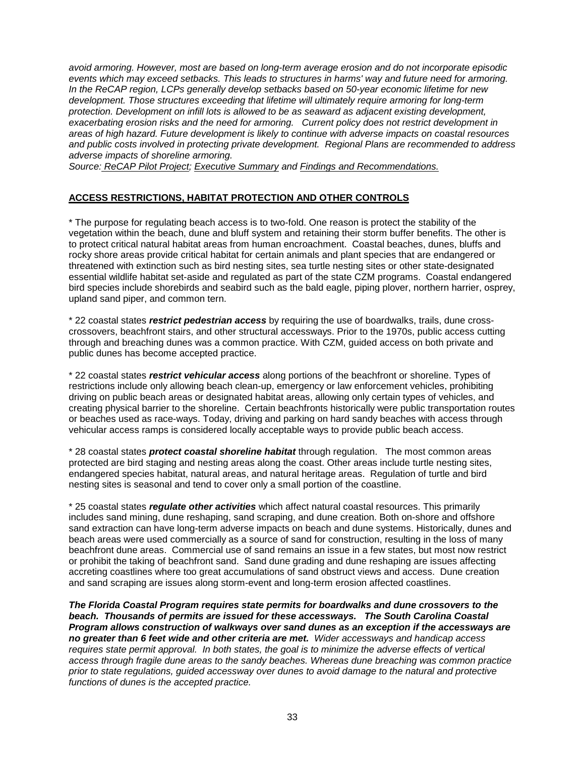*avoid armoring. However, most are based on long-term average erosion and do not incorporate episodic events which may exceed setbacks. This leads to structures in harms' way and future need for armoring. In the ReCAP region, LCPs generally develop setbacks based on 50-year economic lifetime for new development. Those structures exceeding that lifetime will ultimately require armoring for long-term protection. Development on infill lots is allowed to be as seaward as adjacent existing development, exacerbating erosion risks and the need for armoring. Current policy does not restrict development in areas of high hazard. Future development is likely to continue with adverse impacts on coastal resources and public costs involved in protecting private development. Regional Plans are recommended to address adverse impacts of shoreline armoring.*

*Source: ReCAP Pilot Project; Executive Summary and Findings and Recommendations.*

#### **ACCESS RESTRICTIONS, HABITAT PROTECTION AND OTHER CONTROLS**

\* The purpose for regulating beach access is to two-fold. One reason is protect the stability of the vegetation within the beach, dune and bluff system and retaining their storm buffer benefits. The other is to protect critical natural habitat areas from human encroachment. Coastal beaches, dunes, bluffs and rocky shore areas provide critical habitat for certain animals and plant species that are endangered or threatened with extinction such as bird nesting sites, sea turtle nesting sites or other state-designated essential wildlife habitat set-aside and regulated as part of the state CZM programs. Coastal endangered bird species include shorebirds and seabird such as the bald eagle, piping plover, northern harrier, osprey, upland sand piper, and common tern.

\* 22 coastal states *restrict pedestrian access* by requiring the use of boardwalks, trails, dune crosscrossovers, beachfront stairs, and other structural accessways. Prior to the 1970s, public access cutting through and breaching dunes was a common practice. With CZM, guided access on both private and public dunes has become accepted practice.

\* 22 coastal states *restrict vehicular access* along portions of the beachfront or shoreline. Types of restrictions include only allowing beach clean-up, emergency or law enforcement vehicles, prohibiting driving on public beach areas or designated habitat areas, allowing only certain types of vehicles, and creating physical barrier to the shoreline. Certain beachfronts historically were public transportation routes or beaches used as race-ways. Today, driving and parking on hard sandy beaches with access through vehicular access ramps is considered locally acceptable ways to provide public beach access.

\* 28 coastal states *protect coastal shoreline habitat* through regulation. The most common areas protected are bird staging and nesting areas along the coast. Other areas include turtle nesting sites, endangered species habitat, natural areas, and natural heritage areas. Regulation of turtle and bird nesting sites is seasonal and tend to cover only a small portion of the coastline.

\* 25 coastal states *regulate other activities* which affect natural coastal resources. This primarily includes sand mining, dune reshaping, sand scraping, and dune creation. Both on-shore and offshore sand extraction can have long-term adverse impacts on beach and dune systems. Historically, dunes and beach areas were used commercially as a source of sand for construction, resulting in the loss of many beachfront dune areas. Commercial use of sand remains an issue in a few states, but most now restrict or prohibit the taking of beachfront sand. Sand dune grading and dune reshaping are issues affecting accreting coastlines where too great accumulations of sand obstruct views and access. Dune creation and sand scraping are issues along storm-event and long-term erosion affected coastlines.

*The Florida Coastal Program requires state permits for boardwalks and dune crossovers to the beach. Thousands of permits are issued for these accessways. The South Carolina Coastal Program allows construction of walkways over sand dunes as an exception if the accessways are no greater than 6 feet wide and other criteria are met. Wider accessways and handicap access requires state permit approval. In both states, the goal is to minimize the adverse effects of vertical access through fragile dune areas to the sandy beaches. Whereas dune breaching was common practice prior to state regulations, guided accessway over dunes to avoid damage to the natural and protective functions of dunes is the accepted practice.*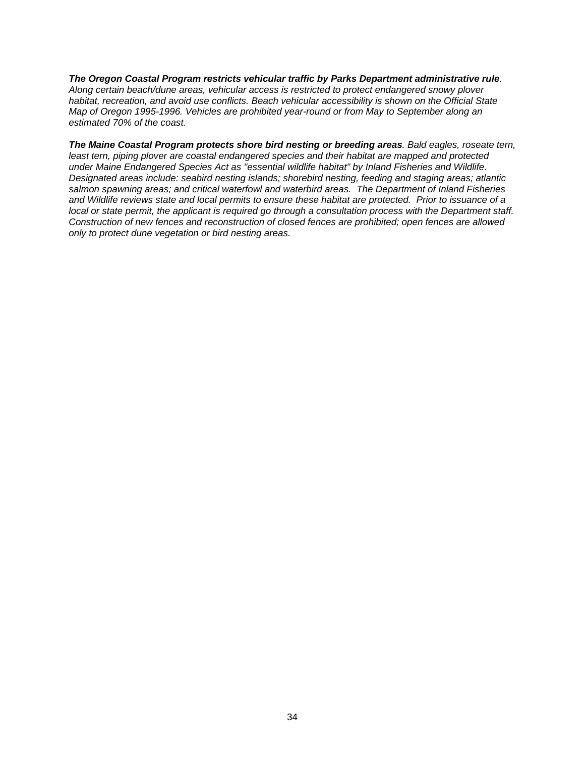*The Oregon Coastal Program restricts vehicular traffic by Parks Department administrative rule. Along certain beach/dune areas, vehicular access is restricted to protect endangered snowy plover habitat, recreation, and avoid use conflicts. Beach vehicular accessibility is shown on the Official State Map of Oregon 1995-1996. Vehicles are prohibited year-round or from May to September along an estimated 70% of the coast.*

*The Maine Coastal Program protects shore bird nesting or breeding areas. Bald eagles, roseate tern, least tern, piping plover are coastal endangered species and their habitat are mapped and protected under Maine Endangered Species Act as "essential wildlife habitat" by Inland Fisheries and Wildlife. Designated areas include: seabird nesting islands; shorebird nesting, feeding and staging areas; atlantic salmon spawning areas; and critical waterfowl and waterbird areas. The Department of Inland Fisheries and Wildlife reviews state and local permits to ensure these habitat are protected. Prior to issuance of a local or state permit, the applicant is required go through a consultation process with the Department staff. Construction of new fences and reconstruction of closed fences are prohibited; open fences are allowed only to protect dune vegetation or bird nesting areas.*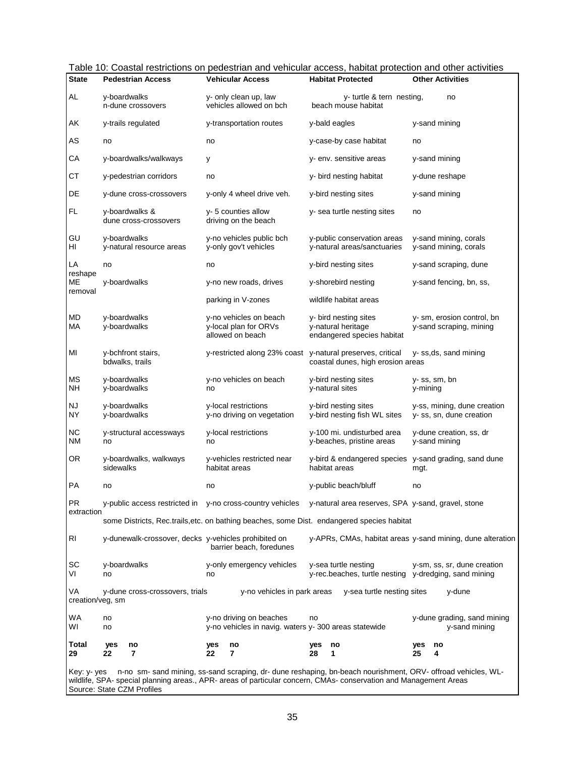| <b>State</b>           | <b>Pedestrian Access</b>                                                                                                                        | <b>Vehicular Access</b>                                                                                      | <b>Habitat Protected</b>                                                      | <b>Other Activities</b>                                    |  |
|------------------------|-------------------------------------------------------------------------------------------------------------------------------------------------|--------------------------------------------------------------------------------------------------------------|-------------------------------------------------------------------------------|------------------------------------------------------------|--|
| AL                     | y-boardwalks<br>n-dune crossovers                                                                                                               | y- only clean up, law<br>vehicles allowed on bch                                                             | y-turtle & tern nesting,<br>beach mouse habitat                               | no                                                         |  |
| AΚ                     | y-trails regulated                                                                                                                              | y-transportation routes                                                                                      | y-bald eagles                                                                 | y-sand mining                                              |  |
| AS                     | no                                                                                                                                              | no                                                                                                           | y-case-by case habitat                                                        | no                                                         |  |
| CA                     | y-boardwalks/walkways                                                                                                                           | У                                                                                                            | y- env. sensitive areas                                                       | y-sand mining                                              |  |
| СT                     | y-pedestrian corridors                                                                                                                          | no                                                                                                           | y- bird nesting habitat                                                       | y-dune reshape                                             |  |
| DE                     | y-dune cross-crossovers                                                                                                                         | y-only 4 wheel drive veh.                                                                                    | y-bird nesting sites                                                          | y-sand mining                                              |  |
| <b>FL</b>              | y-boardwalks &<br>dune cross-crossovers                                                                                                         | y-5 counties allow<br>driving on the beach                                                                   | y- sea turtle nesting sites                                                   | no                                                         |  |
| GU<br>HI               | y-boardwalks<br>y-natural resource areas                                                                                                        | y-no vehicles public bch<br>y-only gov't vehicles                                                            | y-public conservation areas<br>y-natural areas/sanctuaries                    | y-sand mining, corals<br>y-sand mining, corals             |  |
| LA                     | no                                                                                                                                              | no                                                                                                           | y-bird nesting sites                                                          | y-sand scraping, dune                                      |  |
| reshape<br>MЕ          | y-boardwalks                                                                                                                                    | y-no new roads, drives                                                                                       | y-shorebird nesting                                                           | y-sand fencing, bn, ss,                                    |  |
| removal                |                                                                                                                                                 | parking in V-zones                                                                                           | wildlife habitat areas                                                        |                                                            |  |
| MD<br>МA               | y-boardwalks<br>y-boardwalks                                                                                                                    | y-no vehicles on beach<br>y-local plan for ORVs<br>allowed on beach                                          | y- bird nesting sites<br>y-natural heritage<br>endangered species habitat     | y-sm, erosion control, bn<br>y-sand scraping, mining       |  |
| MI                     | y-bchfront stairs,<br>bdwalks, trails                                                                                                           | y-restricted along 23% coast y-natural preserves, critical                                                   | coastal dunes, high erosion areas                                             | y-ss,ds, sand mining                                       |  |
| МS<br>NΗ               | y-boardwalks<br>y-boardwalks                                                                                                                    | y-no vehicles on beach<br>no                                                                                 | y-bird nesting sites<br>y-natural sites                                       | y-ss, sm, bn<br>y-mining                                   |  |
| NJ<br>NY               | y-boardwalks<br>y-boardwalks                                                                                                                    | y-local restrictions<br>y-no driving on vegetation                                                           | y-bird nesting sites<br>y-bird nesting fish WL sites                          | y-ss, mining, dune creation<br>y-ss, sn, dune creation     |  |
| ΝC<br>ΝM               | y-structural accessways<br>no                                                                                                                   | y-local restrictions<br>no                                                                                   | y-100 mi. undisturbed area<br>y-beaches, pristine areas                       | y-dune creation, ss, dr<br>y-sand mining                   |  |
| OR                     | y-boardwalks, walkways<br>sidewalks                                                                                                             | y-vehicles restricted near<br>habitat areas                                                                  | y-bird & endangered species y-sand grading, sand dune<br>habitat areas        | mgt.                                                       |  |
| PA                     | no                                                                                                                                              | no                                                                                                           | y-public beach/bluff                                                          | no                                                         |  |
| PR                     |                                                                                                                                                 | y-public access restricted in y-no cross-country vehicles y-natural area reserves, SPA y-sand, gravel, stone |                                                                               |                                                            |  |
| extraction             |                                                                                                                                                 | some Districts, Rec.trails, etc. on bathing beaches, some Dist. endangered species habitat                   |                                                                               |                                                            |  |
| RI                     | y-dunewalk-crossover, decks y-vehicles prohibited on                                                                                            | barrier beach, foredunes                                                                                     |                                                                               | y-APRs, CMAs, habitat areas y-sand mining, dune alteration |  |
| SC<br>VI               | y-boardwalks<br>no                                                                                                                              | y-only emergency vehicles<br>no                                                                              | y-sea turtle nesting<br>y-rec.beaches, turtle nesting y-dredging, sand mining | y-sm, ss, sr, dune creation                                |  |
| VA<br>creation/veg, sm | y-dune cross-crossovers, trials                                                                                                                 | y-no vehicles in park areas                                                                                  | y-sea turtle nesting sites                                                    | y-dune                                                     |  |
| WA<br>WI               | no<br>no                                                                                                                                        | y-no driving on beaches<br>y-no vehicles in navig. waters y-300 areas statewide                              | no                                                                            | y-dune grading, sand mining<br>y-sand mining               |  |
| Total<br>29            | yes<br>no<br>7<br>22                                                                                                                            | no<br>yes<br>7<br>22                                                                                         | no<br>yes<br>1<br>28                                                          | no<br>yes<br>25<br>4                                       |  |
| Key: y- yes            | wildlife, SPA- special planning areas., APR- areas of particular concern, CMAs- conservation and Management Areas<br>Source: State CZM Profiles | n-no sm-sand mining, ss-sand scraping, dr-dune reshaping, bn-beach nourishment, ORV- offroad vehicles, WL-   |                                                                               |                                                            |  |

|  | Table 10: Coastal restrictions on pedestrian and vehicular access, habitat protection and other activities |  |  |  |
|--|------------------------------------------------------------------------------------------------------------|--|--|--|
|--|------------------------------------------------------------------------------------------------------------|--|--|--|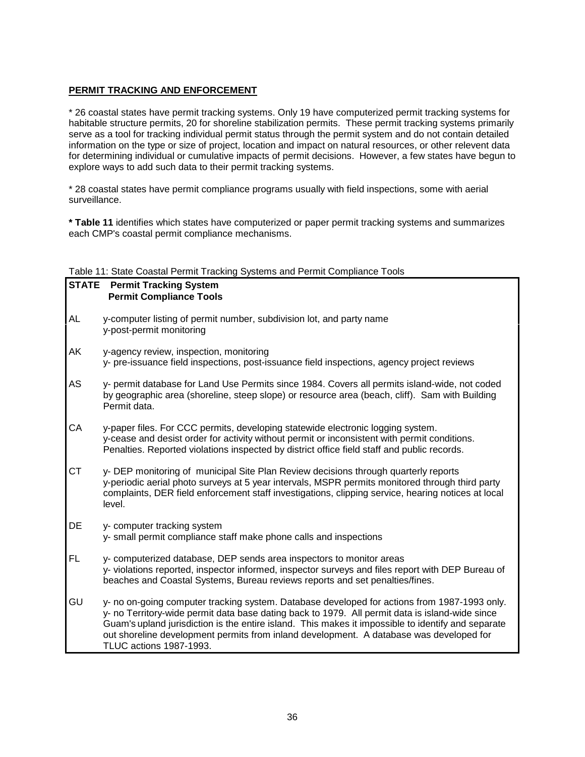### **PERMIT TRACKING AND ENFORCEMENT**

\* 26 coastal states have permit tracking systems. Only 19 have computerized permit tracking systems for habitable structure permits, 20 for shoreline stabilization permits. These permit tracking systems primarily serve as a tool for tracking individual permit status through the permit system and do not contain detailed information on the type or size of project, location and impact on natural resources, or other relevent data for determining individual or cumulative impacts of permit decisions. However, a few states have begun to explore ways to add such data to their permit tracking systems.

\* 28 coastal states have permit compliance programs usually with field inspections, some with aerial surveillance.

**\* Table 11** identifies which states have computerized or paper permit tracking systems and summarizes each CMP's coastal permit compliance mechanisms.

Table 11: State Coastal Permit Tracking Systems and Permit Compliance Tools

|           | <b>STATE</b> Permit Tracking System<br><b>Permit Compliance Tools</b>                                                                                                                                                                                                                                                                                                                                                              |
|-----------|------------------------------------------------------------------------------------------------------------------------------------------------------------------------------------------------------------------------------------------------------------------------------------------------------------------------------------------------------------------------------------------------------------------------------------|
| AL        | y-computer listing of permit number, subdivision lot, and party name<br>y-post-permit monitoring                                                                                                                                                                                                                                                                                                                                   |
| AK        | y-agency review, inspection, monitoring<br>y- pre-issuance field inspections, post-issuance field inspections, agency project reviews                                                                                                                                                                                                                                                                                              |
| AS        | y- permit database for Land Use Permits since 1984. Covers all permits island-wide, not coded<br>by geographic area (shoreline, steep slope) or resource area (beach, cliff). Sam with Building<br>Permit data.                                                                                                                                                                                                                    |
| CA        | y-paper files. For CCC permits, developing statewide electronic logging system.<br>y-cease and desist order for activity without permit or inconsistent with permit conditions.<br>Penalties. Reported violations inspected by district office field staff and public records.                                                                                                                                                     |
| <b>CT</b> | y- DEP monitoring of municipal Site Plan Review decisions through quarterly reports<br>y-periodic aerial photo surveys at 5 year intervals, MSPR permits monitored through third party<br>complaints, DER field enforcement staff investigations, clipping service, hearing notices at local<br>level.                                                                                                                             |
| DE        | y- computer tracking system<br>y- small permit compliance staff make phone calls and inspections                                                                                                                                                                                                                                                                                                                                   |
| FL        | y- computerized database, DEP sends area inspectors to monitor areas<br>y-violations reported, inspector informed, inspector surveys and files report with DEP Bureau of<br>beaches and Coastal Systems, Bureau reviews reports and set penalties/fines.                                                                                                                                                                           |
| GU        | y- no on-going computer tracking system. Database developed for actions from 1987-1993 only.<br>y- no Territory-wide permit data base dating back to 1979. All permit data is island-wide since<br>Guam's upland jurisdiction is the entire island. This makes it impossible to identify and separate<br>out shoreline development permits from inland development. A database was developed for<br><b>TLUC actions 1987-1993.</b> |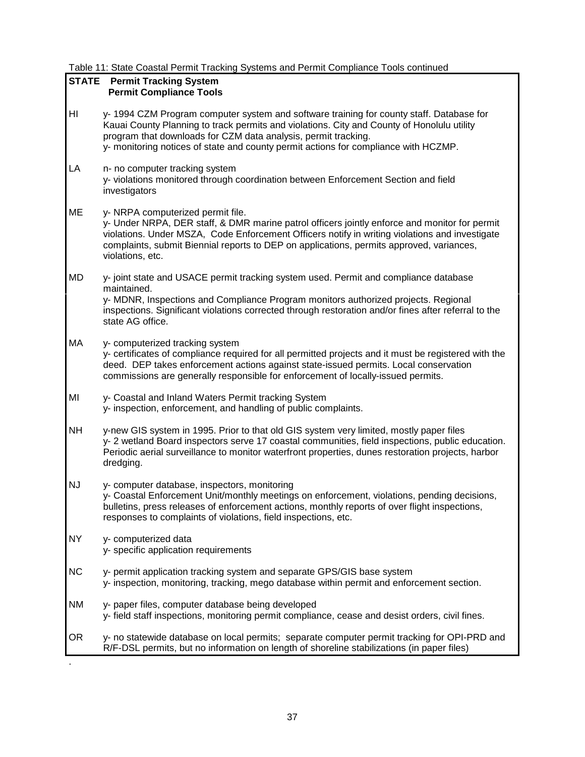## Table 11: State Coastal Permit Tracking Systems and Permit Compliance Tools continued

| <b>STATE</b> | <b>Permit Tracking System</b>                                                                                                                                                                                                                                                                                                                        |
|--------------|------------------------------------------------------------------------------------------------------------------------------------------------------------------------------------------------------------------------------------------------------------------------------------------------------------------------------------------------------|
|              | <b>Permit Compliance Tools</b>                                                                                                                                                                                                                                                                                                                       |
| HI           | y-1994 CZM Program computer system and software training for county staff. Database for<br>Kauai County Planning to track permits and violations. City and County of Honolulu utility<br>program that downloads for CZM data analysis, permit tracking.<br>y- monitoring notices of state and county permit actions for compliance with HCZMP.       |
| LA           | n- no computer tracking system<br>y- violations monitored through coordination between Enforcement Section and field<br>investigators                                                                                                                                                                                                                |
| ME           | y- NRPA computerized permit file.<br>y- Under NRPA, DER staff, & DMR marine patrol officers jointly enforce and monitor for permit<br>violations. Under MSZA, Code Enforcement Officers notify in writing violations and investigate<br>complaints, submit Biennial reports to DEP on applications, permits approved, variances,<br>violations, etc. |
| MD           | y-joint state and USACE permit tracking system used. Permit and compliance database                                                                                                                                                                                                                                                                  |
|              | maintained.<br>y- MDNR, Inspections and Compliance Program monitors authorized projects. Regional<br>inspections. Significant violations corrected through restoration and/or fines after referral to the<br>state AG office.                                                                                                                        |
| МA           | y- computerized tracking system<br>y- certificates of compliance required for all permitted projects and it must be registered with the<br>deed. DEP takes enforcement actions against state-issued permits. Local conservation<br>commissions are generally responsible for enforcement of locally-issued permits.                                  |
| MI           | y- Coastal and Inland Waters Permit tracking System<br>y- inspection, enforcement, and handling of public complaints.                                                                                                                                                                                                                                |
| <b>NH</b>    | y-new GIS system in 1995. Prior to that old GIS system very limited, mostly paper files<br>y-2 wetland Board inspectors serve 17 coastal communities, field inspections, public education.<br>Periodic aerial surveillance to monitor waterfront properties, dunes restoration projects, harbor<br>dredging.                                         |
| <b>NJ</b>    | y- computer database, inspectors, monitoring<br>y- Coastal Enforcement Unit/monthly meetings on enforcement, violations, pending decisions,<br>bulletins, press releases of enforcement actions, monthly reports of over flight inspections,<br>responses to complaints of violations, field inspections, etc.                                       |
| <b>NY</b>    | y- computerized data<br>y- specific application requirements                                                                                                                                                                                                                                                                                         |
| <b>NC</b>    | y- permit application tracking system and separate GPS/GIS base system<br>y- inspection, monitoring, tracking, mego database within permit and enforcement section.                                                                                                                                                                                  |
| NM           | y- paper files, computer database being developed<br>y- field staff inspections, monitoring permit compliance, cease and desist orders, civil fines.                                                                                                                                                                                                 |
| OR           | y- no statewide database on local permits; separate computer permit tracking for OPI-PRD and<br>R/F-DSL permits, but no information on length of shoreline stabilizations (in paper files)                                                                                                                                                           |

.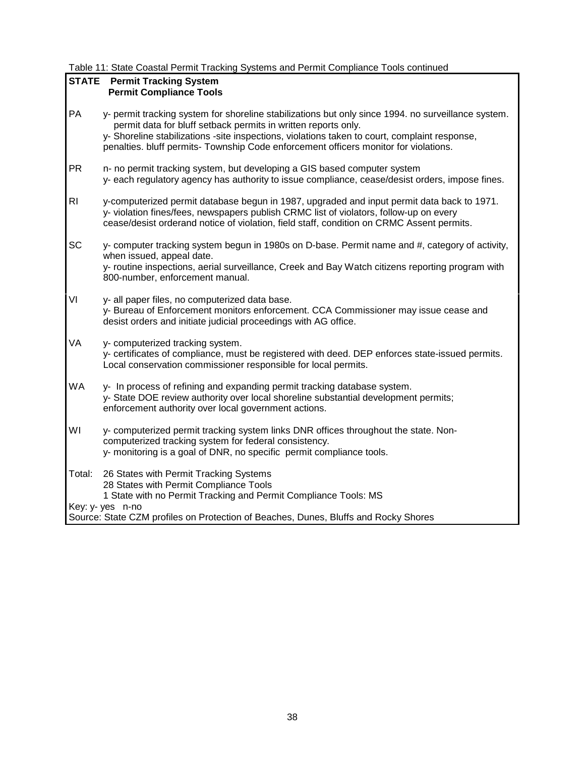Table 11: State Coastal Permit Tracking Systems and Permit Compliance Tools continued

|                | <b>STATE</b> Permit Tracking System                                                                                                                                                                                                                                                                                                                            |
|----------------|----------------------------------------------------------------------------------------------------------------------------------------------------------------------------------------------------------------------------------------------------------------------------------------------------------------------------------------------------------------|
|                | <b>Permit Compliance Tools</b>                                                                                                                                                                                                                                                                                                                                 |
| PA             | y- permit tracking system for shoreline stabilizations but only since 1994. no surveillance system.<br>permit data for bluff setback permits in written reports only.<br>y- Shoreline stabilizations -site inspections, violations taken to court, complaint response,<br>penalties. bluff permits- Township Code enforcement officers monitor for violations. |
| <b>PR</b>      | n- no permit tracking system, but developing a GIS based computer system<br>y- each regulatory agency has authority to issue compliance, cease/desist orders, impose fines.                                                                                                                                                                                    |
| R <sub>l</sub> | y-computerized permit database begun in 1987, upgraded and input permit data back to 1971.<br>y- violation fines/fees, newspapers publish CRMC list of violators, follow-up on every<br>cease/desist orderand notice of violation, field staff, condition on CRMC Assent permits.                                                                              |
| SC             | y- computer tracking system begun in 1980s on D-base. Permit name and #, category of activity,<br>when issued, appeal date.<br>y- routine inspections, aerial surveillance, Creek and Bay Watch citizens reporting program with<br>800-number, enforcement manual.                                                                                             |
| VI             | y- all paper files, no computerized data base.<br>y- Bureau of Enforcement monitors enforcement. CCA Commissioner may issue cease and<br>desist orders and initiate judicial proceedings with AG office.                                                                                                                                                       |
| VA             | y- computerized tracking system.<br>y- certificates of compliance, must be registered with deed. DEP enforces state-issued permits.<br>Local conservation commissioner responsible for local permits.                                                                                                                                                          |
| <b>WA</b>      | y- In process of refining and expanding permit tracking database system.<br>y- State DOE review authority over local shoreline substantial development permits;<br>enforcement authority over local government actions.                                                                                                                                        |
| WI             | y- computerized permit tracking system links DNR offices throughout the state. Non-<br>computerized tracking system for federal consistency.<br>y- monitoring is a goal of DNR, no specific permit compliance tools.                                                                                                                                           |
| Total:         | 26 States with Permit Tracking Systems<br>28 States with Permit Compliance Tools<br>1 State with no Permit Tracking and Permit Compliance Tools: MS                                                                                                                                                                                                            |
|                | Key: y- yes n-no<br>Source: State CZM profiles on Protection of Beaches, Dunes, Bluffs and Rocky Shores                                                                                                                                                                                                                                                        |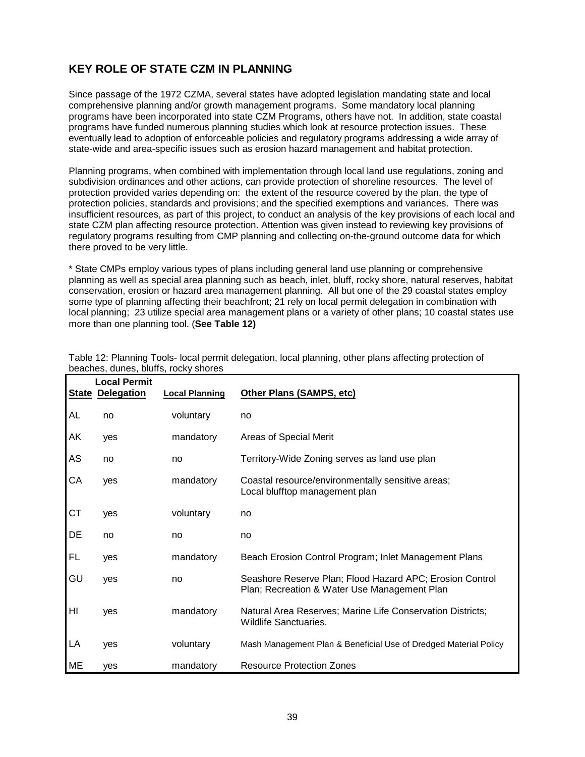# **KEY ROLE OF STATE CZM IN PLANNING**

Since passage of the 1972 CZMA, several states have adopted legislation mandating state and local comprehensive planning and/or growth management programs. Some mandatory local planning programs have been incorporated into state CZM Programs, others have not. In addition, state coastal programs have funded numerous planning studies which look at resource protection issues. These eventually lead to adoption of enforceable policies and regulatory programs addressing a wide array of state-wide and area-specific issues such as erosion hazard management and habitat protection.

Planning programs, when combined with implementation through local land use regulations, zoning and subdivision ordinances and other actions, can provide protection of shoreline resources. The level of protection provided varies depending on: the extent of the resource covered by the plan, the type of protection policies, standards and provisions; and the specified exemptions and variances. There was insufficient resources, as part of this project, to conduct an analysis of the key provisions of each local and state CZM plan affecting resource protection. Attention was given instead to reviewing key provisions of regulatory programs resulting from CMP planning and collecting on-the-ground outcome data for which there proved to be very little.

\* State CMPs employ various types of plans including general land use planning or comprehensive planning as well as special area planning such as beach, inlet, bluff, rocky shore, natural reserves, habitat conservation, erosion or hazard area management planning. All but one of the 29 coastal states employ some type of planning affecting their beachfront; 21 rely on local permit delegation in combination with local planning; 23 utilize special area management plans or a variety of other plans; 10 coastal states use more than one planning tool. (**See Table 12)**

|           | <b>Local Permit</b><br><b>State Delegation</b> | <b>Local Planning</b> | Other Plans (SAMPS, etc)                                                                                 |
|-----------|------------------------------------------------|-----------------------|----------------------------------------------------------------------------------------------------------|
| AL        | no                                             | voluntary             | no                                                                                                       |
| ΑK        | yes                                            | mandatory             | Areas of Special Merit                                                                                   |
| AS        | no                                             | no                    | Territory-Wide Zoning serves as land use plan                                                            |
| CA        | yes                                            | mandatory             | Coastal resource/environmentally sensitive areas;<br>Local blufftop management plan                      |
| <b>CT</b> | yes                                            | voluntary             | no                                                                                                       |
| DE        | no                                             | no                    | no                                                                                                       |
| FL        | yes                                            | mandatory             | Beach Erosion Control Program; Inlet Management Plans                                                    |
| GU        | ves                                            | no                    | Seashore Reserve Plan; Flood Hazard APC; Erosion Control<br>Plan; Recreation & Water Use Management Plan |
| HI        | yes                                            | mandatory             | Natural Area Reserves; Marine Life Conservation Districts;<br><b>Wildlife Sanctuaries.</b>               |
| LA        | yes                                            | voluntary             | Mash Management Plan & Beneficial Use of Dredged Material Policy                                         |
| ME        | yes                                            | mandatory             | <b>Resource Protection Zones</b>                                                                         |

Table 12: Planning Tools- local permit delegation, local planning, other plans affecting protection of beaches, dunes, bluffs, rocky shores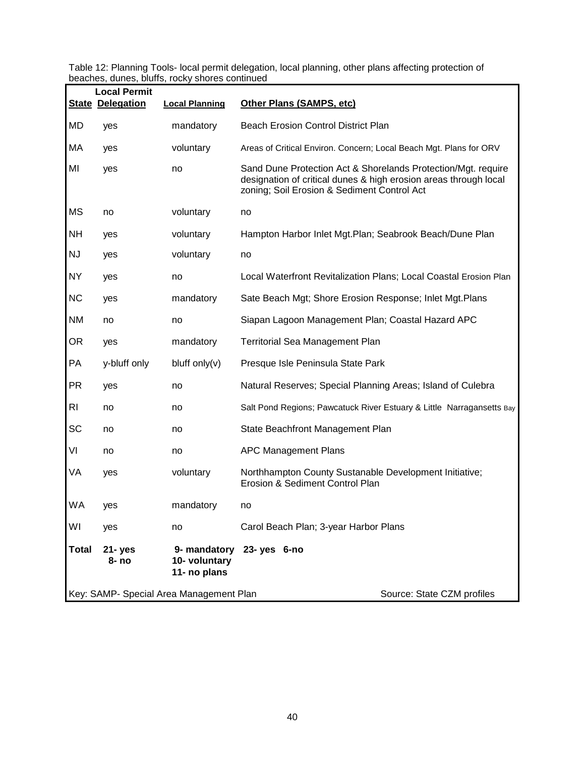|                | <b>Local Permit</b><br><b>State Delegation</b> | <b>Local Planning</b>                   | <b>Other Plans (SAMPS, etc)</b>                                                                                                                                                  |
|----------------|------------------------------------------------|-----------------------------------------|----------------------------------------------------------------------------------------------------------------------------------------------------------------------------------|
| <b>MD</b>      | yes                                            | mandatory                               | Beach Erosion Control District Plan                                                                                                                                              |
| МA             | yes                                            | voluntary                               | Areas of Critical Environ. Concern; Local Beach Mgt. Plans for ORV                                                                                                               |
| MI             | yes                                            | no                                      | Sand Dune Protection Act & Shorelands Protection/Mgt. require<br>designation of critical dunes & high erosion areas through local<br>zoning; Soil Erosion & Sediment Control Act |
| MS             | no                                             | voluntary                               | no                                                                                                                                                                               |
| <b>NH</b>      | yes                                            | voluntary                               | Hampton Harbor Inlet Mgt. Plan; Seabrook Beach/Dune Plan                                                                                                                         |
| <b>NJ</b>      | yes                                            | voluntary                               | no                                                                                                                                                                               |
| <b>NY</b>      | yes                                            | no                                      | Local Waterfront Revitalization Plans; Local Coastal Erosion Plan                                                                                                                |
| <b>NC</b>      | yes                                            | mandatory                               | Sate Beach Mgt; Shore Erosion Response; Inlet Mgt. Plans                                                                                                                         |
| <b>NM</b>      | no                                             | no                                      | Siapan Lagoon Management Plan; Coastal Hazard APC                                                                                                                                |
| <b>OR</b>      | yes                                            | mandatory                               | <b>Territorial Sea Management Plan</b>                                                                                                                                           |
| PA             | y-bluff only                                   | bluff only $(v)$                        | Presque Isle Peninsula State Park                                                                                                                                                |
| <b>PR</b>      | yes                                            | no                                      | Natural Reserves; Special Planning Areas; Island of Culebra                                                                                                                      |
| R <sub>l</sub> | no                                             | no                                      | Salt Pond Regions; Pawcatuck River Estuary & Little Narragansetts Bay                                                                                                            |
| SC             | no                                             | no                                      | State Beachfront Management Plan                                                                                                                                                 |
| VI             | no                                             | no                                      | <b>APC Management Plans</b>                                                                                                                                                      |
| VA             | yes                                            | voluntary                               | Northhampton County Sustanable Development Initiative;<br>Erosion & Sediment Control Plan                                                                                        |
| <b>WA</b>      | yes                                            | mandatory                               | no                                                                                                                                                                               |
| WI             | yes                                            | no                                      | Carol Beach Plan; 3-year Harbor Plans                                                                                                                                            |
| <b>Total</b>   | $21 - yes$<br>8- no                            | 10- voluntary<br>11- no plans           | 9- mandatory 23-yes 6-no                                                                                                                                                         |
|                |                                                | Key: SAMP- Special Area Management Plan | Source: State CZM profiles                                                                                                                                                       |

Table 12: Planning Tools- local permit delegation, local planning, other plans affecting protection of beaches, dunes, bluffs, rocky shores continued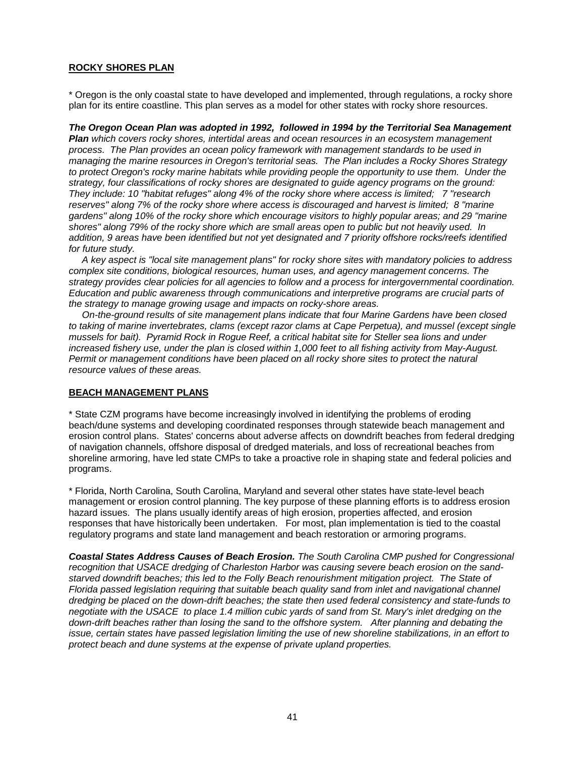## **ROCKY SHORES PLAN**

\* Oregon is the only coastal state to have developed and implemented, through regulations, a rocky shore plan for its entire coastline. This plan serves as a model for other states with rocky shore resources.

#### *The Oregon Ocean Plan was adopted in 1992, followed in 1994 by the Territorial Sea Management*

*Plan which covers rocky shores, intertidal areas and ocean resources in an ecosystem management process. The Plan provides an ocean policy framework with management standards to be used in managing the marine resources in Oregon's territorial seas. The Plan includes a Rocky Shores Strategy to protect Oregon's rocky marine habitats while providing people the opportunity to use them. Under the strategy, four classifications of rocky shores are designated to guide agency programs on the ground: They include: 10 "habitat refuges" along 4% of the rocky shore where access is limited; 7 "research reserves" along 7% of the rocky shore where access is discouraged and harvest is limited; 8 "marine gardens" along 10% of the rocky shore which encourage visitors to highly popular areas; and 29 "marine shores" along 79% of the rocky shore which are small areas open to public but not heavily used. In addition, 9 areas have been identified but not yet designated and 7 priority offshore rocks/reefs identified for future study.*

 *A key aspect is "local site management plans" for rocky shore sites with mandatory policies to address complex site conditions, biological resources, human uses, and agency management concerns. The strategy provides clear policies for all agencies to follow and a process for intergovernmental coordination. Education and public awareness through communications and interpretive programs are crucial parts of the strategy to manage growing usage and impacts on rocky-shore areas.*

 *On-the-ground results of site management plans indicate that four Marine Gardens have been closed to taking of marine invertebrates, clams (except razor clams at Cape Perpetua), and mussel (except single mussels for bait). Pyramid Rock in Rogue Reef, a critical habitat site for Steller sea lions and under increased fishery use, under the plan is closed within 1,000 feet to all fishing activity from May-August. Permit or management conditions have been placed on all rocky shore sites to protect the natural resource values of these areas.*

#### **BEACH MANAGEMENT PLANS**

\* State CZM programs have become increasingly involved in identifying the problems of eroding beach/dune systems and developing coordinated responses through statewide beach management and erosion control plans. States' concerns about adverse affects on downdrift beaches from federal dredging of navigation channels, offshore disposal of dredged materials, and loss of recreational beaches from shoreline armoring, have led state CMPs to take a proactive role in shaping state and federal policies and programs.

\* Florida, North Carolina, South Carolina, Maryland and several other states have state-level beach management or erosion control planning. The key purpose of these planning efforts is to address erosion hazard issues. The plans usually identify areas of high erosion, properties affected, and erosion responses that have historically been undertaken. For most, plan implementation is tied to the coastal regulatory programs and state land management and beach restoration or armoring programs.

*Coastal States Address Causes of Beach Erosion. The South Carolina CMP pushed for Congressional recognition that USACE dredging of Charleston Harbor was causing severe beach erosion on the sandstarved downdrift beaches; this led to the Folly Beach renourishment mitigation project. The State of Florida passed legislation requiring that suitable beach quality sand from inlet and navigational channel dredging be placed on the down-drift beaches; the state then used federal consistency and state-funds to negotiate with the USACE to place 1.4 million cubic yards of sand from St. Mary's inlet dredging on the down-drift beaches rather than losing the sand to the offshore system. After planning and debating the issue, certain states have passed legislation limiting the use of new shoreline stabilizations, in an effort to protect beach and dune systems at the expense of private upland properties.*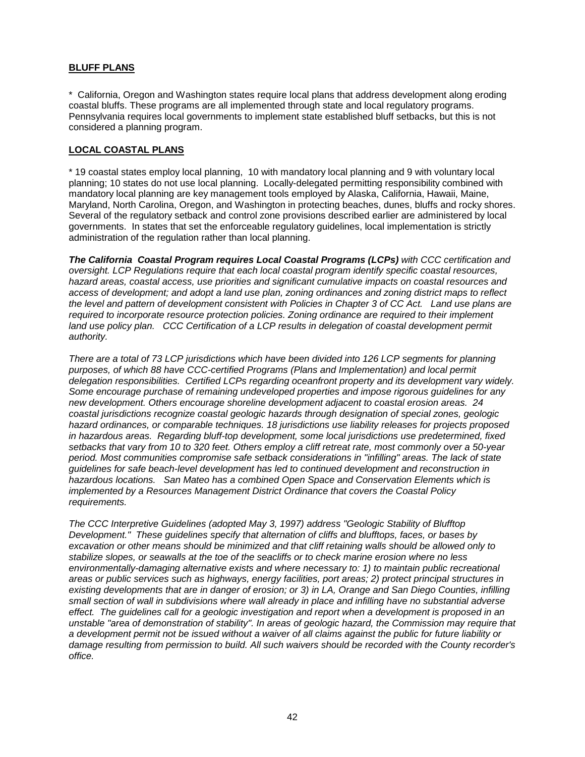## **BLUFF PLANS**

\* California, Oregon and Washington states require local plans that address development along eroding coastal bluffs. These programs are all implemented through state and local regulatory programs. Pennsylvania requires local governments to implement state established bluff setbacks, but this is not considered a planning program.

## **LOCAL COASTAL PLANS**

\* 19 coastal states employ local planning, 10 with mandatory local planning and 9 with voluntary local planning; 10 states do not use local planning. Locally-delegated permitting responsibility combined with mandatory local planning are key management tools employed by Alaska, California, Hawaii, Maine, Maryland, North Carolina, Oregon, and Washington in protecting beaches, dunes, bluffs and rocky shores. Several of the regulatory setback and control zone provisions described earlier are administered by local governments. In states that set the enforceable regulatory guidelines, local implementation is strictly administration of the regulation rather than local planning.

*The California Coastal Program requires Local Coastal Programs (LCPs) with CCC certification and oversight. LCP Regulations require that each local coastal program identify specific coastal resources, hazard areas, coastal access, use priorities and significant cumulative impacts on coastal resources and access of development; and adopt a land use plan, zoning ordinances and zoning district maps to reflect the level and pattern of development consistent with Policies in Chapter 3 of CC Act. Land use plans are required to incorporate resource protection policies. Zoning ordinance are required to their implement land use policy plan. CCC Certification of a LCP results in delegation of coastal development permit authority.*

*There are a total of 73 LCP jurisdictions which have been divided into 126 LCP segments for planning purposes, of which 88 have CCC-certified Programs (Plans and Implementation) and local permit delegation responsibilities. Certified LCPs regarding oceanfront property and its development vary widely. Some encourage purchase of remaining undeveloped properties and impose rigorous guidelines for any new development. Others encourage shoreline development adjacent to coastal erosion areas. 24 coastal jurisdictions recognize coastal geologic hazards through designation of special zones, geologic hazard ordinances, or comparable techniques. 18 jurisdictions use liability releases for projects proposed in hazardous areas. Regarding bluff-top development, some local jurisdictions use predetermined, fixed setbacks that vary from 10 to 320 feet. Others employ a cliff retreat rate, most commonly over a 50-year period. Most communities compromise safe setback considerations in "infilling" areas. The lack of state guidelines for safe beach-level development has led to continued development and reconstruction in hazardous locations. San Mateo has a combined Open Space and Conservation Elements which is implemented by a Resources Management District Ordinance that covers the Coastal Policy requirements.*

*The CCC Interpretive Guidelines (adopted May 3, 1997) address "Geologic Stability of Blufftop Development." These guidelines specify that alternation of cliffs and blufftops, faces, or bases by excavation or other means should be minimized and that cliff retaining walls should be allowed only to stabilize slopes, or seawalls at the toe of the seacliffs or to check marine erosion where no less environmentally-damaging alternative exists and where necessary to: 1) to maintain public recreational areas or public services such as highways, energy facilities, port areas; 2) protect principal structures in existing developments that are in danger of erosion; or 3) in LA, Orange and San Diego Counties, infilling small section of wall in subdivisions where wall already in place and infilling have no substantial adverse effect. The guidelines call for a geologic investigation and report when a development is proposed in an unstable "area of demonstration of stability". In areas of geologic hazard, the Commission may require that a development permit not be issued without a waiver of all claims against the public for future liability or damage resulting from permission to build. All such waivers should be recorded with the County recorder's office.*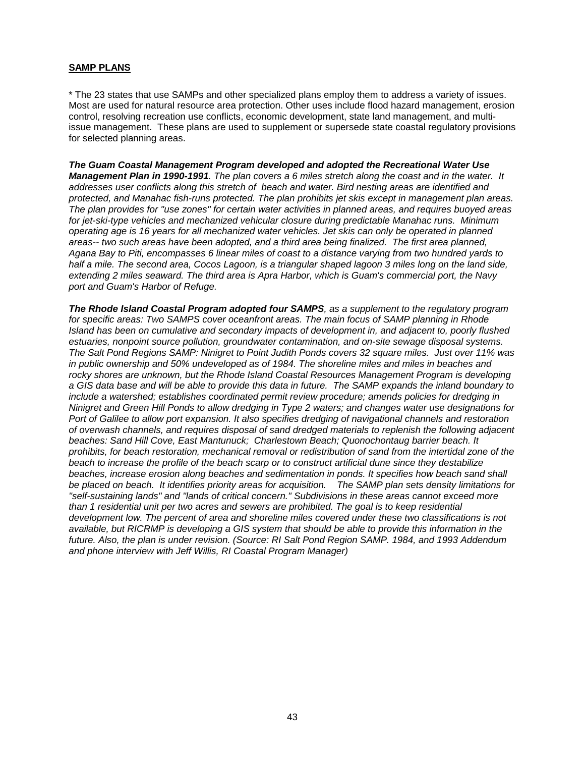#### **SAMP PLANS**

\* The 23 states that use SAMPs and other specialized plans employ them to address a variety of issues. Most are used for natural resource area protection. Other uses include flood hazard management, erosion control, resolving recreation use conflicts, economic development, state land management, and multiissue management. These plans are used to supplement or supersede state coastal regulatory provisions for selected planning areas.

*The Guam Coastal Management Program developed and adopted the Recreational Water Use Management Plan in 1990-1991. The plan covers a 6 miles stretch along the coast and in the water. It addresses user conflicts along this stretch of beach and water. Bird nesting areas are identified and protected, and Manahac fish-runs protected. The plan prohibits jet skis except in management plan areas. The plan provides for "use zones" for certain water activities in planned areas, and requires buoyed areas for jet-ski-type vehicles and mechanized vehicular closure during predictable Manahac runs. Minimum operating age is 16 years for all mechanized water vehicles. Jet skis can only be operated in planned areas-- two such areas have been adopted, and a third area being finalized. The first area planned, Agana Bay to Piti, encompasses 6 linear miles of coast to a distance varying from two hundred yards to half a mile. The second area, Cocos Lagoon, is a triangular shaped lagoon 3 miles long on the land side, extending 2 miles seaward. The third area is Apra Harbor, which is Guam's commercial port, the Navy port and Guam's Harbor of Refuge.*

*The Rhode Island Coastal Program adopted four SAMPS, as a supplement to the regulatory program for specific areas: Two SAMPS cover oceanfront areas. The main focus of SAMP planning in Rhode Island has been on cumulative and secondary impacts of development in, and adjacent to, poorly flushed estuaries, nonpoint source pollution, groundwater contamination, and on-site sewage disposal systems. The Salt Pond Regions SAMP: Ninigret to Point Judith Ponds covers 32 square miles. Just over 11% was in public ownership and 50% undeveloped as of 1984. The shoreline miles and miles in beaches and rocky shores are unknown, but the Rhode Island Coastal Resources Management Program is developing a GIS data base and will be able to provide this data in future. The SAMP expands the inland boundary to include a watershed; establishes coordinated permit review procedure; amends policies for dredging in Ninigret and Green Hill Ponds to allow dredging in Type 2 waters; and changes water use designations for Port of Galilee to allow port expansion. It also specifies dredging of navigational channels and restoration of overwash channels, and requires disposal of sand dredged materials to replenish the following adjacent beaches: Sand Hill Cove, East Mantunuck; Charlestown Beach; Quonochontaug barrier beach. It prohibits, for beach restoration, mechanical removal or redistribution of sand from the intertidal zone of the beach to increase the profile of the beach scarp or to construct artificial dune since they destabilize beaches, increase erosion along beaches and sedimentation in ponds. It specifies how beach sand shall be placed on beach. It identifies priority areas for acquisition. The SAMP plan sets density limitations for "self-sustaining lands" and "lands of critical concern." Subdivisions in these areas cannot exceed more than 1 residential unit per two acres and sewers are prohibited. The goal is to keep residential development low. The percent of area and shoreline miles covered under these two classifications is not available, but RICRMP is developing a GIS system that should be able to provide this information in the future. Also, the plan is under revision. (Source: RI Salt Pond Region SAMP. 1984, and 1993 Addendum and phone interview with Jeff Willis, RI Coastal Program Manager)*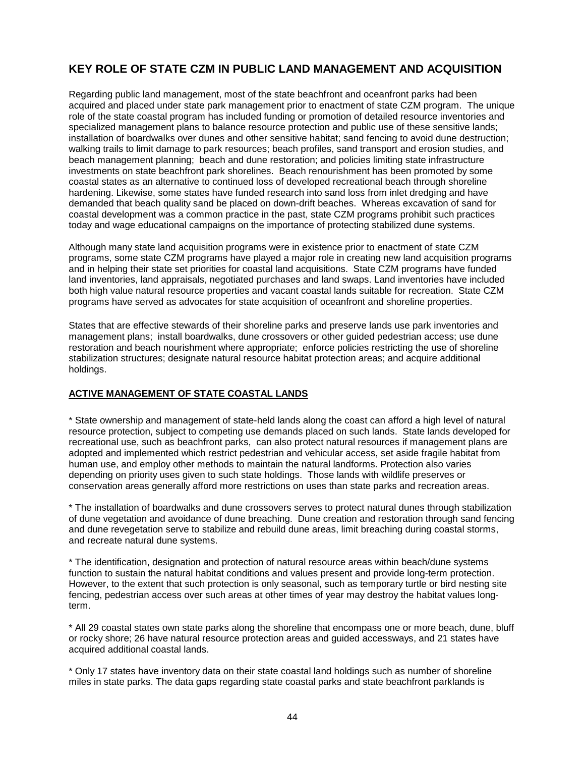# **KEY ROLE OF STATE CZM IN PUBLIC LAND MANAGEMENT AND ACQUISITION**

Regarding public land management, most of the state beachfront and oceanfront parks had been acquired and placed under state park management prior to enactment of state CZM program. The unique role of the state coastal program has included funding or promotion of detailed resource inventories and specialized management plans to balance resource protection and public use of these sensitive lands; installation of boardwalks over dunes and other sensitive habitat; sand fencing to avoid dune destruction; walking trails to limit damage to park resources; beach profiles, sand transport and erosion studies, and beach management planning; beach and dune restoration; and policies limiting state infrastructure investments on state beachfront park shorelines. Beach renourishment has been promoted by some coastal states as an alternative to continued loss of developed recreational beach through shoreline hardening. Likewise, some states have funded research into sand loss from inlet dredging and have demanded that beach quality sand be placed on down-drift beaches. Whereas excavation of sand for coastal development was a common practice in the past, state CZM programs prohibit such practices today and wage educational campaigns on the importance of protecting stabilized dune systems.

Although many state land acquisition programs were in existence prior to enactment of state CZM programs, some state CZM programs have played a major role in creating new land acquisition programs and in helping their state set priorities for coastal land acquisitions. State CZM programs have funded land inventories, land appraisals, negotiated purchases and land swaps. Land inventories have included both high value natural resource properties and vacant coastal lands suitable for recreation. State CZM programs have served as advocates for state acquisition of oceanfront and shoreline properties.

States that are effective stewards of their shoreline parks and preserve lands use park inventories and management plans; install boardwalks, dune crossovers or other guided pedestrian access; use dune restoration and beach nourishment where appropriate; enforce policies restricting the use of shoreline stabilization structures; designate natural resource habitat protection areas; and acquire additional holdings.

#### **ACTIVE MANAGEMENT OF STATE COASTAL LANDS**

\* State ownership and management of state-held lands along the coast can afford a high level of natural resource protection, subject to competing use demands placed on such lands. State lands developed for recreational use, such as beachfront parks, can also protect natural resources if management plans are adopted and implemented which restrict pedestrian and vehicular access, set aside fragile habitat from human use, and employ other methods to maintain the natural landforms. Protection also varies depending on priority uses given to such state holdings. Those lands with wildlife preserves or conservation areas generally afford more restrictions on uses than state parks and recreation areas.

\* The installation of boardwalks and dune crossovers serves to protect natural dunes through stabilization of dune vegetation and avoidance of dune breaching. Dune creation and restoration through sand fencing and dune revegetation serve to stabilize and rebuild dune areas, limit breaching during coastal storms, and recreate natural dune systems.

\* The identification, designation and protection of natural resource areas within beach/dune systems function to sustain the natural habitat conditions and values present and provide long-term protection. However, to the extent that such protection is only seasonal, such as temporary turtle or bird nesting site fencing, pedestrian access over such areas at other times of year may destroy the habitat values longterm.

\* All 29 coastal states own state parks along the shoreline that encompass one or more beach, dune, bluff or rocky shore; 26 have natural resource protection areas and guided accessways, and 21 states have acquired additional coastal lands.

\* Only 17 states have inventory data on their state coastal land holdings such as number of shoreline miles in state parks. The data gaps regarding state coastal parks and state beachfront parklands is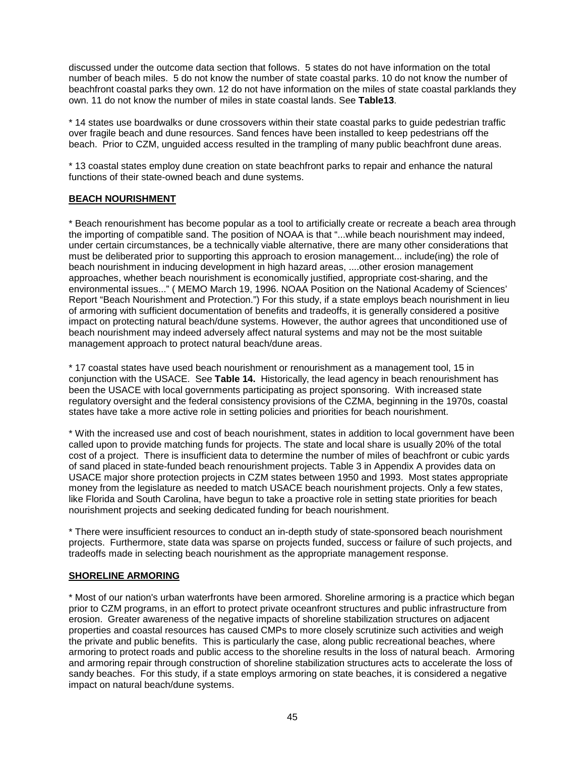discussed under the outcome data section that follows. 5 states do not have information on the total number of beach miles. 5 do not know the number of state coastal parks. 10 do not know the number of beachfront coastal parks they own. 12 do not have information on the miles of state coastal parklands they own. 11 do not know the number of miles in state coastal lands. See **Table13**.

\* 14 states use boardwalks or dune crossovers within their state coastal parks to guide pedestrian traffic over fragile beach and dune resources. Sand fences have been installed to keep pedestrians off the beach. Prior to CZM, unguided access resulted in the trampling of many public beachfront dune areas.

\* 13 coastal states employ dune creation on state beachfront parks to repair and enhance the natural functions of their state-owned beach and dune systems.

#### **BEACH NOURISHMENT**

\* Beach renourishment has become popular as a tool to artificially create or recreate a beach area through the importing of compatible sand. The position of NOAA is that "...while beach nourishment may indeed, under certain circumstances, be a technically viable alternative, there are many other considerations that must be deliberated prior to supporting this approach to erosion management... include(ing) the role of beach nourishment in inducing development in high hazard areas, ....other erosion management approaches, whether beach nourishment is economically justified, appropriate cost-sharing, and the environmental issues..." ( MEMO March 19, 1996. NOAA Position on the National Academy of Sciences' Report "Beach Nourishment and Protection.") For this study, if a state employs beach nourishment in lieu of armoring with sufficient documentation of benefits and tradeoffs, it is generally considered a positive impact on protecting natural beach/dune systems. However, the author agrees that unconditioned use of beach nourishment may indeed adversely affect natural systems and may not be the most suitable management approach to protect natural beach/dune areas.

\* 17 coastal states have used beach nourishment or renourishment as a management tool, 15 in conjunction with the USACE. See **Table 14.** Historically, the lead agency in beach renourishment has been the USACE with local governments participating as project sponsoring. With increased state regulatory oversight and the federal consistency provisions of the CZMA, beginning in the 1970s, coastal states have take a more active role in setting policies and priorities for beach nourishment.

\* With the increased use and cost of beach nourishment, states in addition to local government have been called upon to provide matching funds for projects. The state and local share is usually 20% of the total cost of a project. There is insufficient data to determine the number of miles of beachfront or cubic yards of sand placed in state-funded beach renourishment projects. Table 3 in Appendix A provides data on USACE major shore protection projects in CZM states between 1950 and 1993. Most states appropriate money from the legislature as needed to match USACE beach nourishment projects. Only a few states, like Florida and South Carolina, have begun to take a proactive role in setting state priorities for beach nourishment projects and seeking dedicated funding for beach nourishment.

\* There were insufficient resources to conduct an in-depth study of state-sponsored beach nourishment projects. Furthermore, state data was sparse on projects funded, success or failure of such projects, and tradeoffs made in selecting beach nourishment as the appropriate management response.

#### **SHORELINE ARMORING**

\* Most of our nation's urban waterfronts have been armored. Shoreline armoring is a practice which began prior to CZM programs, in an effort to protect private oceanfront structures and public infrastructure from erosion. Greater awareness of the negative impacts of shoreline stabilization structures on adjacent properties and coastal resources has caused CMPs to more closely scrutinize such activities and weigh the private and public benefits. This is particularly the case, along public recreational beaches, where armoring to protect roads and public access to the shoreline results in the loss of natural beach. Armoring and armoring repair through construction of shoreline stabilization structures acts to accelerate the loss of sandy beaches. For this study, if a state employs armoring on state beaches, it is considered a negative impact on natural beach/dune systems.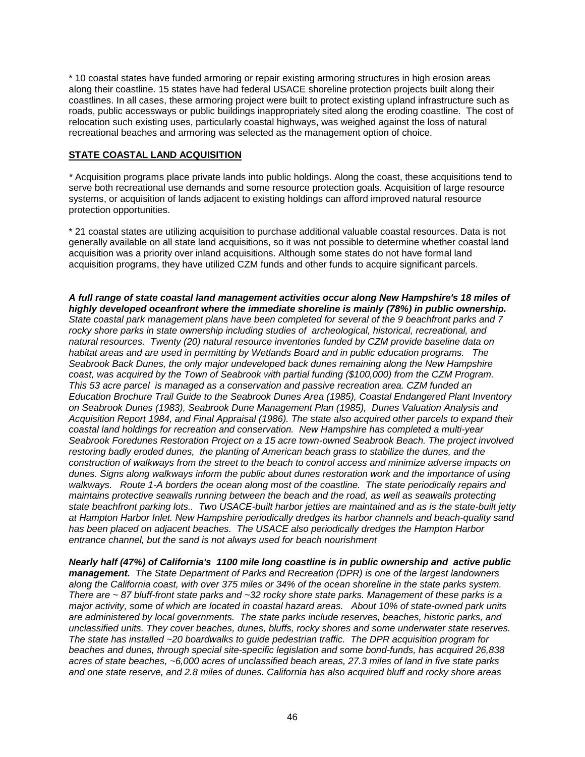\* 10 coastal states have funded armoring or repair existing armoring structures in high erosion areas along their coastline. 15 states have had federal USACE shoreline protection projects built along their coastlines. In all cases, these armoring project were built to protect existing upland infrastructure such as roads, public accessways or public buildings inappropriately sited along the eroding coastline. The cost of relocation such existing uses, particularly coastal highways, was weighed against the loss of natural recreational beaches and armoring was selected as the management option of choice.

#### **STATE COASTAL LAND ACQUISITION**

*\** Acquisition programs place private lands into public holdings. Along the coast, these acquisitions tend to serve both recreational use demands and some resource protection goals. Acquisition of large resource systems, or acquisition of lands adjacent to existing holdings can afford improved natural resource protection opportunities.

\* 21 coastal states are utilizing acquisition to purchase additional valuable coastal resources. Data is not generally available on all state land acquisitions, so it was not possible to determine whether coastal land acquisition was a priority over inland acquisitions. Although some states do not have formal land acquisition programs, they have utilized CZM funds and other funds to acquire significant parcels.

*A full range of state coastal land management activities occur along New Hampshire's 18 miles of highly developed oceanfront where the immediate shoreline is mainly (78%) in public ownership. State coastal park management plans have been completed for several of the 9 beachfront parks and 7 rocky shore parks in state ownership including studies of archeological, historical, recreational, and natural resources. Twenty (20) natural resource inventories funded by CZM provide baseline data on habitat areas and are used in permitting by Wetlands Board and in public education programs. The Seabrook Back Dunes, the only major undeveloped back dunes remaining along the New Hampshire coast, was acquired by the Town of Seabrook with partial funding (\$100,000) from the CZM Program. This 53 acre parcel is managed as a conservation and passive recreation area. CZM funded an Education Brochure Trail Guide to the Seabrook Dunes Area (1985), Coastal Endangered Plant Inventory on Seabrook Dunes (1983), Seabrook Dune Management Plan (1985), Dunes Valuation Analysis and Acquisition Report 1984, and Final Appraisal (1986). The state also acquired other parcels to expand their coastal land holdings for recreation and conservation. New Hampshire has completed a multi-year Seabrook Foredunes Restoration Project on a 15 acre town-owned Seabrook Beach. The project involved restoring badly eroded dunes, the planting of American beach grass to stabilize the dunes, and the construction of walkways from the street to the beach to control access and minimize adverse impacts on dunes. Signs along walkways inform the public about dunes restoration work and the importance of using walkways. Route 1-A borders the ocean along most of the coastline. The state periodically repairs and maintains protective seawalls running between the beach and the road, as well as seawalls protecting state beachfront parking lots.. Two USACE-built harbor jetties are maintained and as is the state-built jetty at Hampton Harbor Inlet. New Hampshire periodically dredges its harbor channels and beach-quality sand has been placed on adjacent beaches. The USACE also periodically dredges the Hampton Harbor entrance channel, but the sand is not always used for beach nourishment*

*Nearly half (47%) of California's 1100 mile long coastline is in public ownership and active public management. The State Department of Parks and Recreation (DPR) is one of the largest landowners along the California coast, with over 375 miles or 34% of the ocean shoreline in the state parks system. There are ~ 87 bluff-front state parks and ~32 rocky shore state parks. Management of these parks is a major activity, some of which are located in coastal hazard areas. About 10% of state-owned park units are administered by local governments. The state parks include reserves, beaches, historic parks, and unclassified units. They cover beaches, dunes, bluffs, rocky shores and some underwater state reserves. The state has installed ~20 boardwalks to guide pedestrian traffic. The DPR acquisition program for beaches and dunes, through special site-specific legislation and some bond-funds, has acquired 26,838 acres of state beaches, ~6,000 acres of unclassified beach areas, 27.3 miles of land in five state parks and one state reserve, and 2.8 miles of dunes. California has also acquired bluff and rocky shore areas*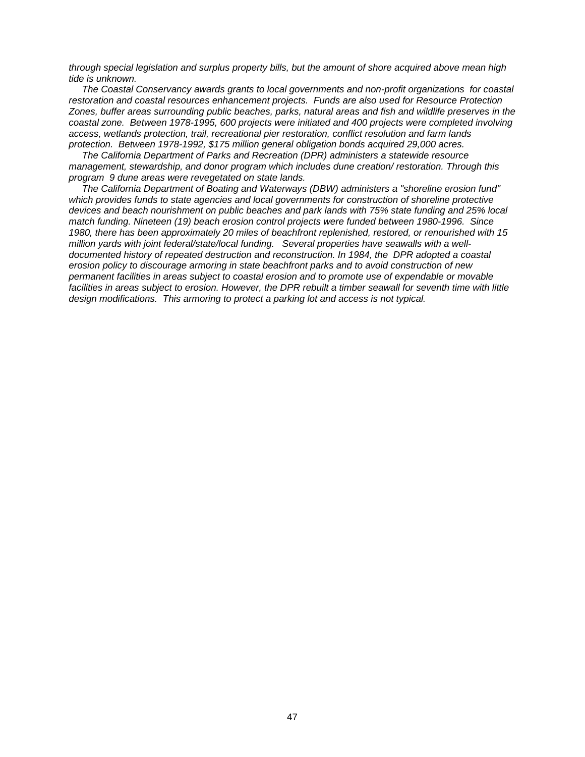*through special legislation and surplus property bills, but the amount of shore acquired above mean high tide is unknown.*

 *The Coastal Conservancy awards grants to local governments and non-profit organizations for coastal restoration and coastal resources enhancement projects. Funds are also used for Resource Protection Zones, buffer areas surrounding public beaches, parks, natural areas and fish and wildlife preserves in the coastal zone. Between 1978-1995, 600 projects were initiated and 400 projects were completed involving access, wetlands protection, trail, recreational pier restoration, conflict resolution and farm lands protection. Between 1978-1992, \$175 million general obligation bonds acquired 29,000 acres.*

 *The California Department of Parks and Recreation (DPR) administers a statewide resource management, stewardship, and donor program which includes dune creation/ restoration. Through this program 9 dune areas were revegetated on state lands.*

 *The California Department of Boating and Waterways (DBW) administers a "shoreline erosion fund" which provides funds to state agencies and local governments for construction of shoreline protective devices and beach nourishment on public beaches and park lands with 75% state funding and 25% local match funding. Nineteen (19) beach erosion control projects were funded between 1980-1996. Since 1980, there has been approximately 20 miles of beachfront replenished, restored, or renourished with 15 million yards with joint federal/state/local funding. Several properties have seawalls with a welldocumented history of repeated destruction and reconstruction. In 1984, the DPR adopted a coastal erosion policy to discourage armoring in state beachfront parks and to avoid construction of new permanent facilities in areas subject to coastal erosion and to promote use of expendable or movable facilities in areas subject to erosion. However, the DPR rebuilt a timber seawall for seventh time with little design modifications. This armoring to protect a parking lot and access is not typical.*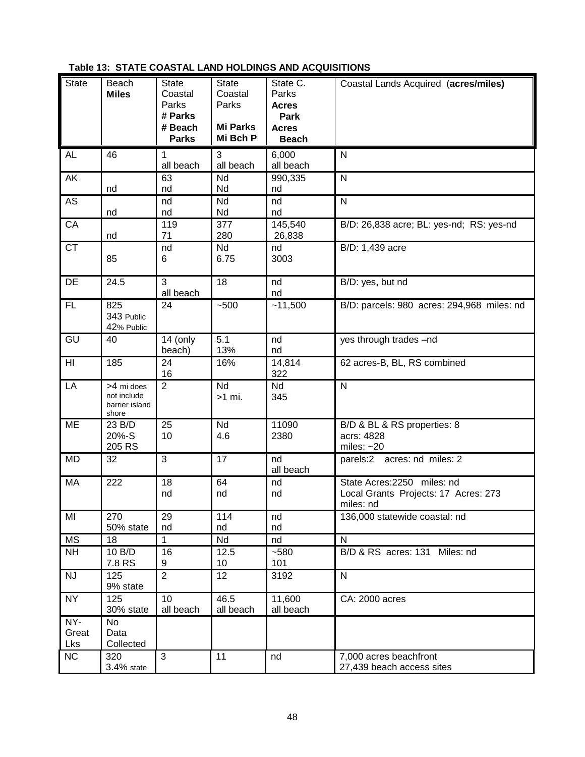|  |  |  |  |  |  | Table 13: STATE COASTAL LAND HOLDINGS AND ACQUISITIONS |  |
|--|--|--|--|--|--|--------------------------------------------------------|--|
|--|--|--|--|--|--|--------------------------------------------------------|--|

| <b>State</b> | Beach                         | <b>State</b>   | <b>State</b>    | State C.     | Coastal Lands Acquired (acres/miles)              |
|--------------|-------------------------------|----------------|-----------------|--------------|---------------------------------------------------|
|              | <b>Miles</b>                  | Coastal        | Coastal         | Parks        |                                                   |
|              |                               | Parks          | Parks           | <b>Acres</b> |                                                   |
|              |                               | # Parks        |                 | Park         |                                                   |
|              |                               | # Beach        | <b>Mi Parks</b> | <b>Acres</b> |                                                   |
|              |                               | <b>Parks</b>   | Mi Bch P        | <b>Beach</b> |                                                   |
| <b>AL</b>    | 46                            | 1              | 3               | 6,000        | $\mathsf{N}$                                      |
|              |                               | all beach      | all beach       | all beach    |                                                   |
| AK           |                               | 63             | Nd              | 990,335      | $\mathsf{N}$                                      |
|              | nd                            | nd             | Nd              | nd           |                                                   |
| AS           | nd                            | nd<br>nd       | Nd<br>Nd        | nd<br>nd     | $\mathsf{N}$                                      |
| CA           |                               | 119            | 377             | 145,540      | B/D: 26,838 acre; BL: yes-nd; RS: yes-nd          |
|              | nd                            | 71             | 280             | 26,838       |                                                   |
| <b>CT</b>    |                               | nd             | Nd              | nd           | B/D: 1,439 acre                                   |
|              | 85                            | 6              | 6.75            | 3003         |                                                   |
|              |                               |                |                 |              |                                                   |
| <b>DE</b>    | 24.5                          | 3              | 18              | nd           | B/D: yes, but nd                                  |
| FL           | 825                           | all beach      | $-500$          | nd           |                                                   |
|              | 343 Public                    | 24             |                 | ~11,500      | B/D: parcels: 980 acres: 294,968 miles: nd        |
|              | 42% Public                    |                |                 |              |                                                   |
| GU           | 40                            | 14 (only       | 5.1             | nd           | yes through trades -nd                            |
|              |                               | beach)         | 13%             | nd           |                                                   |
| HI           | 185                           | 24             | 16%             | 14,814       | 62 acres-B, BL, RS combined                       |
|              |                               | 16             |                 | 322          |                                                   |
| LA           | >4 mi does                    | $\overline{2}$ | $\overline{Nd}$ | Nd           | $\mathsf{N}$                                      |
|              | not include<br>barrier island |                | $>1$ mi.        | 345          |                                                   |
|              | shore                         |                |                 |              |                                                   |
| ME           | 23 B/D                        | 25             | Nd              | 11090        | B/D & BL & RS properties: 8                       |
|              | 20%-S                         | 10             | 4.6             | 2380         | acrs: 4828                                        |
|              | 205 RS                        |                |                 |              | miles: $~20$                                      |
| <b>MD</b>    | 32                            | 3              | 17              | nd           | parels:2 acres: nd miles: 2                       |
|              |                               |                |                 | all beach    |                                                   |
| MA           | 222                           | 18<br>nd       | 64              | nd           | State Acres: 2250 miles: nd                       |
|              |                               |                | nd              | nd           | Local Grants Projects: 17 Acres: 273<br>miles: nd |
| MI           | 270                           | 29             | 114             | nd           | 136,000 statewide coastal: nd                     |
|              | 50% state                     | nd             | nd              | nd           |                                                   |
| <b>MS</b>    | 18                            | 1              | Nd              | nd           | ${\sf N}$                                         |
| <b>NH</b>    | 10 B/D                        | 16             | 12.5            | $-580$       | B/D & RS acres: 131 Miles: nd                     |
|              | 7.8 RS                        | 9              | 10              | 101          |                                                   |
| NJ           | 125                           | $\overline{2}$ | 12              | 3192         | $\mathsf{N}$                                      |
|              | 9% state                      |                |                 |              |                                                   |
| <b>NY</b>    | 125                           | 10             | 46.5            | 11,600       | CA: 2000 acres                                    |
| NY-          | 30% state                     | all beach      | all beach       | all beach    |                                                   |
| Great        | <b>No</b><br>Data             |                |                 |              |                                                   |
| Lks          | Collected                     |                |                 |              |                                                   |
| NC           | 320                           | 3              | 11              | nd           | 7,000 acres beachfront                            |
|              | $3.4%$ state                  |                |                 |              | 27,439 beach access sites                         |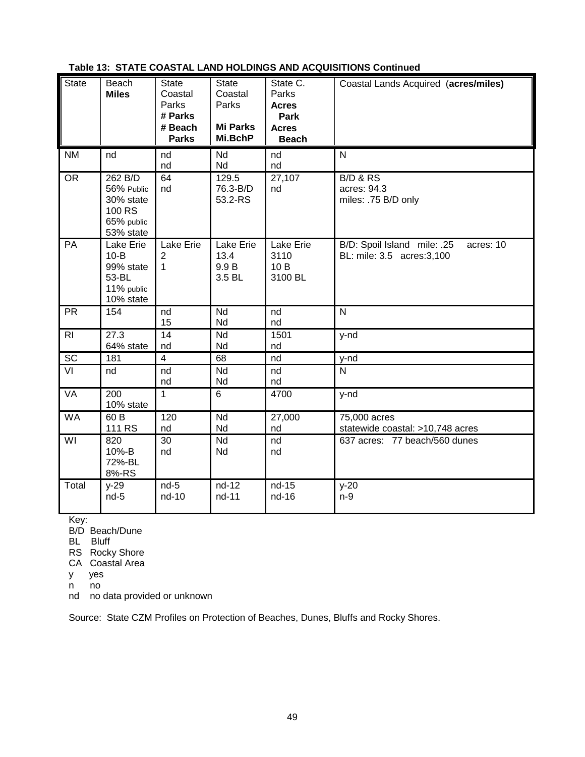|  |  |  | Table 13: STATE COASTAL LAND HOLDINGS AND ACQUISITIONS Continued |  |
|--|--|--|------------------------------------------------------------------|--|
|--|--|--|------------------------------------------------------------------|--|

| <b>State</b>    | Beach<br><b>Miles</b>                                                   | <b>State</b><br>Coastal<br>Parks<br># Parks<br># Beach<br><b>Parks</b> | <b>State</b><br>Coastal<br>Parks<br><b>Mi Parks</b><br>Mi.BchP | State C.<br>Parks<br><b>Acres</b><br><b>Park</b><br><b>Acres</b><br><b>Beach</b> | Coastal Lands Acquired (acres/miles)                                   |
|-----------------|-------------------------------------------------------------------------|------------------------------------------------------------------------|----------------------------------------------------------------|----------------------------------------------------------------------------------|------------------------------------------------------------------------|
| <b>NM</b>       | nd                                                                      | nd<br>nd                                                               | Nd<br>Nd                                                       | nd<br>nd                                                                         | N                                                                      |
| <b>OR</b>       | 262 B/D<br>56% Public<br>30% state<br>100 RS<br>65% public<br>53% state | 64<br>nd                                                               | 129.5<br>76.3-B/D<br>53.2-RS                                   | 27,107<br>nd                                                                     | <b>B/D &amp; RS</b><br>acres: 94.3<br>miles: .75 B/D only              |
| PA              | Lake Erie<br>$10-B$<br>99% state<br>53-BL<br>11% public<br>10% state    | Lake Erie<br>$\overline{2}$<br>$\mathbf{1}$                            | <b>Lake Erie</b><br>13.4<br>9.9 B<br>3.5 BL                    | Lake Erie<br>3110<br>10B<br>3100 BL                                              | B/D: Spoil Island mile: .25<br>acres: 10<br>BL: mile: 3.5 acres: 3,100 |
| <b>PR</b>       | 154                                                                     | nd<br>15                                                               | Nd<br>Nd                                                       | nd<br>nd                                                                         | $\overline{\mathsf{N}}$                                                |
| R <sub>l</sub>  | 27.3<br>64% state                                                       | $\overline{14}$<br>nd                                                  | $\overline{Nd}$<br>Nd                                          | 1501<br>nd                                                                       | y-nd                                                                   |
| $\overline{SC}$ | 181                                                                     | $\overline{4}$                                                         | 68                                                             | nd                                                                               | y-nd                                                                   |
| VI              | nd                                                                      | nd<br>nd                                                               | Nd<br>Nd                                                       | nd<br>nd                                                                         | $\mathsf{N}$                                                           |
| VA              | 200<br>10% state                                                        | $\mathbf{1}$                                                           | 6                                                              | 4700                                                                             | y-nd                                                                   |
| <b>WA</b>       | 60B<br><b>111 RS</b>                                                    | 120<br>nd                                                              | $\overline{Nd}$<br>Nd                                          | 27,000<br>nd                                                                     | 75,000 acres<br>statewide coastal: >10,748 acres                       |
| $\overline{W}$  | 820<br>10%-B<br>72%-BL<br>8%-RS                                         | $\overline{30}$<br>nd                                                  | $\overline{Nd}$<br>Nd                                          | nd<br>nd                                                                         | 637 acres: 77 beach/560 dunes                                          |
| Total           | $y-29$<br>$nd-5$                                                        | $nd-5$<br>nd-10                                                        | nd-12<br>nd-11                                                 | nd-15<br>nd-16                                                                   | $y-20$<br>$n-9$                                                        |

Key:

B/D Beach/Dune

BL Bluff

RS Rocky Shore

CA Coastal Area

y yes

n no

nd no data provided or unknown

Source: State CZM Profiles on Protection of Beaches, Dunes, Bluffs and Rocky Shores.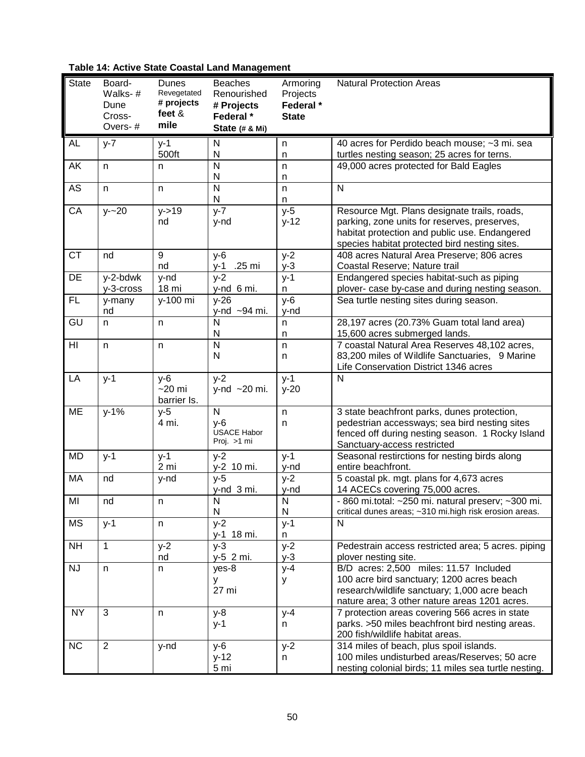| <b>State</b>    | Board-<br>Walks-#<br>Dune<br>Cross-<br>Overs-# | Dunes<br>Revegetated<br># projects<br>feet $&$<br>mile | <b>Beaches</b><br>Renourished<br># Projects<br>Federal *<br>State (# & Mi) | Armoring<br>Projects<br>Federal *<br><b>State</b> | <b>Natural Protection Areas</b>                                                                                                                                                                |
|-----------------|------------------------------------------------|--------------------------------------------------------|----------------------------------------------------------------------------|---------------------------------------------------|------------------------------------------------------------------------------------------------------------------------------------------------------------------------------------------------|
| AL              | $y-7$                                          | $y-1$<br>500ft                                         | N<br>N                                                                     | n<br>n                                            | 40 acres for Perdido beach mouse; ~3 mi. sea<br>turtles nesting season; 25 acres for terns.                                                                                                    |
| AK              | $\mathsf{n}$                                   | n                                                      | N<br>N                                                                     | $\overline{p}$<br>n                               | 49,000 acres protected for Bald Eagles                                                                                                                                                         |
| AS              | $\mathsf{n}$                                   | n                                                      | N<br>N                                                                     | $\mathsf{n}$<br>n                                 | $\mathsf{N}$                                                                                                                                                                                   |
| CA              | $y - 20$                                       | $y - 19$<br>nd                                         | $y-7$<br>y-nd                                                              | $y-5$<br>$y-12$                                   | Resource Mgt. Plans designate trails, roads,<br>parking, zone units for reserves, preserves,<br>habitat protection and public use. Endangered<br>species habitat protected bird nesting sites. |
| <b>CT</b>       | nd                                             | 9<br>nd                                                | $y-6$<br>.25 mi<br>y-1                                                     | $y-2$<br>$y-3$                                    | 408 acres Natural Area Preserve; 806 acres<br>Coastal Reserve; Nature trail                                                                                                                    |
| DE              | y-2-bdwk<br>y-3-cross                          | y-nd<br>18 mi                                          | $y-2$<br>y-nd 6 mi.                                                        | $y-1$<br>n                                        | Endangered species habitat-such as piping<br>plover- case by-case and during nesting season.                                                                                                   |
| FL              | y-many<br>nd                                   | y-100 mi                                               | $y-26$<br>y-nd ~94 mi.                                                     | $y-6$<br>y-nd                                     | Sea turtle nesting sites during season.                                                                                                                                                        |
| $\overline{GU}$ | n                                              | n                                                      | $\mathsf{N}$<br>N                                                          | n<br>n                                            | 28,197 acres (20.73% Guam total land area)<br>15,600 acres submerged lands.                                                                                                                    |
| HI              | n                                              | n                                                      | N<br>N                                                                     | $\mathsf{n}$<br>n                                 | 7 coastal Natural Area Reserves 48,102 acres,<br>83,200 miles of Wildlife Sanctuaries, 9 Marine<br>Life Conservation District 1346 acres                                                       |
| LA              | $y-1$                                          | $V - 6$<br>$-20$ mi<br>barrier Is.                     | $v-2$<br>y-nd $\sim$ 20 mi.                                                | $y-1$<br>$y-20$                                   | $\mathsf{N}$                                                                                                                                                                                   |
| ME              | $y - 1%$                                       | $y-5$<br>4 mi.                                         | N<br>$v-6$<br>USACE Habor<br>Proj. >1 mi                                   | n<br>n                                            | 3 state beachfront parks, dunes protection,<br>pedestrian accessways; sea bird nesting sites<br>fenced off during nesting season. 1 Rocky Island<br>Sanctuary-access restricted                |
| MD              | $y-1$                                          | $y-1$<br>2 mi                                          | $y-2$<br>y-2 10 mi.                                                        | $y-1$<br>y-nd                                     | Seasonal restirctions for nesting birds along<br>entire beachfront.                                                                                                                            |
| <b>MA</b>       | nd                                             | y-nd                                                   | $V-5$<br>y-nd 3 mi.                                                        | $y-2$<br>y-nd                                     | 5 coastal pk. mgt. plans for 4,673 acres<br>14 ACECs covering 75,000 acres.                                                                                                                    |
| MI              | nd                                             | n                                                      | ${\sf N}$<br>N                                                             | N<br>N                                            | 860 mi.total: ~250 mi. natural preserv; ~300 mi.<br>critical dunes areas; ~310 mi.high risk erosion areas.                                                                                     |
| <b>MS</b>       | y-1                                            | n                                                      | $y-2$<br>y-1 18 mi.                                                        | $y-1$<br>n                                        | N                                                                                                                                                                                              |
| <b>NH</b>       | $\mathbf{1}$                                   | $y-2$<br>nd                                            | $y-3$<br>y-5 2 mi.                                                         | $y-2$<br>$y-3$                                    | Pedestrain access restricted area; 5 acres. piping<br>plover nesting site.                                                                                                                     |
| <b>NJ</b>       | $\mathsf{n}$                                   | n                                                      | yes-8<br>у<br>27 mi                                                        | $y-4$<br>y                                        | B/D acres: 2,500 miles: 11.57 Included<br>100 acre bird sanctuary; 1200 acres beach<br>research/wildlife sanctuary; 1,000 acre beach<br>nature area; 3 other nature areas 1201 acres.          |
| <b>NY</b>       | $\mathbf{3}$                                   | n                                                      | y-8<br>$y-1$                                                               | $y-4$<br>n                                        | 7 protection areas covering 566 acres in state<br>parks. >50 miles beachfront bird nesting areas.<br>200 fish/wildlife habitat areas.                                                          |
| <b>NC</b>       | $\overline{2}$                                 | y-nd                                                   | $y-6$<br>$y-12$<br>5 mi                                                    | $y-2$<br>n                                        | 314 miles of beach, plus spoil islands.<br>100 miles undisturbed areas/Reserves; 50 acre<br>nesting colonial birds; 11 miles sea turtle nesting.                                               |

### **Table 14: Active State Coastal Land Management**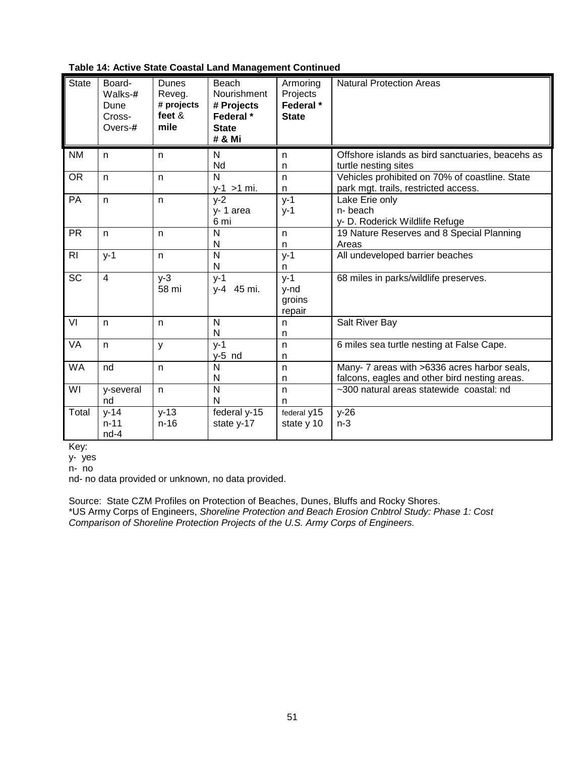| <b>State</b>            | Board-<br>Walks-#<br>Dune<br>Cross-<br>Overs- $#$ | Dunes<br>Reveg.<br># projects<br>feet $&$<br>mile | Beach<br>Nourishment<br># Projects<br>Federal *<br><b>State</b><br># & Mi | Armoring<br>Projects<br>Federal *<br><b>State</b> | <b>Natural Protection Areas</b>                                                               |
|-------------------------|---------------------------------------------------|---------------------------------------------------|---------------------------------------------------------------------------|---------------------------------------------------|-----------------------------------------------------------------------------------------------|
| <b>NM</b>               | n                                                 | n                                                 | N<br>Nd                                                                   | n<br>n                                            | Offshore islands as bird sanctuaries, beacehs as<br>turtle nesting sites                      |
| <b>OR</b>               | n.                                                | $\mathsf{n}$                                      | N<br>$v-1 > 1$ mi.                                                        | $\mathsf{n}$<br>n                                 | Vehicles prohibited on 70% of coastline. State<br>park mgt. trails, restricted access.        |
| <b>PA</b>               | $\mathsf{n}$                                      | $\mathsf{n}$                                      | $y-2$<br>y-1 area<br>6 mi                                                 | $y-1$<br>$y-1$                                    | Lake Erie only<br>n-beach<br>y- D. Roderick Wildlife Refuge                                   |
| <b>PR</b>               | n.                                                | n                                                 | N<br>N                                                                    | n.<br>n                                           | 19 Nature Reserves and 8 Special Planning<br>Areas                                            |
| R <sub>l</sub>          | $y-1$                                             | $\mathsf{n}$                                      | N<br>N                                                                    | $y-1$<br>n                                        | All undeveloped barrier beaches                                                               |
| <b>SC</b>               | $\overline{4}$                                    | $V-3$<br>58 mi                                    | $y-1$<br>y-4 45 mi.                                                       | $y-1$<br>y-nd<br>groins<br>repair                 | 68 miles in parks/wildlife preserves.                                                         |
| $\overline{\mathsf{v}}$ | n.                                                | n                                                 | $\overline{N}$<br>N                                                       | n<br>n                                            | Salt River Bay                                                                                |
| <b>VA</b>               | n.                                                | y                                                 | $y-1$<br>$y-5$ nd                                                         | $\mathsf{n}$<br>n                                 | 6 miles sea turtle nesting at False Cape.                                                     |
| <b>WA</b>               | nd                                                | $\mathsf{n}$                                      | N<br>N                                                                    | $\mathsf{n}$<br>n                                 | Many- 7 areas with >6336 acres harbor seals,<br>falcons, eagles and other bird nesting areas. |
| WI                      | y-several<br>nd                                   | $\mathsf{n}$                                      | N<br>N                                                                    | $\mathsf{n}$<br>n                                 | ~300 natural areas statewide coastal: nd                                                      |
| Total                   | $y-14$<br>$n - 11$<br>$nd-4$                      | $v-13$<br>$n-16$                                  | federal y-15<br>state y-17                                                | federal y15<br>state y 10                         | $y-26$<br>$n-3$                                                                               |

**Table 14: Active State Coastal Land Management Continued**

Key:

y- yes

n- no

nd- no data provided or unknown, no data provided.

Source: State CZM Profiles on Protection of Beaches, Dunes, Bluffs and Rocky Shores. \*US Army Corps of Engineers, *Shoreline Protection and Beach Erosion Cnbtrol Study: Phase 1: Cost Comparison of Shoreline Protection Projects of the U.S. Army Corps of Engineers.*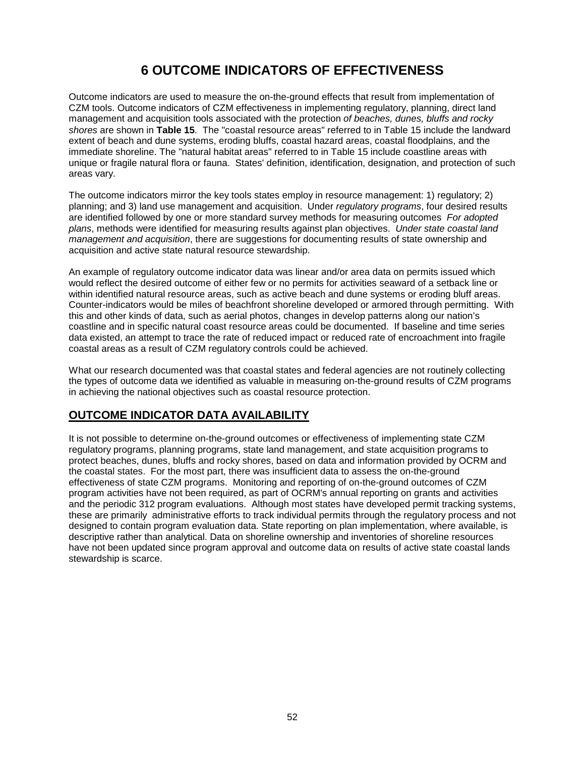# **6 OUTCOME INDICATORS OF EFFECTIVENESS**

Outcome indicators are used to measure the on-the-ground effects that result from implementation of CZM tools. Outcome indicators of CZM effectiveness in implementing regulatory, planning, direct land management and acquisition tools associated with the protection *of beaches, dunes, bluffs and rocky shores* are shown in **Table 15**. The "coastal resource areas" referred to in Table 15 include the landward extent of beach and dune systems, eroding bluffs, coastal hazard areas, coastal floodplains, and the immediate shoreline. The "natural habitat areas" referred to in Table 15 include coastline areas with unique or fragile natural flora or fauna. States' definition, identification, designation, and protection of such areas vary.

The outcome indicators mirror the key tools states employ in resource management: 1) regulatory; 2) planning; and 3) land use management and acquisition. Under *regulatory programs*, four desired results are identified followed by one or more standard survey methods for measuring outcomes *For adopted plans*, methods were identified for measuring results against plan objectives. *Under state coastal land management and acquisition*, there are suggestions for documenting results of state ownership and acquisition and active state natural resource stewardship.

An example of regulatory outcome indicator data was linear and/or area data on permits issued which would reflect the desired outcome of either few or no permits for activities seaward of a setback line or within identified natural resource areas, such as active beach and dune systems or eroding bluff areas. Counter-indicators would be miles of beachfront shoreline developed or armored through permitting. With this and other kinds of data, such as aerial photos, changes in develop patterns along our nation's coastline and in specific natural coast resource areas could be documented. If baseline and time series data existed, an attempt to trace the rate of reduced impact or reduced rate of encroachment into fragile coastal areas as a result of CZM regulatory controls could be achieved.

What our research documented was that coastal states and federal agencies are not routinely collecting the types of outcome data we identified as valuable in measuring on-the-ground results of CZM programs in achieving the national objectives such as coastal resource protection.

## **OUTCOME INDICATOR DATA AVAILABILITY**

It is not possible to determine on-the-ground outcomes or effectiveness of implementing state CZM regulatory programs, planning programs, state land management, and state acquisition programs to protect beaches, dunes, bluffs and rocky shores, based on data and information provided by OCRM and the coastal states. For the most part, there was insufficient data to assess the on-the-ground effectiveness of state CZM programs. Monitoring and reporting of on-the-ground outcomes of CZM program activities have not been required, as part of OCRM's annual reporting on grants and activities and the periodic 312 program evaluations. Although most states have developed permit tracking systems, these are primarily administrative efforts to track individual permits through the regulatory process and not designed to contain program evaluation data. State reporting on plan implementation, where available, is descriptive rather than analytical. Data on shoreline ownership and inventories of shoreline resources have not been updated since program approval and outcome data on results of active state coastal lands stewardship is scarce.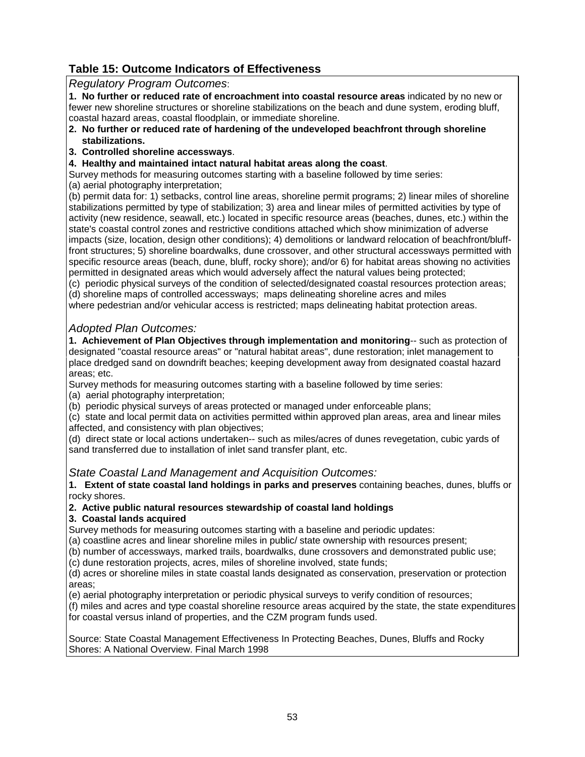# **Table 15: Outcome Indicators of Effectiveness**

## *Regulatory Program Outcomes*:

**1. No further or reduced rate of encroachment into coastal resource areas** indicated by no new or fewer new shoreline structures or shoreline stabilizations on the beach and dune system, eroding bluff, coastal hazard areas, coastal floodplain, or immediate shoreline.

- **2. No further or reduced rate of hardening of the undeveloped beachfront through shoreline stabilizations.**
- **3. Controlled shoreline accessways**.
- **4. Healthy and maintained intact natural habitat areas along the coast**.

Survey methods for measuring outcomes starting with a baseline followed by time series: (a) aerial photography interpretation;

(b) permit data for: 1) setbacks, control line areas, shoreline permit programs; 2) linear miles of shoreline stabilizations permitted by type of stabilization; 3) area and linear miles of permitted activities by type of activity (new residence, seawall, etc.) located in specific resource areas (beaches, dunes, etc.) within the state's coastal control zones and restrictive conditions attached which show minimization of adverse impacts (size, location, design other conditions); 4) demolitions or landward relocation of beachfront/blufffront structures; 5) shoreline boardwalks, dune crossover, and other structural accessways permitted with specific resource areas (beach, dune, bluff, rocky shore); and/or 6) for habitat areas showing no activities permitted in designated areas which would adversely affect the natural values being protected;

(c) periodic physical surveys of the condition of selected/designated coastal resources protection areas; (d) shoreline maps of controlled accessways; maps delineating shoreline acres and miles

where pedestrian and/or vehicular access is restricted; maps delineating habitat protection areas.

## *Adopted Plan Outcomes:*

**1. Achievement of Plan Objectives through implementation and monitoring**-- such as protection of designated "coastal resource areas" or "natural habitat areas", dune restoration; inlet management to place dredged sand on downdrift beaches; keeping development away from designated coastal hazard areas; etc.

Survey methods for measuring outcomes starting with a baseline followed by time series:

- (a) aerial photography interpretation;
- (b) periodic physical surveys of areas protected or managed under enforceable plans;

(c) state and local permit data on activities permitted within approved plan areas, area and linear miles affected, and consistency with plan objectives;

(d) direct state or local actions undertaken-- such as miles/acres of dunes revegetation, cubic yards of sand transferred due to installation of inlet sand transfer plant, etc.

*State Coastal Land Management and Acquisition Outcomes:*

**1. Extent of state coastal land holdings in parks and preserves** containing beaches, dunes, bluffs or rocky shores.

**2. Active public natural resources stewardship of coastal land holdings**

#### **3. Coastal lands acquired**

Survey methods for measuring outcomes starting with a baseline and periodic updates:

(a) coastline acres and linear shoreline miles in public/ state ownership with resources present;

(b) number of accessways, marked trails, boardwalks, dune crossovers and demonstrated public use;

(c) dune restoration projects, acres, miles of shoreline involved, state funds;

(d) acres or shoreline miles in state coastal lands designated as conservation, preservation or protection areas;

(e) aerial photography interpretation or periodic physical surveys to verify condition of resources;

(f) miles and acres and type coastal shoreline resource areas acquired by the state, the state expenditures for coastal versus inland of properties, and the CZM program funds used.

Source: State Coastal Management Effectiveness In Protecting Beaches, Dunes, Bluffs and Rocky Shores: A National Overview. Final March 1998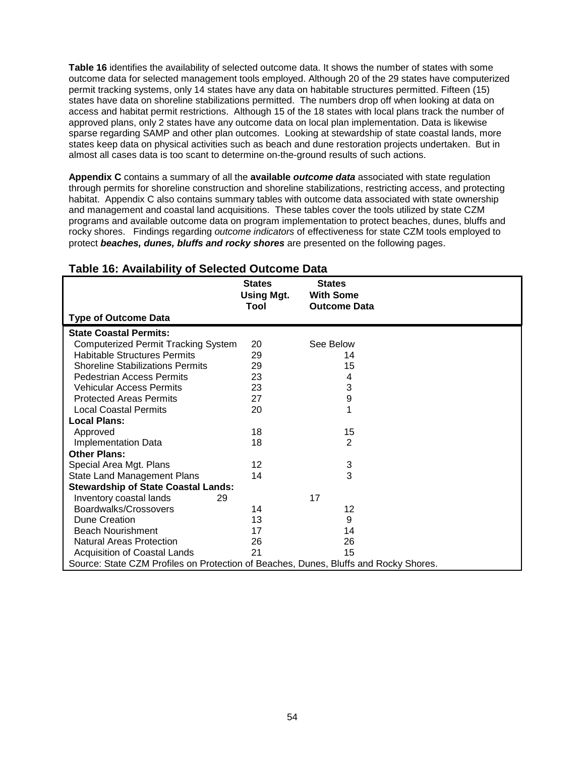**Table 16** identifies the availability of selected outcome data. It shows the number of states with some outcome data for selected management tools employed. Although 20 of the 29 states have computerized permit tracking systems, only 14 states have any data on habitable structures permitted. Fifteen (15) states have data on shoreline stabilizations permitted. The numbers drop off when looking at data on access and habitat permit restrictions. Although 15 of the 18 states with local plans track the number of approved plans, only 2 states have any outcome data on local plan implementation. Data is likewise sparse regarding SAMP and other plan outcomes. Looking at stewardship of state coastal lands, more states keep data on physical activities such as beach and dune restoration projects undertaken. But in almost all cases data is too scant to determine on-the-ground results of such actions.

**Appendix C** contains a summary of all the **available** *outcome data* associated with state regulation through permits for shoreline construction and shoreline stabilizations, restricting access, and protecting habitat. Appendix C also contains summary tables with outcome data associated with state ownership and management and coastal land acquisitions. These tables cover the tools utilized by state CZM programs and available outcome data on program implementation to protect beaches, dunes, bluffs and rocky shores. Findings regarding *outcome indicators* of effectiveness for state CZM tools employed to protect *beaches, dunes, bluffs and rocky shores* are presented on the following pages.

|                                                                                      | <b>States</b><br>Using Mgt. | <b>States</b><br><b>With Some</b> |  |  |  |  |
|--------------------------------------------------------------------------------------|-----------------------------|-----------------------------------|--|--|--|--|
|                                                                                      | Tool                        | <b>Outcome Data</b>               |  |  |  |  |
| <b>Type of Outcome Data</b>                                                          |                             |                                   |  |  |  |  |
| <b>State Coastal Permits:</b>                                                        |                             |                                   |  |  |  |  |
| <b>Computerized Permit Tracking System</b>                                           | 20                          | See Below                         |  |  |  |  |
| <b>Habitable Structures Permits</b>                                                  | 29                          | 14                                |  |  |  |  |
| <b>Shoreline Stabilizations Permits</b>                                              | 29                          | 15                                |  |  |  |  |
| <b>Pedestrian Access Permits</b>                                                     | 23                          | 4                                 |  |  |  |  |
| <b>Vehicular Access Permits</b>                                                      | 23                          | 3                                 |  |  |  |  |
| <b>Protected Areas Permits</b>                                                       | 27                          | 9                                 |  |  |  |  |
| <b>Local Coastal Permits</b>                                                         | 20                          | 1                                 |  |  |  |  |
| <b>Local Plans:</b>                                                                  |                             |                                   |  |  |  |  |
| Approved                                                                             | 18                          | 15                                |  |  |  |  |
| <b>Implementation Data</b>                                                           | 18                          | 2                                 |  |  |  |  |
| <b>Other Plans:</b>                                                                  |                             |                                   |  |  |  |  |
| Special Area Mgt. Plans                                                              | 12                          | 3                                 |  |  |  |  |
| State Land Management Plans                                                          | 14                          | $\overline{3}$                    |  |  |  |  |
| <b>Stewardship of State Coastal Lands:</b>                                           |                             |                                   |  |  |  |  |
| Inventory coastal lands<br>29                                                        |                             | 17                                |  |  |  |  |
| Boardwalks/Crossovers                                                                | 14                          | 12                                |  |  |  |  |
| Dune Creation                                                                        | 13                          | 9                                 |  |  |  |  |
| <b>Beach Nourishment</b>                                                             | 17                          | 14                                |  |  |  |  |
| <b>Natural Areas Protection</b>                                                      | 26                          | 26                                |  |  |  |  |
| <b>Acquisition of Coastal Lands</b>                                                  | 21                          | 15                                |  |  |  |  |
| Source: State CZM Profiles on Protection of Beaches, Dunes, Bluffs and Rocky Shores. |                             |                                   |  |  |  |  |

## **Table 16: Availability of Selected Outcome Data**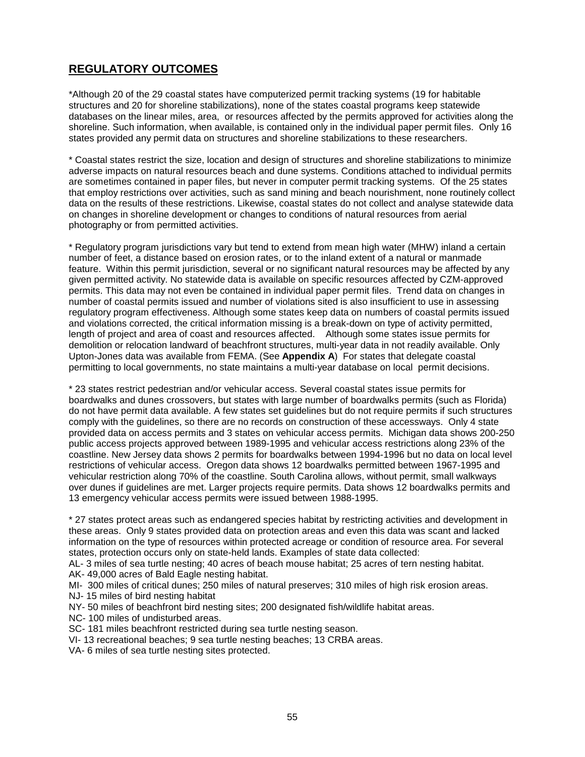# **REGULATORY OUTCOMES**

\*Although 20 of the 29 coastal states have computerized permit tracking systems (19 for habitable structures and 20 for shoreline stabilizations), none of the states coastal programs keep statewide databases on the linear miles, area, or resources affected by the permits approved for activities along the shoreline. Such information, when available, is contained only in the individual paper permit files. Only 16 states provided any permit data on structures and shoreline stabilizations to these researchers.

\* Coastal states restrict the size, location and design of structures and shoreline stabilizations to minimize adverse impacts on natural resources beach and dune systems. Conditions attached to individual permits are sometimes contained in paper files, but never in computer permit tracking systems. Of the 25 states that employ restrictions over activities, such as sand mining and beach nourishment, none routinely collect data on the results of these restrictions. Likewise, coastal states do not collect and analyse statewide data on changes in shoreline development or changes to conditions of natural resources from aerial photography or from permitted activities.

\* Regulatory program jurisdictions vary but tend to extend from mean high water (MHW) inland a certain number of feet, a distance based on erosion rates, or to the inland extent of a natural or manmade feature. Within this permit jurisdiction, several or no significant natural resources may be affected by any given permitted activity. No statewide data is available on specific resources affected by CZM-approved permits. This data may not even be contained in individual paper permit files. Trend data on changes in number of coastal permits issued and number of violations sited is also insufficient to use in assessing regulatory program effectiveness. Although some states keep data on numbers of coastal permits issued and violations corrected, the critical information missing is a break-down on type of activity permitted, length of project and area of coast and resources affected. Although some states issue permits for demolition or relocation landward of beachfront structures, multi-year data in not readily available. Only Upton-Jones data was available from FEMA. (See **Appendix A**) For states that delegate coastal permitting to local governments, no state maintains a multi-year database on local permit decisions.

\* 23 states restrict pedestrian and/or vehicular access. Several coastal states issue permits for boardwalks and dunes crossovers, but states with large number of boardwalks permits (such as Florida) do not have permit data available. A few states set guidelines but do not require permits if such structures comply with the guidelines, so there are no records on construction of these accessways. Only 4 state provided data on access permits and 3 states on vehicular access permits. Michigan data shows 200-250 public access projects approved between 1989-1995 and vehicular access restrictions along 23% of the coastline. New Jersey data shows 2 permits for boardwalks between 1994-1996 but no data on local level restrictions of vehicular access. Oregon data shows 12 boardwalks permitted between 1967-1995 and vehicular restriction along 70% of the coastline. South Carolina allows, without permit, small walkways over dunes if guidelines are met. Larger projects require permits. Data shows 12 boardwalks permits and 13 emergency vehicular access permits were issued between 1988-1995.

\* 27 states protect areas such as endangered species habitat by restricting activities and development in these areas. Only 9 states provided data on protection areas and even this data was scant and lacked information on the type of resources within protected acreage or condition of resource area. For several states, protection occurs only on state-held lands. Examples of state data collected:

AL- 3 miles of sea turtle nesting; 40 acres of beach mouse habitat; 25 acres of tern nesting habitat. AK- 49,000 acres of Bald Eagle nesting habitat.

MI- 300 miles of critical dunes; 250 miles of natural preserves; 310 miles of high risk erosion areas. NJ- 15 miles of bird nesting habitat

NY- 50 miles of beachfront bird nesting sites; 200 designated fish/wildlife habitat areas.

NC- 100 miles of undisturbed areas.

- SC- 181 miles beachfront restricted during sea turtle nesting season.
- VI- 13 recreational beaches; 9 sea turtle nesting beaches; 13 CRBA areas.

VA- 6 miles of sea turtle nesting sites protected.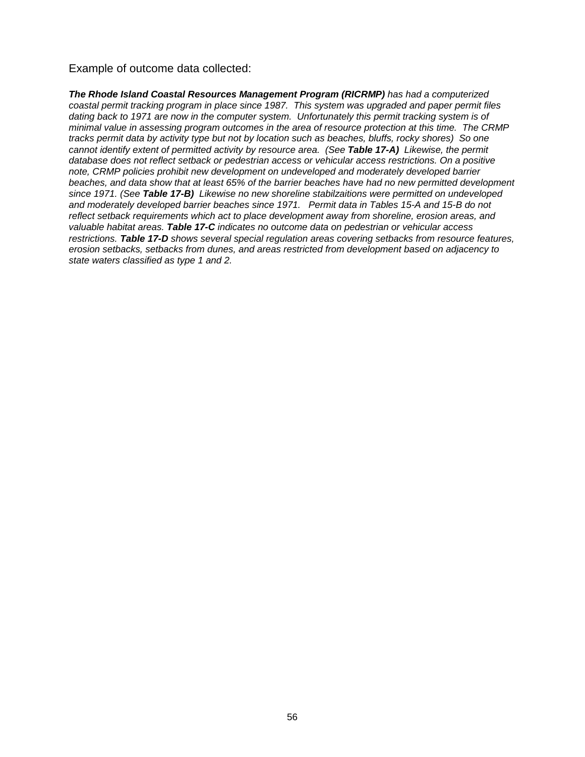Example of outcome data collected:

*The Rhode Island Coastal Resources Management Program (RICRMP) has had a computerized coastal permit tracking program in place since 1987. This system was upgraded and paper permit files dating back to 1971 are now in the computer system. Unfortunately this permit tracking system is of minimal value in assessing program outcomes in the area of resource protection at this time. The CRMP tracks permit data by activity type but not by location such as beaches, bluffs, rocky shores) So one cannot identify extent of permitted activity by resource area. (See Table 17-A) Likewise, the permit database does not reflect setback or pedestrian access or vehicular access restrictions. On a positive note, CRMP policies prohibit new development on undeveloped and moderately developed barrier beaches, and data show that at least 65% of the barrier beaches have had no new permitted development since 1971. (See Table 17-B) Likewise no new shoreline stabilzaitions were permitted on undeveloped and moderately developed barrier beaches since 1971. Permit data in Tables 15-A and 15-B do not reflect setback requirements which act to place development away from shoreline, erosion areas, and valuable habitat areas. Table 17-C indicates no outcome data on pedestrian or vehicular access restrictions. Table 17-D shows several special regulation areas covering setbacks from resource features, erosion setbacks, setbacks from dunes, and areas restricted from development based on adjacency to state waters classified as type 1 and 2.*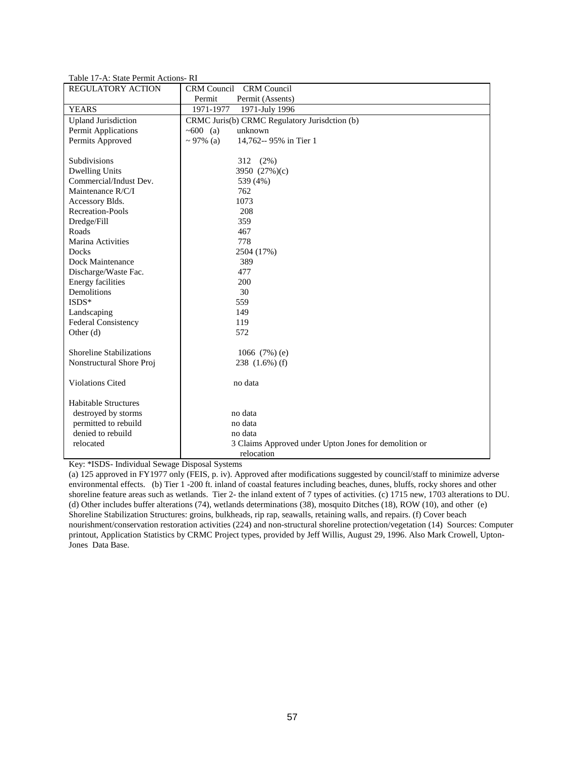Table 17-A: State Permit Actions- RI

| REGULATORY ACTION               | CRM Council CRM Council                               |  |  |
|---------------------------------|-------------------------------------------------------|--|--|
|                                 | Permit<br>Permit (Assents)                            |  |  |
| <b>YEARS</b>                    | 1971-1977<br>1971-July 1996                           |  |  |
| <b>Upland Jurisdiction</b>      | CRMC Juris(b) CRMC Regulatory Jurisdction (b)         |  |  |
| Permit Applications             | $~100$ (a)<br>unknown                                 |  |  |
| Permits Approved                | $\sim$ 97% (a)<br>14,762-- 95% in Tier 1              |  |  |
|                                 |                                                       |  |  |
| Subdivisions                    | 312 (2%)                                              |  |  |
| <b>Dwelling Units</b>           | 3950 (27%)(c)                                         |  |  |
| Commercial/Indust Dev.          | 539 (4%)                                              |  |  |
| Maintenance R/C/I               | 762                                                   |  |  |
| Accessory Blds.                 | 1073                                                  |  |  |
| Recreation-Pools                | 208                                                   |  |  |
| Dredge/Fill                     | 359                                                   |  |  |
| Roads                           | 467                                                   |  |  |
| Marina Activities               | 778                                                   |  |  |
| <b>Docks</b>                    | 2504 (17%)                                            |  |  |
| Dock Maintenance                | 389                                                   |  |  |
| Discharge/Waste Fac.            | 477                                                   |  |  |
| <b>Energy facilities</b>        | 200                                                   |  |  |
| <b>Demolitions</b>              | 30                                                    |  |  |
| ISDS*                           | 559                                                   |  |  |
| Landscaping                     | 149                                                   |  |  |
| Federal Consistency             | 119                                                   |  |  |
| Other $(d)$                     | 572                                                   |  |  |
|                                 |                                                       |  |  |
| <b>Shoreline Stabilizations</b> | 1066 $(7%)$ (e)                                       |  |  |
| Nonstructural Shore Proj        | 238 $(1.6\%)$ (f)                                     |  |  |
|                                 |                                                       |  |  |
| Violations Cited                | no data                                               |  |  |
|                                 |                                                       |  |  |
| <b>Habitable Structures</b>     |                                                       |  |  |
| destroyed by storms             | no data                                               |  |  |
| permitted to rebuild            | no data                                               |  |  |
| denied to rebuild               | no data                                               |  |  |
| relocated                       | 3 Claims Approved under Upton Jones for demolition or |  |  |
|                                 | relocation                                            |  |  |

Key: \*ISDS- Individual Sewage Disposal Systems

(a) 125 approved in FY1977 only (FEIS, p. iv). Approved after modifications suggested by council/staff to minimize adverse environmental effects. (b) Tier 1 -200 ft. inland of coastal features including beaches, dunes, bluffs, rocky shores and other shoreline feature areas such as wetlands. Tier 2- the inland extent of 7 types of activities. (c) 1715 new, 1703 alterations to DU. (d) Other includes buffer alterations (74), wetlands determinations (38), mosquito Ditches (18), ROW (10), and other (e) Shoreline Stabilization Structures: groins, bulkheads, rip rap, seawalls, retaining walls, and repairs. (f) Cover beach nourishment/conservation restoration activities (224) and non-structural shoreline protection/vegetation (14) Sources: Computer printout, Application Statistics by CRMC Project types, provided by Jeff Willis, August 29, 1996. Also Mark Crowell, Upton-Jones Data Base.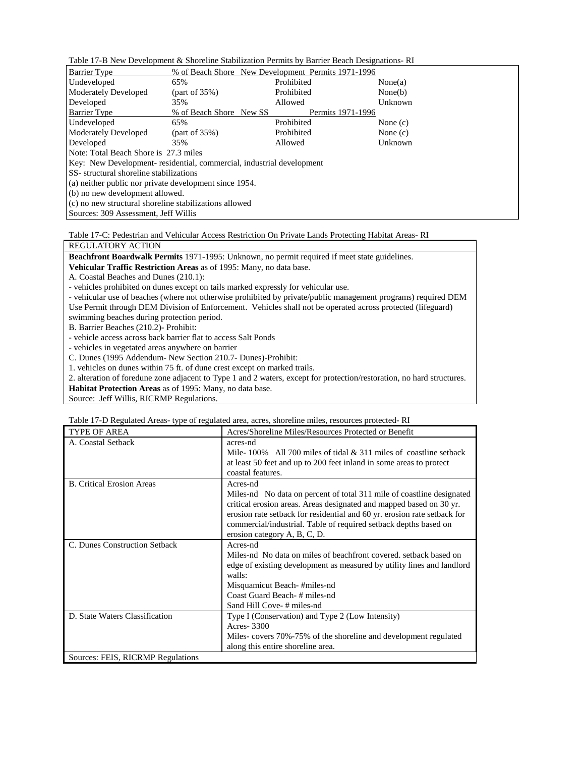| Barrier Type<br>% of Beach Shore New Development Permits 1971-1996 |                                                                      |            |            |  |  |  |
|--------------------------------------------------------------------|----------------------------------------------------------------------|------------|------------|--|--|--|
| Undeveloped<br>65%                                                 |                                                                      | Prohibited | None(a)    |  |  |  |
| <b>Moderately Developed</b>                                        | $part of 35\%)$                                                      | Prohibited | None(b)    |  |  |  |
| Developed                                                          | 35%                                                                  | Allowed    | Unknown    |  |  |  |
| <b>Barrier Type</b>                                                | Permits 1971-1996<br>% of Beach Shore New SS                         |            |            |  |  |  |
| Undeveloped                                                        | 65%                                                                  | Prohibited | None $(c)$ |  |  |  |
| <b>Moderately Developed</b>                                        | $part of 35\%)$                                                      | Prohibited | None $(c)$ |  |  |  |
| Developed                                                          | 35%                                                                  | Allowed    | Unknown    |  |  |  |
| Note: Total Beach Shore is 27.3 miles                              |                                                                      |            |            |  |  |  |
|                                                                    | Key: New Development-residential, commercial, industrial development |            |            |  |  |  |
| SS- structural shoreline stabilizations                            |                                                                      |            |            |  |  |  |
| (a) neither public nor private development since 1954.             |                                                                      |            |            |  |  |  |
| (b) no new development allowed.                                    |                                                                      |            |            |  |  |  |
| (c) no new structural shoreline stabilizations allowed             |                                                                      |            |            |  |  |  |
| Sources: 309 Assessment, Jeff Willis                               |                                                                      |            |            |  |  |  |

Table 17-C: Pedestrian and Vehicular Access Restriction On Private Lands Protecting Habitat Areas- RI

#### REGULATORY ACTION

**Beachfront Boardwalk Permits** 1971-1995: Unknown, no permit required if meet state guidelines.

**Vehicular Traffic Restriction Areas** as of 1995: Many, no data base.

A. Coastal Beaches and Dunes (210.1):

- vehicles prohibited on dunes except on tails marked expressly for vehicular use.

- vehicular use of beaches (where not otherwise prohibited by private/public management programs) required DEM Use Permit through DEM Division of Enforcement. Vehicles shall not be operated across protected (lifeguard)

swimming beaches during protection period.

B. Barrier Beaches (210.2)- Prohibit:

- vehicle access across back barrier flat to access Salt Ponds

- vehicles in vegetated areas anywhere on barrier

C. Dunes (1995 Addendum- New Section 210.7- Dunes)-Prohibit:

1. vehicles on dunes within 75 ft. of dune crest except on marked trails.

2. alteration of foredune zone adjacent to Type 1 and 2 waters, except for protection/restoration, no hard structures.

**Habitat Protection Areas** as of 1995: Many, no data base.

Source: Jeff Willis, RICRMP Regulations.

Table 17-D Regulated Areas- type of regulated area, acres, shoreline miles, resources protected- RI

| TYPE OF AREA                      | Acres/Shoreline Miles/Resources Protected or Benefit                     |
|-----------------------------------|--------------------------------------------------------------------------|
| A. Coastal Setback                | acres-nd                                                                 |
|                                   | Mile-100% All 700 miles of tidal $&$ 311 miles of coastline setback      |
|                                   | at least 50 feet and up to 200 feet inland in some areas to protect      |
|                                   | coastal features.                                                        |
| <b>B.</b> Critical Erosion Areas  | Acres-nd                                                                 |
|                                   | Miles-nd No data on percent of total 311 mile of coastline designated    |
|                                   | critical erosion areas. Areas designated and mapped based on 30 yr.      |
|                                   | erosion rate setback for residential and 60 yr. erosion rate setback for |
|                                   | commercial/industrial. Table of required setback depths based on         |
|                                   | erosion category A, B, C, D.                                             |
| C. Dunes Construction Setback     | Acres-nd                                                                 |
|                                   | Miles-nd No data on miles of beachfront covered, setback based on        |
|                                   | edge of existing development as measured by utility lines and landlord   |
|                                   | walls:                                                                   |
|                                   | Misquamicut Beach-#miles-nd                                              |
|                                   | Coast Guard Beach-#miles-nd                                              |
|                                   | Sand Hill Cove- # miles-nd                                               |
| D. State Waters Classification    | Type I (Conservation) and Type 2 (Low Intensity)                         |
|                                   | Acres - 3300                                                             |
|                                   | Miles-covers 70%-75% of the shoreline and development regulated          |
|                                   | along this entire shoreline area.                                        |
| Sources: FEIS, RICRMP Regulations |                                                                          |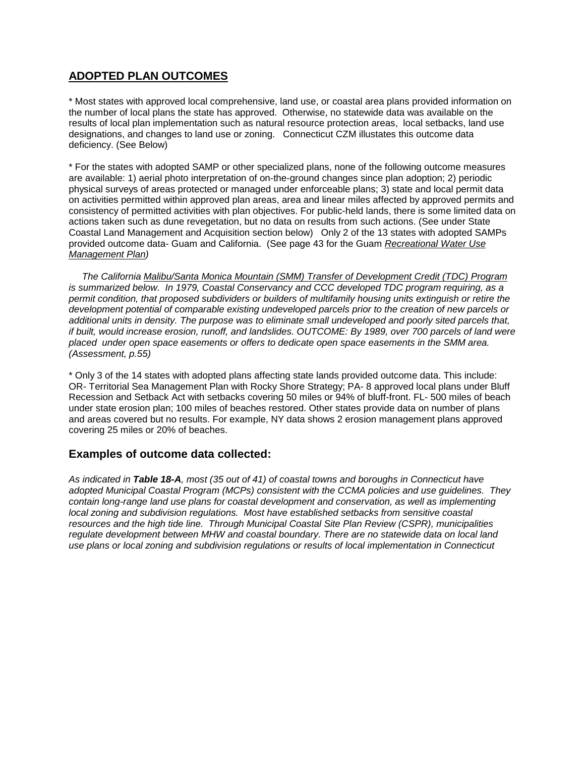# **ADOPTED PLAN OUTCOMES**

\* Most states with approved local comprehensive, land use, or coastal area plans provided information on the number of local plans the state has approved. Otherwise, no statewide data was available on the results of local plan implementation such as natural resource protection areas, local setbacks, land use designations, and changes to land use or zoning. Connecticut CZM illustates this outcome data deficiency. (See Below)

\* For the states with adopted SAMP or other specialized plans, none of the following outcome measures are available: 1) aerial photo interpretation of on-the-ground changes since plan adoption; 2) periodic physical surveys of areas protected or managed under enforceable plans; 3) state and local permit data on activities permitted within approved plan areas, area and linear miles affected by approved permits and consistency of permitted activities with plan objectives. For public-held lands, there is some limited data on actions taken such as dune revegetation, but no data on results from such actions. (See under State Coastal Land Management and Acquisition section below) Only 2 of the 13 states with adopted SAMPs provided outcome data- Guam and California. (See page 43 for the Guam *Recreational Water Use Management Plan)*

 *The California Malibu/Santa Monica Mountain (SMM) Transfer of Development Credit (TDC) Program is summarized below. In 1979, Coastal Conservancy and CCC developed TDC program requiring, as a permit condition, that proposed subdividers or builders of multifamily housing units extinguish or retire the development potential of comparable existing undeveloped parcels prior to the creation of new parcels or additional units in density. The purpose was to eliminate small undeveloped and poorly sited parcels that, if built, would increase erosion, runoff, and landslides. OUTCOME: By 1989, over 700 parcels of land were placed under open space easements or offers to dedicate open space easements in the SMM area. (Assessment, p.55)*

\* Only 3 of the 14 states with adopted plans affecting state lands provided outcome data. This include: OR- Territorial Sea Management Plan with Rocky Shore Strategy; PA- 8 approved local plans under Bluff Recession and Setback Act with setbacks covering 50 miles or 94% of bluff-front. FL- 500 miles of beach under state erosion plan; 100 miles of beaches restored. Other states provide data on number of plans and areas covered but no results. For example, NY data shows 2 erosion management plans approved covering 25 miles or 20% of beaches.

## **Examples of outcome data collected:**

*As indicated in Table 18-A, most (35 out of 41) of coastal towns and boroughs in Connecticut have adopted Municipal Coastal Program (MCPs) consistent with the CCMA policies and use guidelines. They contain long-range land use plans for coastal development and conservation, as well as implementing local zoning and subdivision regulations. Most have established setbacks from sensitive coastal resources and the high tide line. Through Municipal Coastal Site Plan Review (CSPR), municipalities regulate development between MHW and coastal boundary. There are no statewide data on local land use plans or local zoning and subdivision regulations or results of local implementation in Connecticut*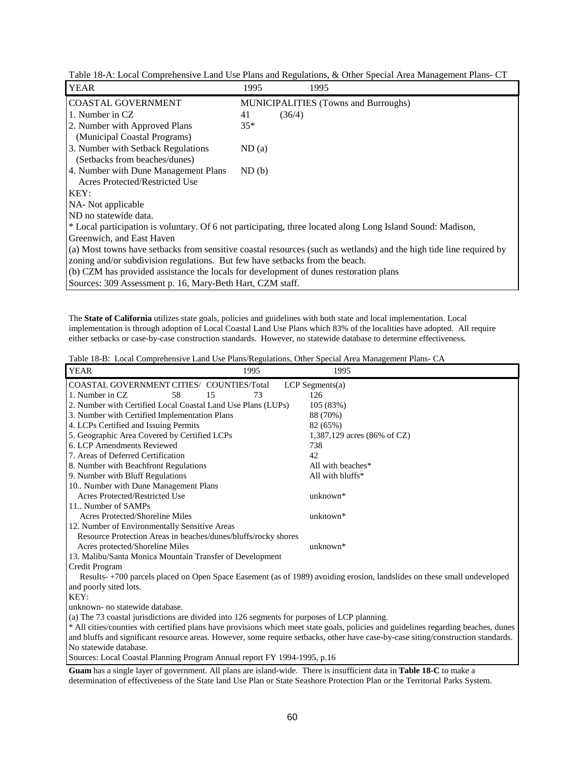| <b>YEAR</b>                                                                                                         | 1995  | 1995                                                                                                        |  |  |  |  |  |
|---------------------------------------------------------------------------------------------------------------------|-------|-------------------------------------------------------------------------------------------------------------|--|--|--|--|--|
| <b>COASTAL GOVERNMENT</b>                                                                                           |       | <b>MUNICIPALITIES</b> (Towns and Burroughs)                                                                 |  |  |  |  |  |
| 1. Number in CZ                                                                                                     | 41    | (36/4)                                                                                                      |  |  |  |  |  |
| 2. Number with Approved Plans                                                                                       | $35*$ |                                                                                                             |  |  |  |  |  |
| (Municipal Coastal Programs)                                                                                        |       |                                                                                                             |  |  |  |  |  |
| 3. Number with Setback Regulations                                                                                  | ND(a) |                                                                                                             |  |  |  |  |  |
| (Setbacks from beaches/dunes)                                                                                       |       |                                                                                                             |  |  |  |  |  |
| 4. Number with Dune Management Plans                                                                                | ND(b) |                                                                                                             |  |  |  |  |  |
| Acres Protected/Restricted Use                                                                                      |       |                                                                                                             |  |  |  |  |  |
| KEY:                                                                                                                |       |                                                                                                             |  |  |  |  |  |
| NA- Not applicable                                                                                                  |       |                                                                                                             |  |  |  |  |  |
| ND no statewide data.                                                                                               |       |                                                                                                             |  |  |  |  |  |
|                                                                                                                     |       | * Local participation is voluntary. Of 6 not participating, three located along Long Island Sound: Madison, |  |  |  |  |  |
| Greenwich, and East Haven                                                                                           |       |                                                                                                             |  |  |  |  |  |
| (a) Most towns have setbacks from sensitive coastal resources (such as wetlands) and the high tide line required by |       |                                                                                                             |  |  |  |  |  |
| zoning and/or subdivision regulations. But few have setbacks from the beach.                                        |       |                                                                                                             |  |  |  |  |  |
| (b) CZM has provided assistance the locals for development of dunes restoration plans                               |       |                                                                                                             |  |  |  |  |  |
| Sources: 309 Assessment p. 16, Mary-Beth Hart, CZM staff.                                                           |       |                                                                                                             |  |  |  |  |  |

Table 18-A: Local Comprehensive Land Use Plans and Regulations, & Other Special Area Management Plans- CT

The **State of California** utilizes state goals, policies and guidelines with both state and local implementation. Local implementation is through adoption of Local Coastal Land Use Plans which 83% of the localities have adopted. All require either setbacks or case-by-case construction standards. However, no statewide database to determine effectiveness.

Table 18-B: Local Comprehensive Land Use Plans/Regulations, Other Special Area Management Plans- CA

| <b>YEAR</b>                                                                                                                         | 1995                                          | 1995                        |  |  |  |  |  |
|-------------------------------------------------------------------------------------------------------------------------------------|-----------------------------------------------|-----------------------------|--|--|--|--|--|
| COASTAL GOVERNMENT CITIES/ COUNTIES/Total                                                                                           |                                               | $LCP$ Segments(a)           |  |  |  |  |  |
| 58<br>1. Number in CZ<br>15                                                                                                         | 73                                            | 126                         |  |  |  |  |  |
| 2. Number with Certified Local Coastal Land Use Plans (LUPs)                                                                        |                                               | 105 (83%)                   |  |  |  |  |  |
| 3. Number with Certified Implementation Plans                                                                                       |                                               | 88 (70%)                    |  |  |  |  |  |
| 4. LCPs Certified and Issuing Permits                                                                                               |                                               | 82 (65%)                    |  |  |  |  |  |
| 5. Geographic Area Covered by Certified LCPs                                                                                        |                                               | 1,387,129 acres (86% of CZ) |  |  |  |  |  |
| 6. LCP Amendments Reviewed                                                                                                          |                                               | 738                         |  |  |  |  |  |
| 7. Areas of Deferred Certification                                                                                                  |                                               | 42                          |  |  |  |  |  |
| 8. Number with Beachfront Regulations                                                                                               |                                               | All with beaches*           |  |  |  |  |  |
| 9. Number with Bluff Regulations                                                                                                    |                                               | All with bluffs*            |  |  |  |  |  |
| 10. Number with Dune Management Plans                                                                                               |                                               |                             |  |  |  |  |  |
| Acres Protected/Restricted Use                                                                                                      |                                               | unknown*                    |  |  |  |  |  |
| 11. Number of SAMPs                                                                                                                 |                                               |                             |  |  |  |  |  |
| Acres Protected/Shoreline Miles                                                                                                     |                                               | unknown*                    |  |  |  |  |  |
|                                                                                                                                     | 12. Number of Environmentally Sensitive Areas |                             |  |  |  |  |  |
| Resource Protection Areas in beaches/dunes/bluffs/rocky shores                                                                      |                                               |                             |  |  |  |  |  |
| Acres protected/Shoreline Miles                                                                                                     |                                               | unknown*                    |  |  |  |  |  |
| 13. Malibu/Santa Monica Mountain Transfer of Development                                                                            |                                               |                             |  |  |  |  |  |
| Credit Program                                                                                                                      |                                               |                             |  |  |  |  |  |
| Results-+700 parcels placed on Open Space Easement (as of 1989) avoiding erosion, landslides on these small undeveloped             |                                               |                             |  |  |  |  |  |
| and poorly sited lots.                                                                                                              |                                               |                             |  |  |  |  |  |
| KEY:                                                                                                                                |                                               |                             |  |  |  |  |  |
| unknown- no statewide database.                                                                                                     |                                               |                             |  |  |  |  |  |
| (a) The 73 coastal jurisdictions are divided into 126 segments for purposes of LCP planning.                                        |                                               |                             |  |  |  |  |  |
| * All cities/counties with certified plans have provisions which meet state goals, policies and guidelines regarding beaches, dunes |                                               |                             |  |  |  |  |  |
| and bluffs and significant resource areas. However, some require setbacks, other have case-by-case siting/construction standards.   |                                               |                             |  |  |  |  |  |
| No statewide database.                                                                                                              |                                               |                             |  |  |  |  |  |
| Sources: Local Coastal Planning Program Annual report FY 1994-1995, p.16                                                            |                                               |                             |  |  |  |  |  |

**Guam** has a single layer of government. All plans are island-wide. There is insufficient data in **Table 18-C** to make a determination of effectiveness of the State land Use Plan or State Seashore Protection Plan or the Territorial Parks System.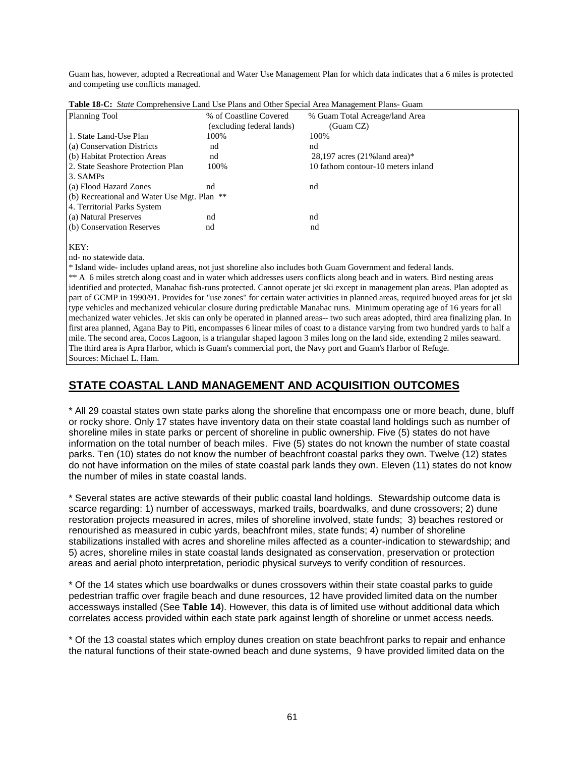Guam has, however, adopted a Recreational and Water Use Management Plan for which data indicates that a 6 miles is protected and competing use conflicts managed.

| Tubic To C. Brute Complements of Band CSC I lans and Other Bpeelar I from Management I lans Catalu |                           |                                    |
|----------------------------------------------------------------------------------------------------|---------------------------|------------------------------------|
| Planning Tool                                                                                      | % of Coastline Covered    | % Guam Total Acreage/land Area     |
|                                                                                                    | (excluding federal lands) | (Guam CZ)                          |
| 1. State Land-Use Plan                                                                             | 100%                      | 100%                               |
| (a) Conservation Districts                                                                         | nd                        | nd                                 |
| (b) Habitat Protection Areas                                                                       | nd                        | $28,197$ acres (21% land area)*    |
| 2. State Seashore Protection Plan                                                                  | 100%                      | 10 fathom contour-10 meters inland |
| 13. SAMPs                                                                                          |                           |                                    |
| (a) Flood Hazard Zones                                                                             | nd                        | nd                                 |
| (b) Recreational and Water Use Mgt. Plan $**$                                                      |                           |                                    |
| 4. Territorial Parks System                                                                        |                           |                                    |
| (a) Natural Preserves                                                                              | nd                        | nd                                 |
| (b) Conservation Reserves                                                                          | nd                        | nd                                 |

**Table 18-C:** *State* Comprehensive Land Use Plans and Other Special Area Management Plans- Guam

KEY:

nd- no statewide data.

\* Island wide- includes upland areas, not just shoreline also includes both Guam Government and federal lands. \*\* A 6 miles stretch along coast and in water which addresses users conflicts along beach and in waters. Bird nesting areas identified and protected, Manahac fish-runs protected. Cannot operate jet ski except in management plan areas. Plan adopted as part of GCMP in 1990/91. Provides for "use zones" for certain water activities in planned areas, required buoyed areas for jet ski type vehicles and mechanized vehicular closure during predictable Manahac runs. Minimum operating age of 16 years for all mechanized water vehicles. Jet skis can only be operated in planned areas-- two such areas adopted, third area finalizing plan. In first area planned, Agana Bay to Piti, encompasses 6 linear miles of coast to a distance varying from two hundred yards to half a mile. The second area, Cocos Lagoon, is a triangular shaped lagoon 3 miles long on the land side, extending 2 miles seaward. The third area is Apra Harbor, which is Guam's commercial port, the Navy port and Guam's Harbor of Refuge. Sources: Michael L. Ham.

## **STATE COASTAL LAND MANAGEMENT AND ACQUISITION OUTCOMES**

\* All 29 coastal states own state parks along the shoreline that encompass one or more beach, dune, bluff or rocky shore. Only 17 states have inventory data on their state coastal land holdings such as number of shoreline miles in state parks or percent of shoreline in public ownership. Five (5) states do not have information on the total number of beach miles. Five (5) states do not known the number of state coastal parks. Ten (10) states do not know the number of beachfront coastal parks they own. Twelve (12) states do not have information on the miles of state coastal park lands they own. Eleven (11) states do not know the number of miles in state coastal lands.

\* Several states are active stewards of their public coastal land holdings. Stewardship outcome data is scarce regarding: 1) number of accessways, marked trails, boardwalks, and dune crossovers; 2) dune restoration projects measured in acres, miles of shoreline involved, state funds; 3) beaches restored or renourished as measured in cubic yards, beachfront miles, state funds; 4) number of shoreline stabilizations installed with acres and shoreline miles affected as a counter-indication to stewardship; and 5) acres, shoreline miles in state coastal lands designated as conservation, preservation or protection areas and aerial photo interpretation, periodic physical surveys to verify condition of resources.

\* Of the 14 states which use boardwalks or dunes crossovers within their state coastal parks to guide pedestrian traffic over fragile beach and dune resources, 12 have provided limited data on the number accessways installed (See **Table 14**). However, this data is of limited use without additional data which correlates access provided within each state park against length of shoreline or unmet access needs.

\* Of the 13 coastal states which employ dunes creation on state beachfront parks to repair and enhance the natural functions of their state-owned beach and dune systems, 9 have provided limited data on the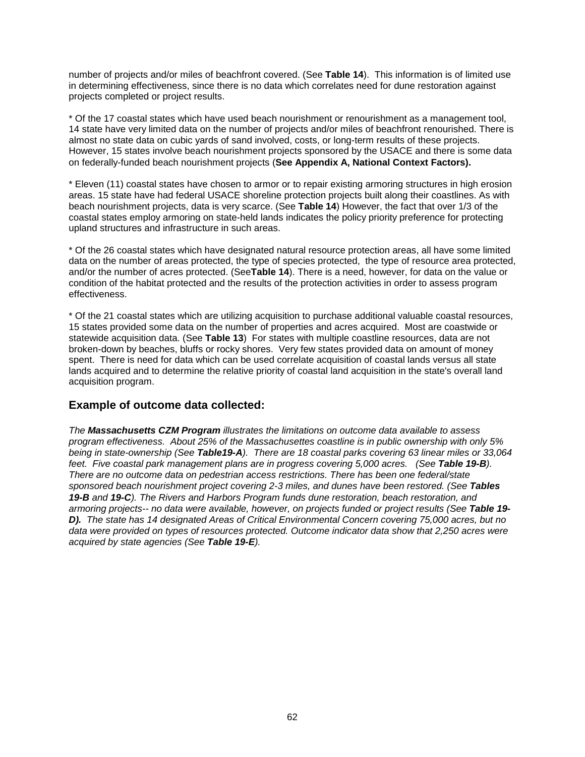number of projects and/or miles of beachfront covered. (See **Table 14**). This information is of limited use in determining effectiveness, since there is no data which correlates need for dune restoration against projects completed or project results.

\* Of the 17 coastal states which have used beach nourishment or renourishment as a management tool, 14 state have very limited data on the number of projects and/or miles of beachfront renourished. There is almost no state data on cubic yards of sand involved, costs, or long-term results of these projects. However, 15 states involve beach nourishment projects sponsored by the USACE and there is some data on federally-funded beach nourishment projects (**See Appendix A, National Context Factors).**

\* Eleven (11) coastal states have chosen to armor or to repair existing armoring structures in high erosion areas. 15 state have had federal USACE shoreline protection projects built along their coastlines. As with beach nourishment projects, data is very scarce. (See **Table 14**) However, the fact that over 1/3 of the coastal states employ armoring on state-held lands indicates the policy priority preference for protecting upland structures and infrastructure in such areas.

\* Of the 26 coastal states which have designated natural resource protection areas, all have some limited data on the number of areas protected, the type of species protected, the type of resource area protected, and/or the number of acres protected. (See**Table 14**). There is a need, however, for data on the value or condition of the habitat protected and the results of the protection activities in order to assess program effectiveness.

\* Of the 21 coastal states which are utilizing acquisition to purchase additional valuable coastal resources, 15 states provided some data on the number of properties and acres acquired. Most are coastwide or statewide acquisition data. (See **Table 13**) For states with multiple coastline resources, data are not broken-down by beaches, bluffs or rocky shores. Very few states provided data on amount of money spent. There is need for data which can be used correlate acquisition of coastal lands versus all state lands acquired and to determine the relative priority of coastal land acquisition in the state's overall land acquisition program.

## **Example of outcome data collected:**

*The Massachusetts CZM Program illustrates the limitations on outcome data available to assess program effectiveness. About 25% of the Massachusettes coastline is in public ownership with only 5% being in state-ownership (See Table19-A). There are 18 coastal parks covering 63 linear miles or 33,064* feet. Five coastal park management plans are in progress covering 5,000 acres. (See **Table 19-B**). *There are no outcome data on pedestrian access restrictions. There has been one federal/state sponsored beach nourishment project covering 2-3 miles, and dunes have been restored. (See Tables 19-B and 19-C). The Rivers and Harbors Program funds dune restoration, beach restoration, and armoring projects-- no data were available, however, on projects funded or project results (See Table 19- D). The state has 14 designated Areas of Critical Environmental Concern covering 75,000 acres, but no data were provided on types of resources protected. Outcome indicator data show that 2,250 acres were acquired by state agencies (See Table 19-E).*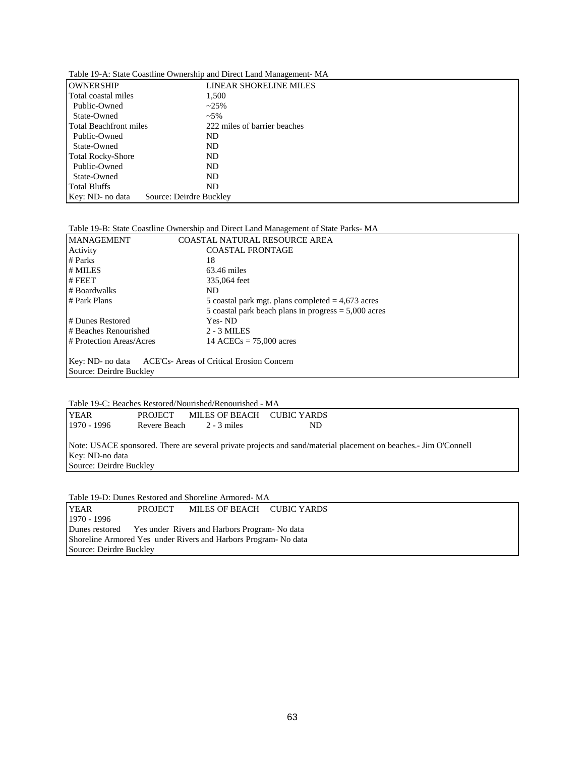| Table 17-4. Blaic Coastille Ownership and Direct Land Management- M1. |                               |  |  |  |  |
|-----------------------------------------------------------------------|-------------------------------|--|--|--|--|
| <b>OWNERSHIP</b>                                                      | <b>LINEAR SHORELINE MILES</b> |  |  |  |  |
| Total coastal miles                                                   | 1,500                         |  |  |  |  |
| Public-Owned                                                          | $~25\%$                       |  |  |  |  |
| State-Owned                                                           | $~1.5\%$                      |  |  |  |  |
| Total Beachfront miles                                                | 222 miles of barrier beaches  |  |  |  |  |
| Public-Owned                                                          | ND.                           |  |  |  |  |
| State-Owned                                                           | ND                            |  |  |  |  |
| <b>Total Rocky-Shore</b>                                              | ND                            |  |  |  |  |
| Public-Owned                                                          | ND                            |  |  |  |  |
| State-Owned                                                           | ND                            |  |  |  |  |
| <b>Total Bluffs</b>                                                   | ND.                           |  |  |  |  |
| Key: ND- no data                                                      | Source: Deirdre Buckley       |  |  |  |  |

Table 19-A: State Coastline Ownership and Direct Land Management- MA

### Table 19-B: State Coastline Ownership and Direct Land Management of State Parks- MA

| <b>MANAGEMENT</b>                                          | <b>COASTAL NATURAL RESOURCE AREA</b>                   |  |  |
|------------------------------------------------------------|--------------------------------------------------------|--|--|
| Activity                                                   | <b>COASTAL FRONTAGE</b>                                |  |  |
| $#$ Parks                                                  | 18                                                     |  |  |
| # MILES                                                    | $63.46$ miles                                          |  |  |
| $#$ FEET                                                   | 335,064 feet                                           |  |  |
| # Boardwalks                                               | ND.                                                    |  |  |
| # Park Plans                                               | 5 coastal park mgt. plans completed $= 4,673$ acres    |  |  |
|                                                            | 5 coastal park beach plans in progress $=$ 5,000 acres |  |  |
| # Dunes Restored                                           | Yes-ND                                                 |  |  |
| # Beaches Renourished                                      | 2 - 3 MILES                                            |  |  |
| # Protection Areas/Acres                                   | 14 ACECs = $75,000$ acres                              |  |  |
|                                                            |                                                        |  |  |
| Key: ND- no data ACE Cs- Areas of Critical Erosion Concern |                                                        |  |  |
| Source: Deirdre Buckley                                    |                                                        |  |  |

Table 19-C: Beaches Restored/Nourished/Renourished - MA

| <b>YEAR</b>                                                                                                                                                    | <b>PROJECT</b> | MILES OF BEACH CUBIC YARDS |    |  |  |
|----------------------------------------------------------------------------------------------------------------------------------------------------------------|----------------|----------------------------|----|--|--|
| $1970 - 1996$                                                                                                                                                  | Revere Beach   | $2 - 3$ miles              | ND |  |  |
| Note: USACE sponsored. There are several private projects and sand/material placement on beaches.- Jim O'Connell<br>Key: ND-no data<br>Source: Deirdre Buckley |                |                            |    |  |  |

Table 19-D: Dunes Restored and Shoreline Armored- MA

YEAR PROJECT MILES OF BEACH CUBIC YARDS 1970 - 1996 Dunes restored Yes under Rivers and Harbors Program- No data Shoreline Armored Yes under Rivers and Harbors Program- No data Source: Deirdre Buckley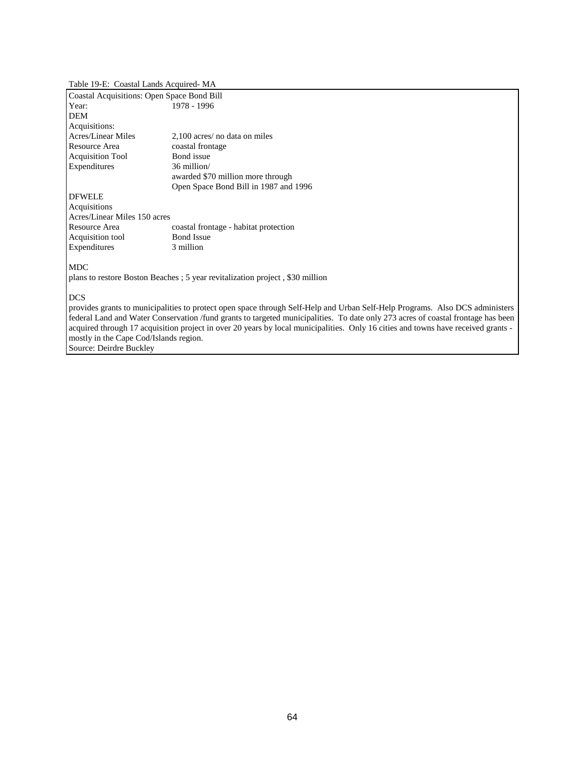### Table 19-E: Coastal Lands Acquired- MA

| <b>Coastal Acquisitions: Open Space Bond Bill</b> |                                       |  |  |
|---------------------------------------------------|---------------------------------------|--|--|
| Year:                                             | 1978 - 1996                           |  |  |
| <b>DEM</b>                                        |                                       |  |  |
| Acquisitions:                                     |                                       |  |  |
| Acres/Linear Miles                                | 2.100 acres/ no data on miles         |  |  |
| Resource Area                                     | coastal frontage                      |  |  |
| <b>Acquisition Tool</b>                           | Bond issue                            |  |  |
| Expenditures                                      | 36 million/                           |  |  |
|                                                   | awarded \$70 million more through.    |  |  |
|                                                   | Open Space Bond Bill in 1987 and 1996 |  |  |
| <b>DFWELE</b>                                     |                                       |  |  |
| Acquisitions                                      |                                       |  |  |
| Acres/Linear Miles 150 acres                      |                                       |  |  |
| Resource Area                                     | coastal frontage - habitat protection |  |  |
| Acquisition tool                                  | <b>Bond Issue</b>                     |  |  |
| Expenditures                                      | 3 million                             |  |  |

#### MDC

plans to restore Boston Beaches ; 5 year revitalization project , \$30 million

DCS

provides grants to municipalities to protect open space through Self-Help and Urban Self-Help Programs. Also DCS administers federal Land and Water Conservation /fund grants to targeted municipalities. To date only 273 acres of coastal frontage has been acquired through 17 acquisition project in over 20 years by local municipalities. Only 16 cities and towns have received grants mostly in the Cape Cod/Islands region.

Source: Deirdre Buckley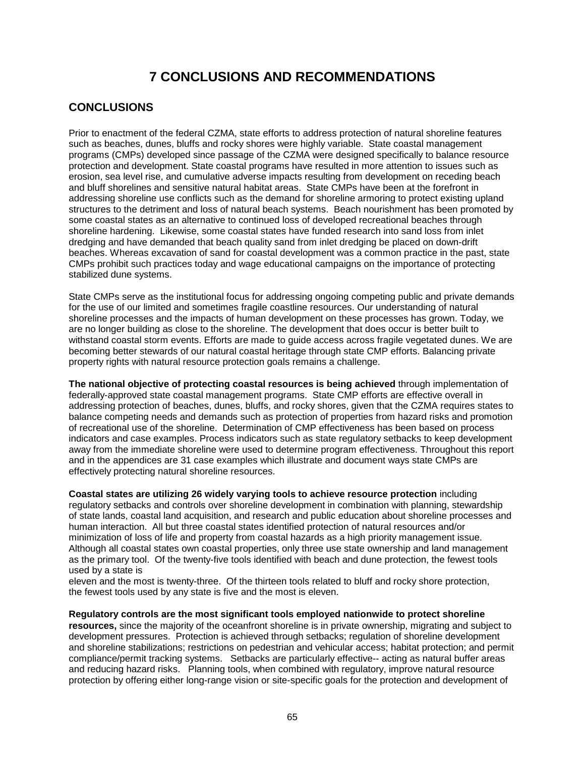# **7 CONCLUSIONS AND RECOMMENDATIONS**

# **CONCLUSIONS**

Prior to enactment of the federal CZMA, state efforts to address protection of natural shoreline features such as beaches, dunes, bluffs and rocky shores were highly variable. State coastal management programs (CMPs) developed since passage of the CZMA were designed specifically to balance resource protection and development. State coastal programs have resulted in more attention to issues such as erosion, sea level rise, and cumulative adverse impacts resulting from development on receding beach and bluff shorelines and sensitive natural habitat areas. State CMPs have been at the forefront in addressing shoreline use conflicts such as the demand for shoreline armoring to protect existing upland structures to the detriment and loss of natural beach systems. Beach nourishment has been promoted by some coastal states as an alternative to continued loss of developed recreational beaches through shoreline hardening. Likewise, some coastal states have funded research into sand loss from inlet dredging and have demanded that beach quality sand from inlet dredging be placed on down-drift beaches. Whereas excavation of sand for coastal development was a common practice in the past, state CMPs prohibit such practices today and wage educational campaigns on the importance of protecting stabilized dune systems.

State CMPs serve as the institutional focus for addressing ongoing competing public and private demands for the use of our limited and sometimes fragile coastline resources. Our understanding of natural shoreline processes and the impacts of human development on these processes has grown. Today, we are no longer building as close to the shoreline. The development that does occur is better built to withstand coastal storm events. Efforts are made to guide access across fragile vegetated dunes. We are becoming better stewards of our natural coastal heritage through state CMP efforts. Balancing private property rights with natural resource protection goals remains a challenge.

**The national objective of protecting coastal resources is being achieved** through implementation of federally-approved state coastal management programs. State CMP efforts are effective overall in addressing protection of beaches, dunes, bluffs, and rocky shores, given that the CZMA requires states to balance competing needs and demands such as protection of properties from hazard risks and promotion of recreational use of the shoreline. Determination of CMP effectiveness has been based on process indicators and case examples. Process indicators such as state regulatory setbacks to keep development away from the immediate shoreline were used to determine program effectiveness. Throughout this report and in the appendices are 31 case examples which illustrate and document ways state CMPs are effectively protecting natural shoreline resources.

**Coastal states are utilizing 26 widely varying tools to achieve resource protection** including regulatory setbacks and controls over shoreline development in combination with planning, stewardship of state lands, coastal land acquisition, and research and public education about shoreline processes and human interaction. All but three coastal states identified protection of natural resources and/or minimization of loss of life and property from coastal hazards as a high priority management issue. Although all coastal states own coastal properties, only three use state ownership and land management as the primary tool. Of the twenty-five tools identified with beach and dune protection, the fewest tools used by a state is

eleven and the most is twenty-three. Of the thirteen tools related to bluff and rocky shore protection, the fewest tools used by any state is five and the most is eleven.

**Regulatory controls are the most significant tools employed nationwide to protect shoreline resources,** since the majority of the oceanfront shoreline is in private ownership, migrating and subject to development pressures. Protection is achieved through setbacks; regulation of shoreline development and shoreline stabilizations; restrictions on pedestrian and vehicular access; habitat protection; and permit compliance/permit tracking systems. Setbacks are particularly effective-- acting as natural buffer areas and reducing hazard risks. Planning tools, when combined with regulatory, improve natural resource protection by offering either long-range vision or site-specific goals for the protection and development of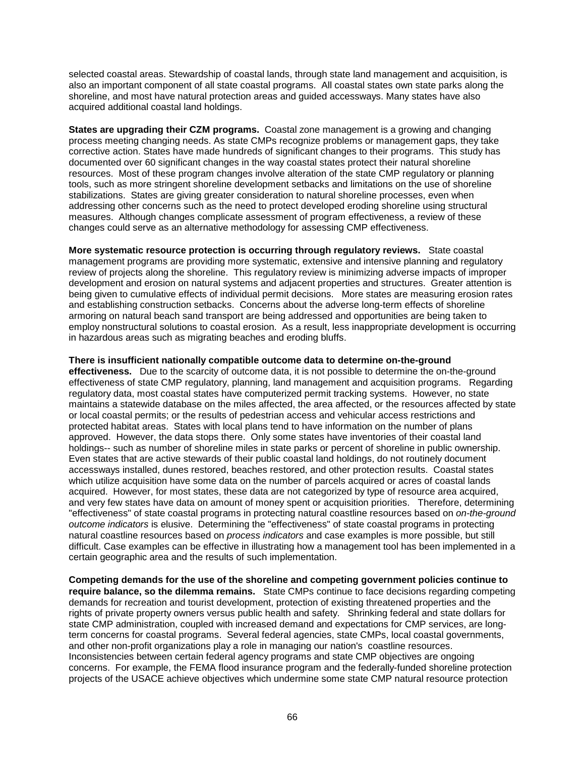selected coastal areas. Stewardship of coastal lands, through state land management and acquisition, is also an important component of all state coastal programs. All coastal states own state parks along the shoreline, and most have natural protection areas and guided accessways. Many states have also acquired additional coastal land holdings.

**States are upgrading their CZM programs.** Coastal zone management is a growing and changing process meeting changing needs. As state CMPs recognize problems or management gaps, they take corrective action. States have made hundreds of significant changes to their programs. This study has documented over 60 significant changes in the way coastal states protect their natural shoreline resources.Most of these program changes involve alteration of the state CMP regulatory or planning tools, such as more stringent shoreline development setbacks and limitations on the use of shoreline stabilizations. States are giving greater consideration to natural shoreline processes, even when addressing other concerns such as the need to protect developed eroding shoreline using structural measures. Although changes complicate assessment of program effectiveness, a review of these changes could serve as an alternative methodology for assessing CMP effectiveness.

**More systematic resource protection is occurring through regulatory reviews.** State coastal management programs are providing more systematic, extensive and intensive planning and regulatory review of projects along the shoreline. This regulatory review is minimizing adverse impacts of improper development and erosion on natural systems and adjacent properties and structures. Greater attention is being given to cumulative effects of individual permit decisions. More states are measuring erosion rates and establishing construction setbacks. Concerns about the adverse long-term effects of shoreline armoring on natural beach sand transport are being addressed and opportunities are being taken to employ nonstructural solutions to coastal erosion. As a result, less inappropriate development is occurring in hazardous areas such as migrating beaches and eroding bluffs.

**There is insufficient nationally compatible outcome data to determine on-the-ground**

**effectiveness.** Due to the scarcity of outcome data, it is not possible to determine the on-the-ground effectiveness of state CMP regulatory, planning, land management and acquisition programs. Regarding regulatory data, most coastal states have computerized permit tracking systems. However, no state maintains a statewide database on the miles affected, the area affected, or the resources affected by state or local coastal permits; or the results of pedestrian access and vehicular access restrictions and protected habitat areas. States with local plans tend to have information on the number of plans approved. However, the data stops there. Only some states have inventories of their coastal land holdings-- such as number of shoreline miles in state parks or percent of shoreline in public ownership. Even states that are active stewards of their public coastal land holdings, do not routinely document accessways installed, dunes restored, beaches restored, and other protection results. Coastal states which utilize acquisition have some data on the number of parcels acquired or acres of coastal lands acquired. However, for most states, these data are not categorized by type of resource area acquired, and very few states have data on amount of money spent or acquisition priorities. Therefore, determining "effectiveness" of state coastal programs in protecting natural coastline resources based on *on-the-ground outcome indicators* is elusive. Determining the "effectiveness" of state coastal programs in protecting natural coastline resources based on *process indicators* and case examples is more possible, but still difficult. Case examples can be effective in illustrating how a management tool has been implemented in a certain geographic area and the results of such implementation.

**Competing demands for the use of the shoreline and competing government policies continue to require balance, so the dilemma remains.** State CMPs continue to face decisions regarding competing demands for recreation and tourist development, protection of existing threatened properties and the rights of private property owners versus public health and safety. Shrinking federal and state dollars for state CMP administration, coupled with increased demand and expectations for CMP services, are longterm concerns for coastal programs. Several federal agencies, state CMPs, local coastal governments, and other non-profit organizations play a role in managing our nation's coastline resources. Inconsistencies between certain federal agency programs and state CMP objectives are ongoing concerns. For example, the FEMA flood insurance program and the federally-funded shoreline protection projects of the USACE achieve objectives which undermine some state CMP natural resource protection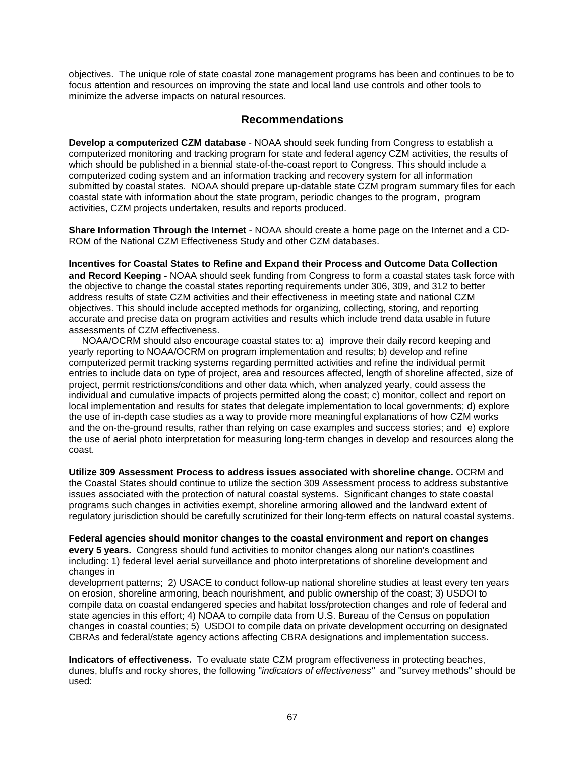objectives. The unique role of state coastal zone management programs has been and continues to be to focus attention and resources on improving the state and local land use controls and other tools to minimize the adverse impacts on natural resources.

## **Recommendations**

**Develop a computerized CZM database** - NOAA should seek funding from Congress to establish a computerized monitoring and tracking program for state and federal agency CZM activities, the results of which should be published in a biennial state-of-the-coast report to Congress. This should include a computerized coding system and an information tracking and recovery system for all information submitted by coastal states. NOAA should prepare up-datable state CZM program summary files for each coastal state with information about the state program, periodic changes to the program, program activities, CZM projects undertaken, results and reports produced.

**Share Information Through the Internet** - NOAA should create a home page on the Internet and a CD-ROM of the National CZM Effectiveness Study and other CZM databases.

**Incentives for Coastal States to Refine and Expand their Process and Outcome Data Collection and Record Keeping -** NOAA should seek funding from Congress to form a coastal states task force with the objective to change the coastal states reporting requirements under 306, 309, and 312 to better address results of state CZM activities and their effectiveness in meeting state and national CZM objectives. This should include accepted methods for organizing, collecting, storing, and reporting accurate and precise data on program activities and results which include trend data usable in future assessments of CZM effectiveness.

 NOAA/OCRM should also encourage coastal states to: a) improve their daily record keeping and yearly reporting to NOAA/OCRM on program implementation and results; b) develop and refine computerized permit tracking systems regarding permitted activities and refine the individual permit entries to include data on type of project, area and resources affected, length of shoreline affected, size of project, permit restrictions/conditions and other data which, when analyzed yearly, could assess the individual and cumulative impacts of projects permitted along the coast; c) monitor, collect and report on local implementation and results for states that delegate implementation to local governments; d) explore the use of in-depth case studies as a way to provide more meaningful explanations of how CZM works and the on-the-ground results, rather than relying on case examples and success stories; and e) explore the use of aerial photo interpretation for measuring long-term changes in develop and resources along the coast.

**Utilize 309 Assessment Process to address issues associated with shoreline change.** OCRM and the Coastal States should continue to utilize the section 309 Assessment process to address substantive issues associated with the protection of natural coastal systems. Significant changes to state coastal programs such changes in activities exempt, shoreline armoring allowed and the landward extent of regulatory jurisdiction should be carefully scrutinized for their long-term effects on natural coastal systems.

**Federal agencies should monitor changes to the coastal environment and report on changes every 5 years.** Congress should fund activities to monitor changes along our nation's coastlines including: 1) federal level aerial surveillance and photo interpretations of shoreline development and changes in

development patterns; 2) USACE to conduct follow-up national shoreline studies at least every ten years on erosion, shoreline armoring, beach nourishment, and public ownership of the coast; 3) USDOI to compile data on coastal endangered species and habitat loss/protection changes and role of federal and state agencies in this effort; 4) NOAA to compile data from U.S. Bureau of the Census on population changes in coastal counties; 5) USDOI to compile data on private development occurring on designated CBRAs and federal/state agency actions affecting CBRA designations and implementation success.

**Indicators of effectiveness.** To evaluate state CZM program effectiveness in protecting beaches, dunes, bluffs and rocky shores, the following "*indicators of effectiveness"* and "survey methods" should be used: